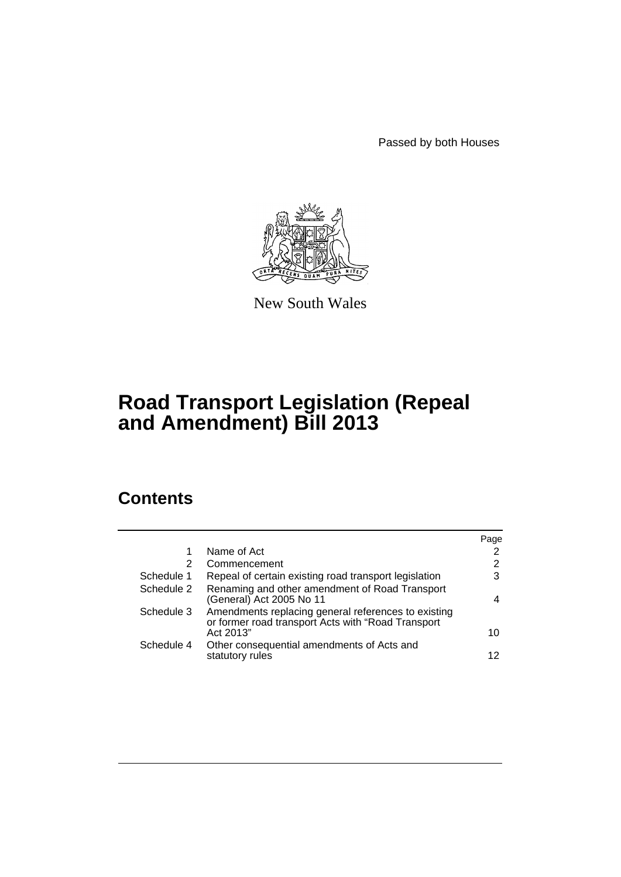Passed by both Houses



New South Wales

# **Road Transport Legislation (Repeal and Amendment) Bill 2013**

# **Contents**

|            |                                                                                                            | Page           |
|------------|------------------------------------------------------------------------------------------------------------|----------------|
|            | Name of Act                                                                                                | $\overline{2}$ |
| 2          | Commencement                                                                                               | 2              |
| Schedule 1 | Repeal of certain existing road transport legislation                                                      | 3              |
| Schedule 2 | Renaming and other amendment of Road Transport<br>(General) Act 2005 No 11                                 | 4              |
| Schedule 3 | Amendments replacing general references to existing<br>or former road transport Acts with "Road Transport" |                |
|            | Act 2013"                                                                                                  | 10             |
| Schedule 4 | Other consequential amendments of Acts and                                                                 |                |
|            | statutory rules                                                                                            | 12             |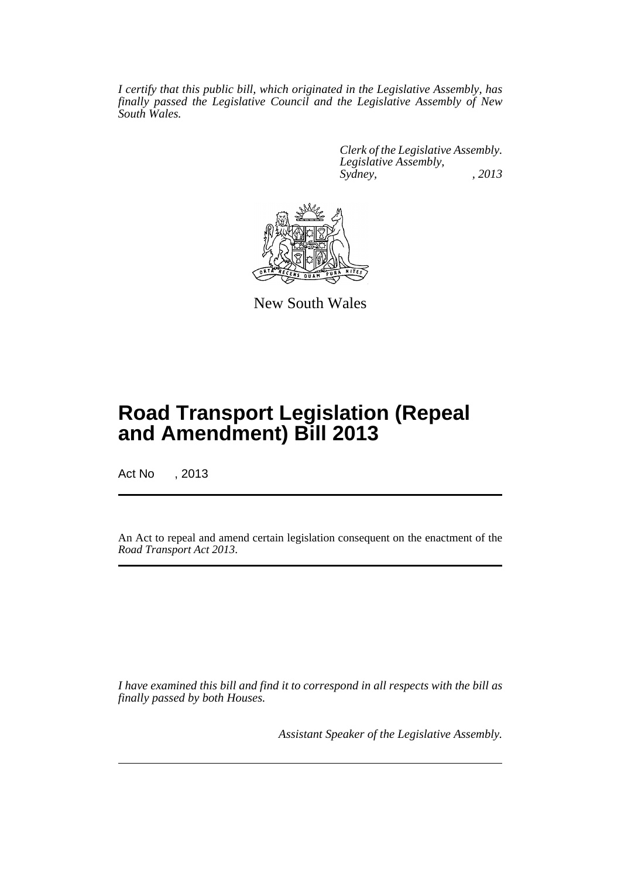*I certify that this public bill, which originated in the Legislative Assembly, has finally passed the Legislative Council and the Legislative Assembly of New South Wales.*

> *Clerk of the Legislative Assembly. Legislative Assembly, Sydney, , 2013*



New South Wales

# **Road Transport Legislation (Repeal and Amendment) Bill 2013**

Act No , 2013

An Act to repeal and amend certain legislation consequent on the enactment of the *Road Transport Act 2013*.

*I have examined this bill and find it to correspond in all respects with the bill as finally passed by both Houses.*

*Assistant Speaker of the Legislative Assembly.*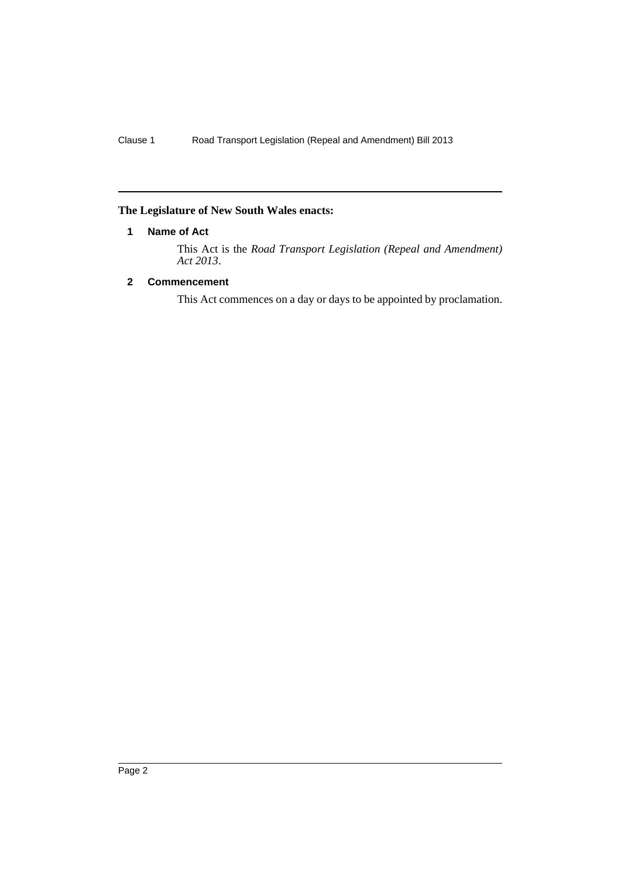# <span id="page-3-0"></span>**The Legislature of New South Wales enacts:**

# **1 Name of Act**

This Act is the *Road Transport Legislation (Repeal and Amendment) Act 2013*.

# <span id="page-3-1"></span>**2 Commencement**

This Act commences on a day or days to be appointed by proclamation.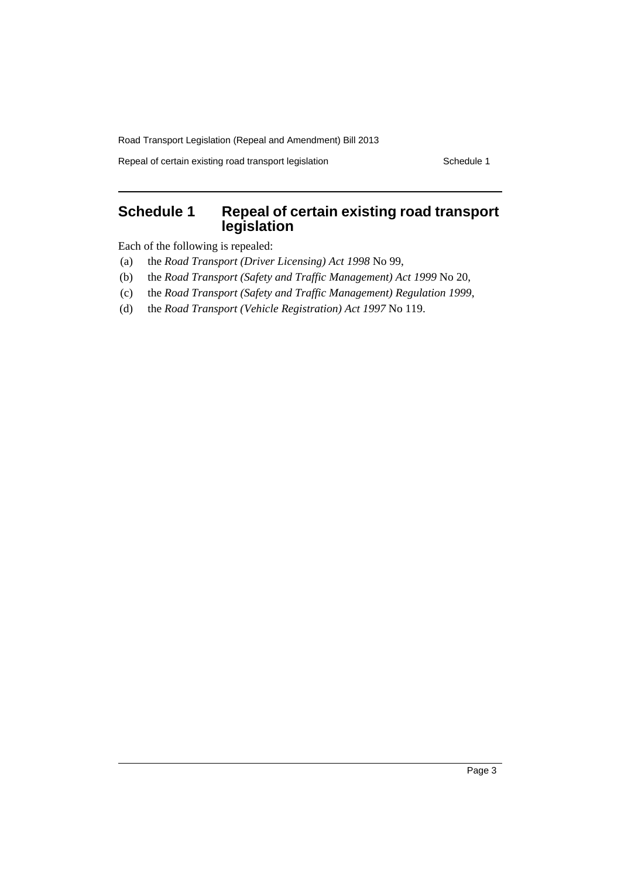Repeal of certain existing road transport legislation Schedule 1

# <span id="page-4-0"></span>**Schedule 1 Repeal of certain existing road transport legislation**

Each of the following is repealed:

- (a) the *Road Transport (Driver Licensing) Act 1998* No 99,
- (b) the *Road Transport (Safety and Traffic Management) Act 1999* No 20,
- (c) the *Road Transport (Safety and Traffic Management) Regulation 1999*,
- (d) the *Road Transport (Vehicle Registration) Act 1997* No 119.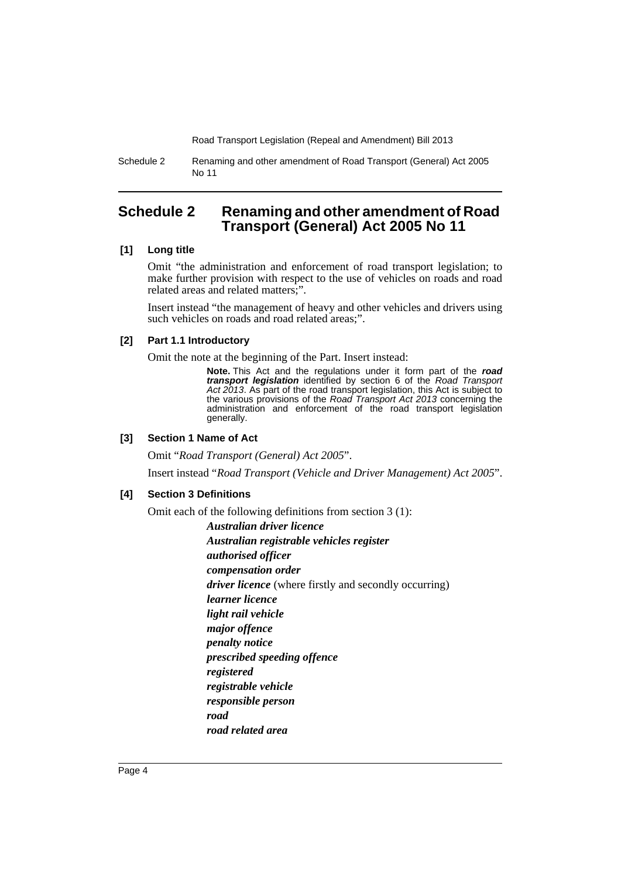Schedule 2 Renaming and other amendment of Road Transport (General) Act 2005 No 11

# <span id="page-5-0"></span>**Schedule 2 Renaming and other amendment of Road Transport (General) Act 2005 No 11**

#### **[1] Long title**

Omit "the administration and enforcement of road transport legislation; to make further provision with respect to the use of vehicles on roads and road related areas and related matters;".

Insert instead "the management of heavy and other vehicles and drivers using such vehicles on roads and road related areas;".

#### **[2] Part 1.1 Introductory**

Omit the note at the beginning of the Part. Insert instead:

**Note.** This Act and the regulations under it form part of the *road transport legislation* identified by section 6 of the *Road Transport Act 2013*. As part of the road transport legislation, this Act is subject to the various provisions of the *Road Transport Act 2013* concerning the administration and enforcement of the road transport legislation generally.

#### **[3] Section 1 Name of Act**

Omit "*Road Transport (General) Act 2005*".

Insert instead "*Road Transport (Vehicle and Driver Management) Act 2005*".

#### **[4] Section 3 Definitions**

Omit each of the following definitions from section 3 (1):

*Australian driver licence Australian registrable vehicles register authorised officer compensation order driver licence* (where firstly and secondly occurring) *learner licence light rail vehicle major offence penalty notice prescribed speeding offence registered registrable vehicle responsible person road road related area*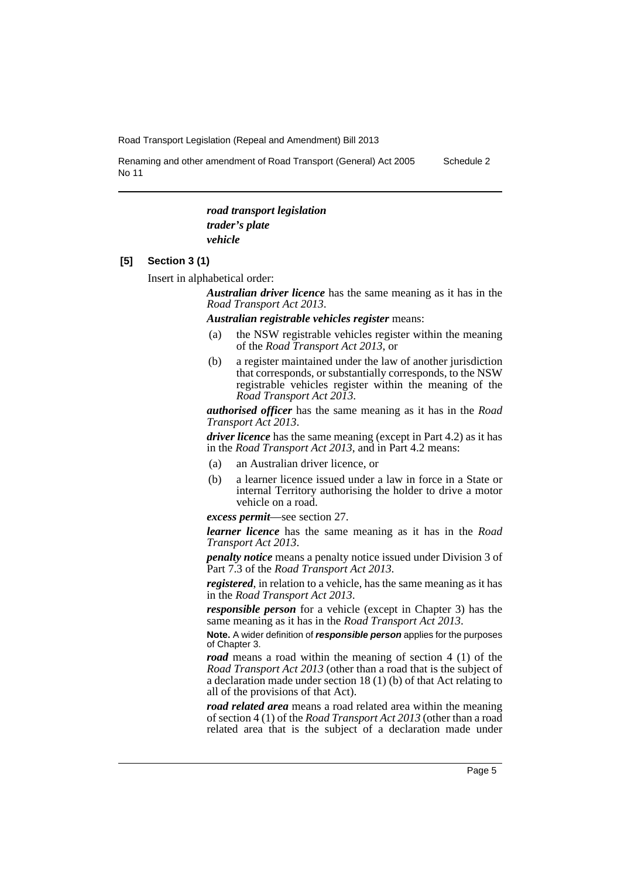Renaming and other amendment of Road Transport (General) Act 2005 No 11

Schedule 2

*road transport legislation trader's plate vehicle*

#### **[5] Section 3 (1)**

Insert in alphabetical order:

*Australian driver licence* has the same meaning as it has in the *Road Transport Act 2013*.

*Australian registrable vehicles register* means:

- (a) the NSW registrable vehicles register within the meaning of the *Road Transport Act 2013*, or
- (b) a register maintained under the law of another jurisdiction that corresponds, or substantially corresponds, to the NSW registrable vehicles register within the meaning of the *Road Transport Act 2013*.

*authorised officer* has the same meaning as it has in the *Road Transport Act 2013*.

*driver licence* has the same meaning (except in Part 4.2) as it has in the *Road Transport Act 2013*, and in Part 4.2 means:

- (a) an Australian driver licence, or
- (b) a learner licence issued under a law in force in a State or internal Territory authorising the holder to drive a motor vehicle on a road.

*excess permit*—see section 27.

*learner licence* has the same meaning as it has in the *Road Transport Act 2013*.

*penalty notice* means a penalty notice issued under Division 3 of Part 7.3 of the *Road Transport Act 2013*.

*registered*, in relation to a vehicle, has the same meaning as it has in the *Road Transport Act 2013*.

*responsible person* for a vehicle (except in Chapter 3) has the same meaning as it has in the *Road Transport Act 2013*.

**Note.** A wider definition of *responsible person* applies for the purposes of Chapter 3.

*road* means a road within the meaning of section 4 (1) of the *Road Transport Act 2013* (other than a road that is the subject of a declaration made under section 18 (1) (b) of that Act relating to all of the provisions of that Act).

*road related area* means a road related area within the meaning of section 4 (1) of the *Road Transport Act 2013* (other than a road related area that is the subject of a declaration made under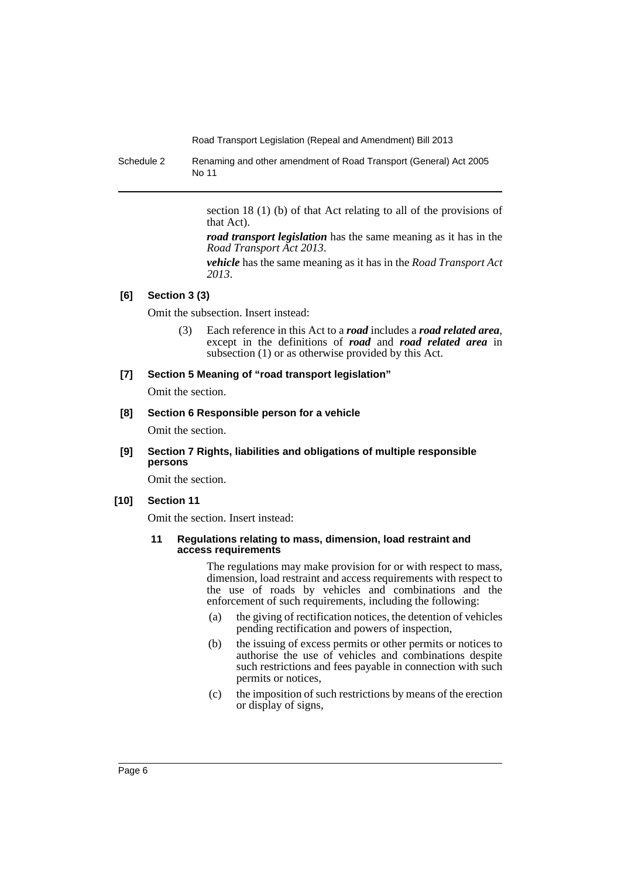Schedule 2 Renaming and other amendment of Road Transport (General) Act 2005 No 11

> section 18 (1) (b) of that Act relating to all of the provisions of that Act).

> *road transport legislation* has the same meaning as it has in the *Road Transport Act 2013*.

> *vehicle* has the same meaning as it has in the *Road Transport Act 2013*.

#### **[6] Section 3 (3)**

Omit the subsection. Insert instead:

(3) Each reference in this Act to a *road* includes a *road related area*, except in the definitions of *road* and *road related area* in subsection (1) or as otherwise provided by this Act.

#### **[7] Section 5 Meaning of "road transport legislation"**

Omit the section.

#### **[8] Section 6 Responsible person for a vehicle**

Omit the section.

**[9] Section 7 Rights, liabilities and obligations of multiple responsible persons**

Omit the section.

#### **[10] Section 11**

Omit the section. Insert instead:

#### **11 Regulations relating to mass, dimension, load restraint and access requirements**

The regulations may make provision for or with respect to mass, dimension, load restraint and access requirements with respect to the use of roads by vehicles and combinations and the enforcement of such requirements, including the following:

- (a) the giving of rectification notices, the detention of vehicles pending rectification and powers of inspection,
- (b) the issuing of excess permits or other permits or notices to authorise the use of vehicles and combinations despite such restrictions and fees payable in connection with such permits or notices,
- (c) the imposition of such restrictions by means of the erection or display of signs,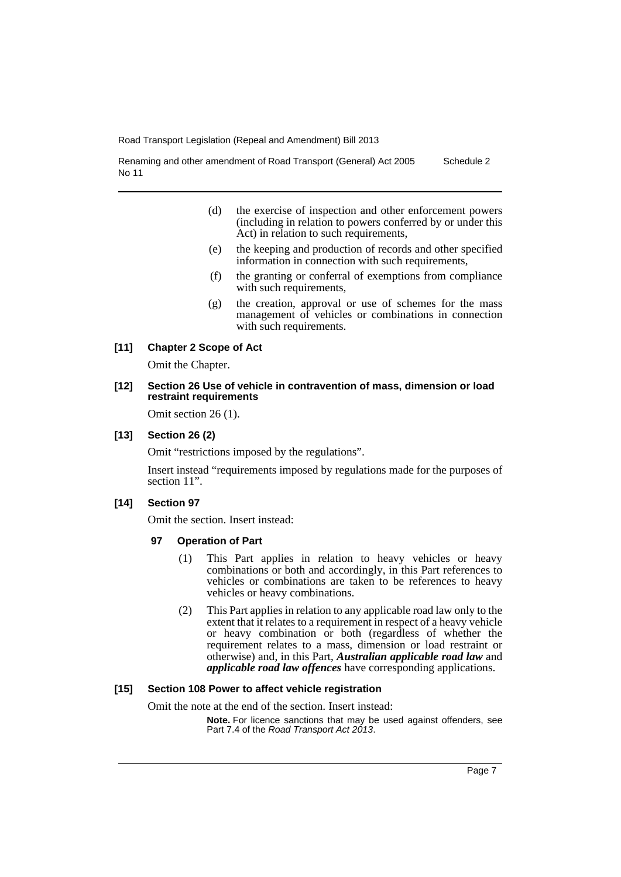Renaming and other amendment of Road Transport (General) Act 2005 No 11 Schedule 2

- (d) the exercise of inspection and other enforcement powers (including in relation to powers conferred by or under this Act) in relation to such requirements,
- (e) the keeping and production of records and other specified information in connection with such requirements,
- (f) the granting or conferral of exemptions from compliance with such requirements,
- (g) the creation, approval or use of schemes for the mass management of vehicles or combinations in connection with such requirements.

## **[11] Chapter 2 Scope of Act**

Omit the Chapter.

#### **[12] Section 26 Use of vehicle in contravention of mass, dimension or load restraint requirements**

Omit section 26 (1).

#### **[13] Section 26 (2)**

Omit "restrictions imposed by the regulations".

Insert instead "requirements imposed by regulations made for the purposes of section 11".

#### **[14] Section 97**

Omit the section. Insert instead:

#### **97 Operation of Part**

- (1) This Part applies in relation to heavy vehicles or heavy combinations or both and accordingly, in this Part references to vehicles or combinations are taken to be references to heavy vehicles or heavy combinations.
- (2) This Part applies in relation to any applicable road law only to the extent that it relates to a requirement in respect of a heavy vehicle or heavy combination or both (regardless of whether the requirement relates to a mass, dimension or load restraint or otherwise) and, in this Part, *Australian applicable road law* and *applicable road law offences* have corresponding applications.

# **[15] Section 108 Power to affect vehicle registration**

Omit the note at the end of the section. Insert instead:

**Note.** For licence sanctions that may be used against offenders, see Part 7.4 of the *Road Transport Act 2013*.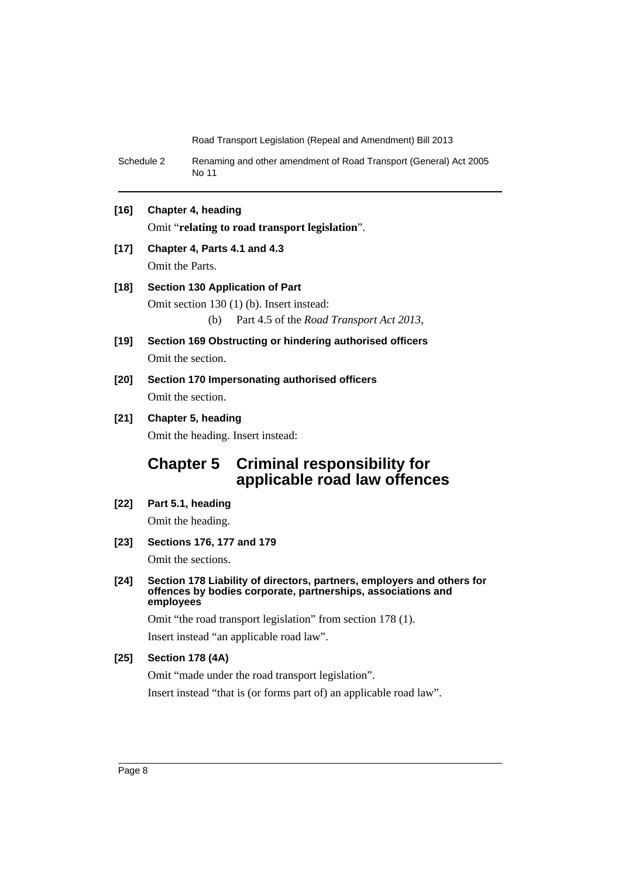Schedule 2 Renaming and other amendment of Road Transport (General) Act 2005 No 11

# **[16] Chapter 4, heading**

Omit "**relating to road transport legislation**".

# **[17] Chapter 4, Parts 4.1 and 4.3**

Omit the Parts.

## **[18] Section 130 Application of Part**

Omit section 130 (1) (b). Insert instead:

(b) Part 4.5 of the *Road Transport Act 2013*,

- **[19] Section 169 Obstructing or hindering authorised officers** Omit the section.
- **[20] Section 170 Impersonating authorised officers** Omit the section.

# **[21] Chapter 5, heading**

Omit the heading. Insert instead:

# **Chapter 5 Criminal responsibility for applicable road law offences**

- **[22] Part 5.1, heading** Omit the heading.
- **[23] Sections 176, 177 and 179**

Omit the sections.

**[24] Section 178 Liability of directors, partners, employers and others for offences by bodies corporate, partnerships, associations and employees**

Omit "the road transport legislation" from section 178 (1).

Insert instead "an applicable road law".

## **[25] Section 178 (4A)**

Omit "made under the road transport legislation".

Insert instead "that is (or forms part of) an applicable road law".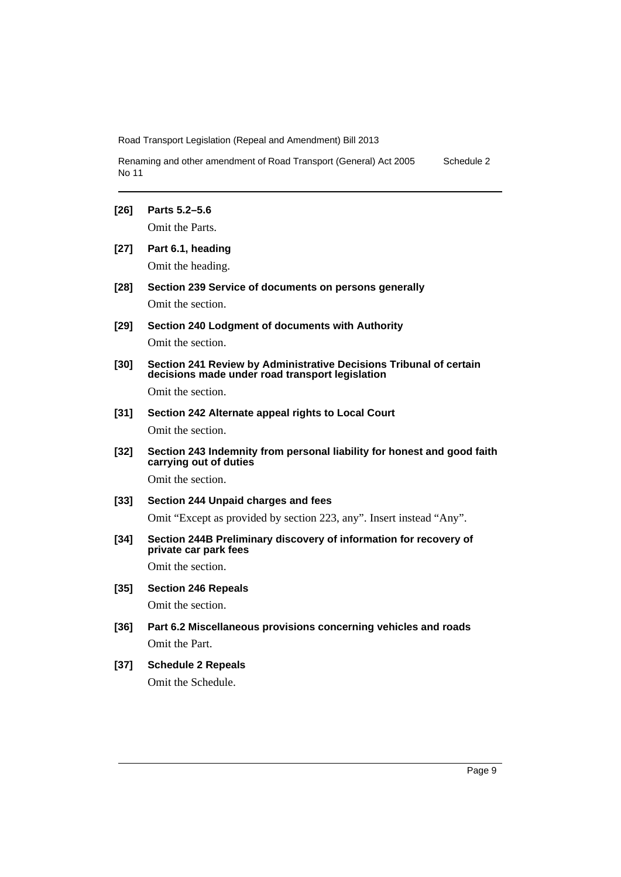Renaming and other amendment of Road Transport (General) Act 2005 No 11 Schedule 2

#### **[26] Parts 5.2–5.6**

Omit the Parts.

- **[27] Part 6.1, heading** Omit the heading.
- **[28] Section 239 Service of documents on persons generally** Omit the section.
- **[29] Section 240 Lodgment of documents with Authority** Omit the section.
- **[30] Section 241 Review by Administrative Decisions Tribunal of certain decisions made under road transport legislation**

Omit the section.

# **[31] Section 242 Alternate appeal rights to Local Court** Omit the section.

**[32] Section 243 Indemnity from personal liability for honest and good faith carrying out of duties**

Omit the section.

# **[33] Section 244 Unpaid charges and fees**

Omit "Except as provided by section 223, any". Insert instead "Any".

**[34] Section 244B Preliminary discovery of information for recovery of private car park fees**

Omit the section.

# **[35] Section 246 Repeals**

Omit the section.

**[36] Part 6.2 Miscellaneous provisions concerning vehicles and roads**  Omit the Part.

# **[37] Schedule 2 Repeals** Omit the Schedule.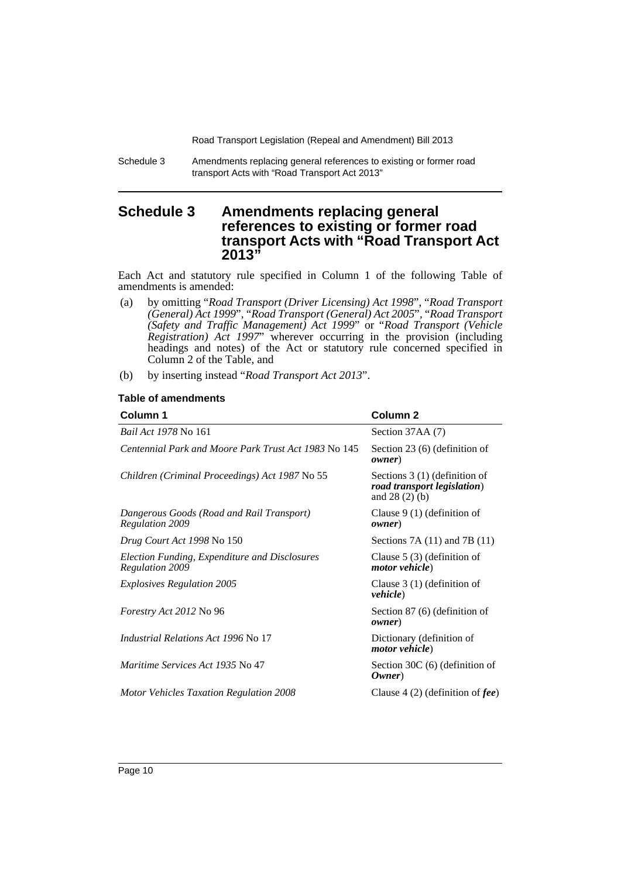Schedule 3 Amendments replacing general references to existing or former road transport Acts with "Road Transport Act 2013"

# <span id="page-11-0"></span>**Schedule 3 Amendments replacing general references to existing or former road transport Acts with "Road Transport Act 2013"**

Each Act and statutory rule specified in Column 1 of the following Table of amendments is amended:

- (a) by omitting "*Road Transport (Driver Licensing) Act 1998*", "*Road Transport (General) Act 1999*", "*Road Transport (General) Act 2005*", "*Road Transport (Safety and Traffic Management) Act 1999*" or "*Road Transport (Vehicle Registration) Act 1997*" wherever occurring in the provision (including headings and notes) of the Act or statutory rule concerned specified in Column 2 of the Table, and
- (b) by inserting instead "*Road Transport Act 2013*".

| Column 1                                                                | Column <sub>2</sub>                                                             |  |
|-------------------------------------------------------------------------|---------------------------------------------------------------------------------|--|
| <i>Bail Act 1978</i> No 161                                             | Section 37AA (7)                                                                |  |
| Centennial Park and Moore Park Trust Act 1983 No 145                    | Section $23(6)$ (definition of<br><i>owner</i> )                                |  |
| Children (Criminal Proceedings) Act 1987 No 55                          | Sections $3(1)$ (definition of<br>road transport legislation)<br>and $28(2)(b)$ |  |
| Dangerous Goods (Road and Rail Transport)<br><b>Regulation 2009</b>     | Clause $9(1)$ (definition of<br>owner)                                          |  |
| Drug Court Act 1998 No 150                                              | Sections $7A(11)$ and $7B(11)$                                                  |  |
| Election Funding, Expenditure and Disclosures<br><b>Regulation 2009</b> | Clause $5(3)$ (definition of<br><i>motor vehicle</i> )                          |  |
| <b>Explosives Regulation 2005</b>                                       | Clause $3(1)$ (definition of<br><i>vehicle</i> )                                |  |
| Forestry Act 2012 No 96                                                 | Section $87(6)$ (definition of<br>owner)                                        |  |
| <i>Industrial Relations Act 1996 No 17</i>                              | Dictionary (definition of<br><i>motor vehicle</i> )                             |  |
| <i>Maritime Services Act 1935 No 47</i>                                 | Section 30C (6) (definition of<br>Owner)                                        |  |
| <b>Motor Vehicles Taxation Regulation 2008</b>                          | Clause 4 (2) (definition of $\textit{fee}$ )                                    |  |

#### **Table of amendments**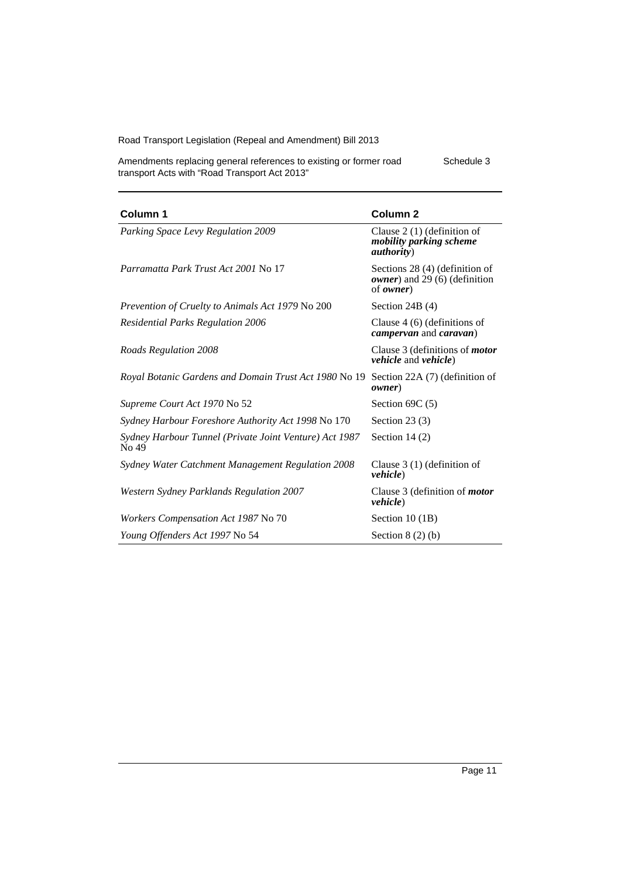Schedule 3

Amendments replacing general references to existing or former road transport Acts with "Road Transport Act 2013"

| Column 1                                                        | Column <sub>2</sub>                                                                          |  |
|-----------------------------------------------------------------|----------------------------------------------------------------------------------------------|--|
| Parking Space Levy Regulation 2009                              | Clause $2(1)$ (definition of<br>mobility parking scheme<br><i>authority</i> )                |  |
| Parramatta Park Trust Act 2001 No 17                            | Sections 28 (4) (definition of<br><i>owner</i> ) and 29 (6) (definition<br>of <i>owner</i> ) |  |
| Prevention of Cruelty to Animals Act 1979 No 200                | Section 24B $(4)$                                                                            |  |
| <b>Residential Parks Regulation 2006</b>                        | Clause $4(6)$ (definitions of<br><i>campervan</i> and <i>caravan</i> )                       |  |
| Roads Regulation 2008                                           | Clause 3 (definitions of <i>motor</i><br><i>vehicle</i> and <i>vehicle</i> )                 |  |
| Royal Botanic Gardens and Domain Trust Act 1980 No 19           | Section 22A (7) (definition of<br>owner)                                                     |  |
| Supreme Court Act 1970 No 52                                    | Section $69C(5)$                                                                             |  |
| Sydney Harbour Foreshore Authority Act 1998 No 170              | Section 23 $(3)$                                                                             |  |
| Sydney Harbour Tunnel (Private Joint Venture) Act 1987<br>No 49 | Section 14 $(2)$                                                                             |  |
| Sydney Water Catchment Management Regulation 2008               | Clause $3(1)$ (definition of<br><i>vehicle</i> )                                             |  |
| <b>Western Sydney Parklands Regulation 2007</b>                 | Clause 3 (definition of <i>motor</i><br><i>vehicle</i> )                                     |  |
| Workers Compensation Act 1987 No 70                             | Section $10(1B)$                                                                             |  |
| Young Offenders Act 1997 No 54                                  | Section $8(2)(b)$                                                                            |  |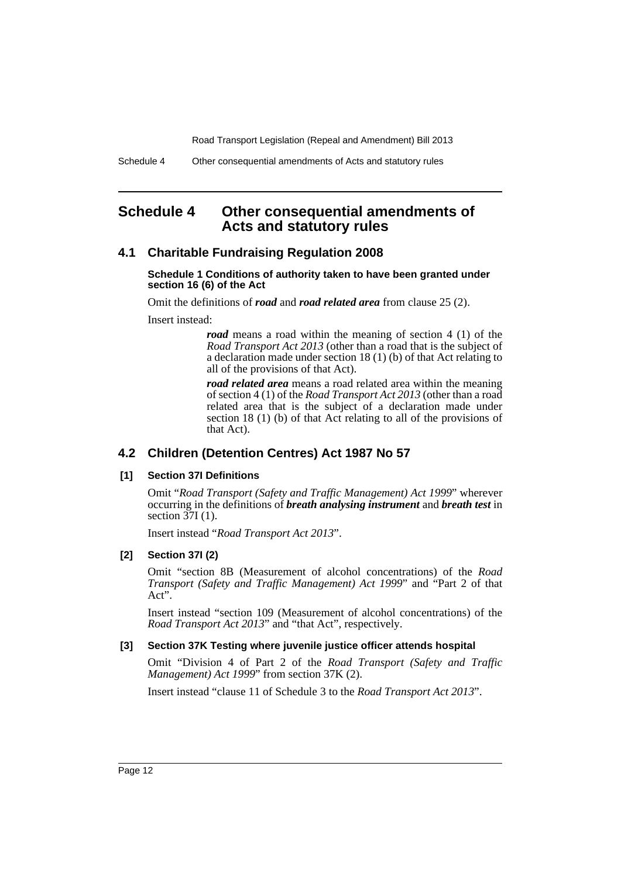# <span id="page-13-0"></span>**Schedule 4 Other consequential amendments of Acts and statutory rules**

# **4.1 Charitable Fundraising Regulation 2008**

#### **Schedule 1 Conditions of authority taken to have been granted under section 16 (6) of the Act**

Omit the definitions of *road* and *road related area* from clause 25 (2).

Insert instead:

*road* means a road within the meaning of section 4 (1) of the *Road Transport Act 2013* (other than a road that is the subject of a declaration made under section 18 (1) (b) of that Act relating to all of the provisions of that Act).

*road related area* means a road related area within the meaning of section 4 (1) of the *Road Transport Act 2013* (other than a road related area that is the subject of a declaration made under section 18 (1) (b) of that Act relating to all of the provisions of that Act).

# **4.2 Children (Detention Centres) Act 1987 No 57**

#### **[1] Section 37I Definitions**

Omit "*Road Transport (Safety and Traffic Management) Act 1999*" wherever occurring in the definitions of *breath analysing instrument* and *breath test* in section  $37I(1)$ .

Insert instead "*Road Transport Act 2013*".

#### **[2] Section 37I (2)**

Omit "section 8B (Measurement of alcohol concentrations) of the *Road Transport (Safety and Traffic Management) Act 1999*" and "Part 2 of that Act".

Insert instead "section 109 (Measurement of alcohol concentrations) of the *Road Transport Act 2013*" and "that Act", respectively.

#### **[3] Section 37K Testing where juvenile justice officer attends hospital**

Omit "Division 4 of Part 2 of the *Road Transport (Safety and Traffic Management) Act 1999*" from section 37K (2).

Insert instead "clause 11 of Schedule 3 to the *Road Transport Act 2013*".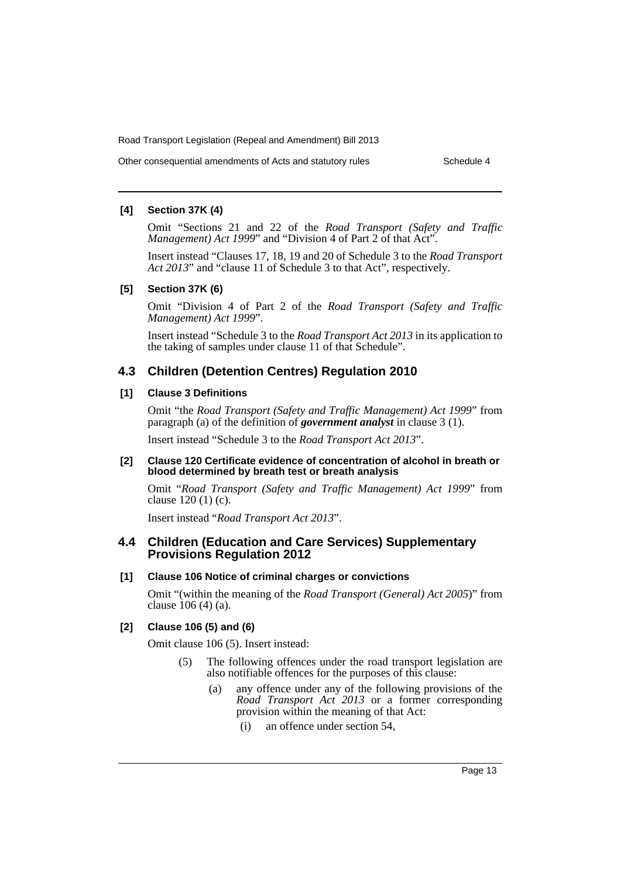Other consequential amendments of Acts and statutory rules Schedule 4

#### **[4] Section 37K (4)**

Omit "Sections 21 and 22 of the *Road Transport (Safety and Traffic Management) Act 1999*" and "Division 4 of Part 2 of that Act".

Insert instead "Clauses 17, 18, 19 and 20 of Schedule 3 to the *Road Transport Act 2013*" and "clause 11 of Schedule 3 to that Act", respectively.

#### **[5] Section 37K (6)**

Omit "Division 4 of Part 2 of the *Road Transport (Safety and Traffic Management) Act 1999*".

Insert instead "Schedule 3 to the *Road Transport Act 2013* in its application to the taking of samples under clause 11 of that Schedule".

# **4.3 Children (Detention Centres) Regulation 2010**

# **[1] Clause 3 Definitions**

Omit "the *Road Transport (Safety and Traffic Management) Act 1999*" from paragraph (a) of the definition of *government analyst* in clause 3 (1).

Insert instead "Schedule 3 to the *Road Transport Act 2013*".

#### **[2] Clause 120 Certificate evidence of concentration of alcohol in breath or blood determined by breath test or breath analysis**

Omit "*Road Transport (Safety and Traffic Management) Act 1999*" from clause 120 (1) (c).

Insert instead "*Road Transport Act 2013*".

# **4.4 Children (Education and Care Services) Supplementary Provisions Regulation 2012**

# **[1] Clause 106 Notice of criminal charges or convictions**

Omit "(within the meaning of the *Road Transport (General) Act 2005*)" from clause 106 (4) (a).

#### **[2] Clause 106 (5) and (6)**

Omit clause 106 (5). Insert instead:

- (5) The following offences under the road transport legislation are also notifiable offences for the purposes of this clause:
	- (a) any offence under any of the following provisions of the *Road Transport Act 2013* or a former corresponding provision within the meaning of that Act:
		- (i) an offence under section 54,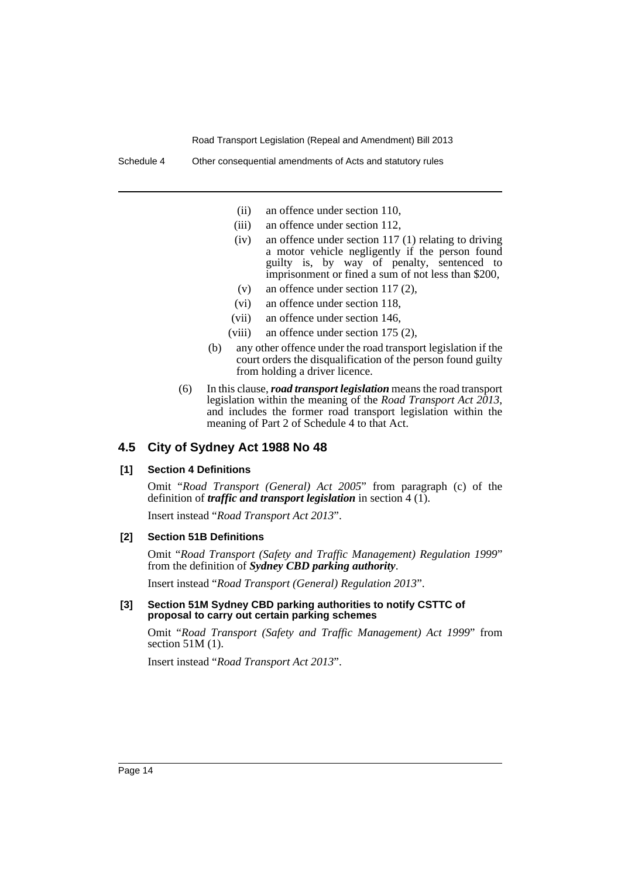- (ii) an offence under section 110,
- (iii) an offence under section 112,
- (iv) an offence under section 117 (1) relating to driving a motor vehicle negligently if the person found guilty is, by way of penalty, sentenced to imprisonment or fined a sum of not less than \$200,
- (v) an offence under section 117 (2),
- (vi) an offence under section 118,
- (vii) an offence under section 146,
- (viii) an offence under section 175 (2),
- (b) any other offence under the road transport legislation if the court orders the disqualification of the person found guilty from holding a driver licence.
- (6) In this clause, *road transport legislation* means the road transport legislation within the meaning of the *Road Transport Act 2013*, and includes the former road transport legislation within the meaning of Part 2 of Schedule 4 to that Act.

#### **4.5 City of Sydney Act 1988 No 48**

#### **[1] Section 4 Definitions**

Omit "*Road Transport (General) Act 2005*" from paragraph (c) of the definition of *traffic and transport legislation* in section 4 (1).

Insert instead "*Road Transport Act 2013*".

#### **[2] Section 51B Definitions**

Omit "*Road Transport (Safety and Traffic Management) Regulation 1999*" from the definition of *Sydney CBD parking authority*.

Insert instead "*Road Transport (General) Regulation 2013*".

#### **[3] Section 51M Sydney CBD parking authorities to notify CSTTC of proposal to carry out certain parking schemes**

Omit "*Road Transport (Safety and Traffic Management) Act 1999*" from section 51M (1).

Insert instead "*Road Transport Act 2013*".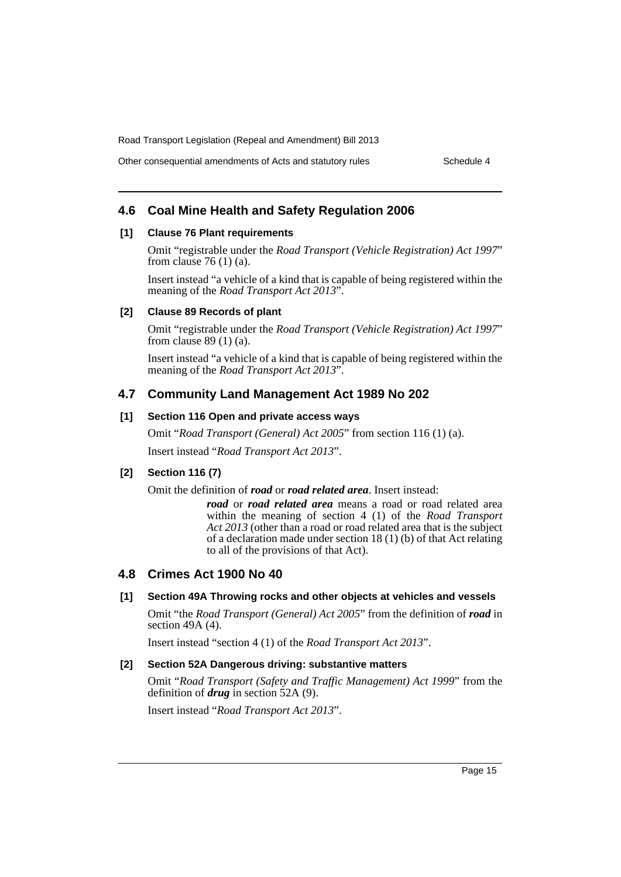Other consequential amendments of Acts and statutory rules Schedule 4

# **4.6 Coal Mine Health and Safety Regulation 2006**

#### **[1] Clause 76 Plant requirements**

Omit "registrable under the *Road Transport (Vehicle Registration) Act 1997*" from clause  $76(1)(a)$ .

Insert instead "a vehicle of a kind that is capable of being registered within the meaning of the *Road Transport Act 2013*".

#### **[2] Clause 89 Records of plant**

Omit "registrable under the *Road Transport (Vehicle Registration) Act 1997*" from clause  $89(1)(a)$ .

Insert instead "a vehicle of a kind that is capable of being registered within the meaning of the *Road Transport Act 2013*".

# **4.7 Community Land Management Act 1989 No 202**

## **[1] Section 116 Open and private access ways**

Omit "*Road Transport (General) Act 2005*" from section 116 (1) (a).

Insert instead "*Road Transport Act 2013*".

## **[2] Section 116 (7)**

Omit the definition of *road* or *road related area*. Insert instead:

*road* or *road related area* means a road or road related area within the meaning of section 4 (1) of the *Road Transport Act 2013* (other than a road or road related area that is the subject of a declaration made under section 18 (1) (b) of that Act relating to all of the provisions of that Act).

# **4.8 Crimes Act 1900 No 40**

### **[1] Section 49A Throwing rocks and other objects at vehicles and vessels**

Omit "the *Road Transport (General) Act 2005*" from the definition of *road* in section 49A (4).

Insert instead "section 4 (1) of the *Road Transport Act 2013*".

#### **[2] Section 52A Dangerous driving: substantive matters**

Omit "*Road Transport (Safety and Traffic Management) Act 1999*" from the definition of *drug* in section 52A (9).

Insert instead "*Road Transport Act 2013*".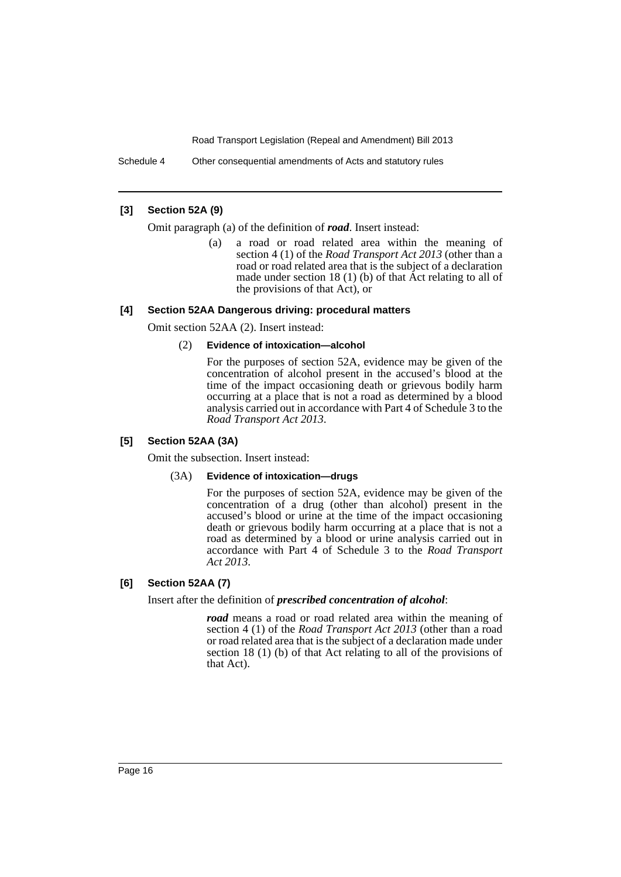Schedule 4 Other consequential amendments of Acts and statutory rules

## **[3] Section 52A (9)**

Omit paragraph (a) of the definition of *road*. Insert instead:

(a) a road or road related area within the meaning of section 4 (1) of the *Road Transport Act 2013* (other than a road or road related area that is the subject of a declaration made under section 18 (1) (b) of that Act relating to all of the provisions of that Act), or

#### **[4] Section 52AA Dangerous driving: procedural matters**

Omit section 52AA (2). Insert instead:

#### (2) **Evidence of intoxication—alcohol**

For the purposes of section 52A, evidence may be given of the concentration of alcohol present in the accused's blood at the time of the impact occasioning death or grievous bodily harm occurring at a place that is not a road as determined by a blood analysis carried out in accordance with Part 4 of Schedule 3 to the *Road Transport Act 2013*.

## **[5] Section 52AA (3A)**

Omit the subsection. Insert instead:

#### (3A) **Evidence of intoxication—drugs**

For the purposes of section 52A, evidence may be given of the concentration of a drug (other than alcohol) present in the accused's blood or urine at the time of the impact occasioning death or grievous bodily harm occurring at a place that is not a road as determined by a blood or urine analysis carried out in accordance with Part 4 of Schedule 3 to the *Road Transport Act 2013*.

# **[6] Section 52AA (7)**

Insert after the definition of *prescribed concentration of alcohol*:

*road* means a road or road related area within the meaning of section 4 (1) of the *Road Transport Act 2013* (other than a road or road related area that is the subject of a declaration made under section 18 (1) (b) of that Act relating to all of the provisions of that Act).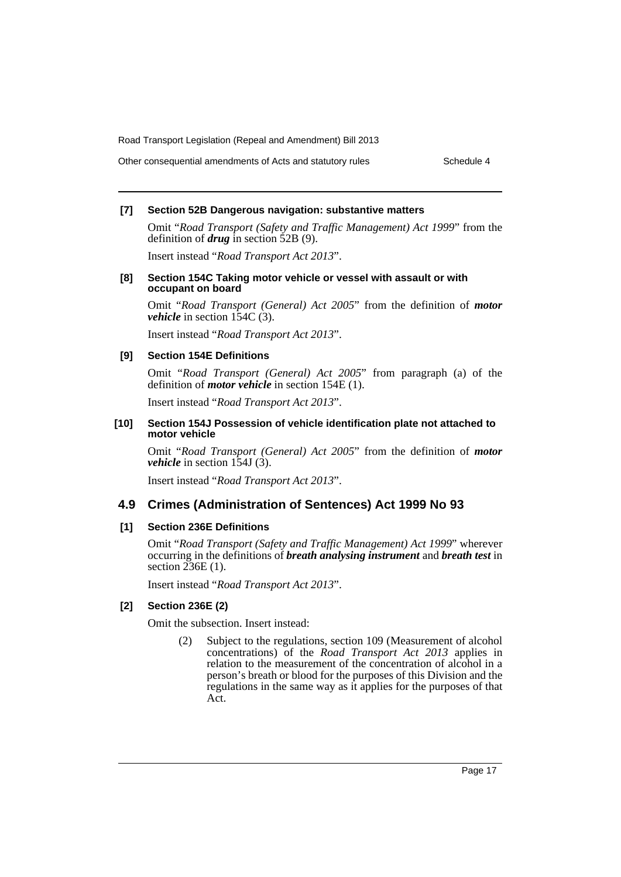Other consequential amendments of Acts and statutory rules Schedule 4

#### **[7] Section 52B Dangerous navigation: substantive matters**

Omit "*Road Transport (Safety and Traffic Management) Act 1999*" from the definition of *drug* in section 52B (9).

Insert instead "*Road Transport Act 2013*".

#### **[8] Section 154C Taking motor vehicle or vessel with assault or with occupant on board**

Omit "*Road Transport (General) Act 2005*" from the definition of *motor vehicle* in section 154C (3).

Insert instead "*Road Transport Act 2013*".

#### **[9] Section 154E Definitions**

Omit "*Road Transport (General) Act 2005*" from paragraph (a) of the definition of *motor vehicle* in section 154E (1).

Insert instead "*Road Transport Act 2013*".

#### **[10] Section 154J Possession of vehicle identification plate not attached to motor vehicle**

Omit "*Road Transport (General) Act 2005*" from the definition of *motor vehicle* in section 154J (3).

Insert instead "*Road Transport Act 2013*".

#### **4.9 Crimes (Administration of Sentences) Act 1999 No 93**

#### **[1] Section 236E Definitions**

Omit "*Road Transport (Safety and Traffic Management) Act 1999*" wherever occurring in the definitions of *breath analysing instrument* and *breath test* in section 236E (1).

Insert instead "*Road Transport Act 2013*".

## **[2] Section 236E (2)**

Omit the subsection. Insert instead:

(2) Subject to the regulations, section 109 (Measurement of alcohol concentrations) of the *Road Transport Act 2013* applies in relation to the measurement of the concentration of alcohol in a person's breath or blood for the purposes of this Division and the regulations in the same way as it applies for the purposes of that Act.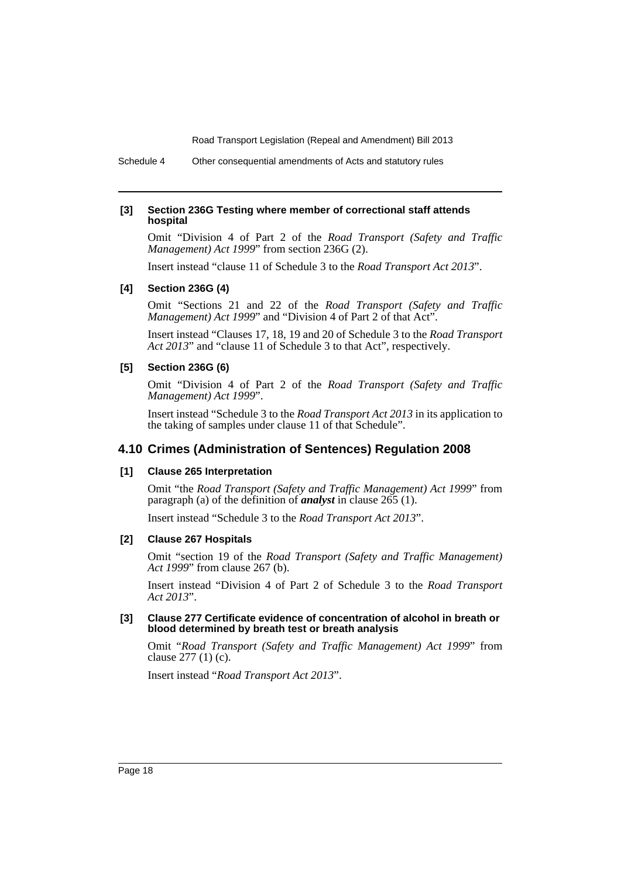Schedule 4 Other consequential amendments of Acts and statutory rules

#### **[3] Section 236G Testing where member of correctional staff attends hospital**

Omit "Division 4 of Part 2 of the *Road Transport (Safety and Traffic Management) Act 1999*" from section 236G (2).

Insert instead "clause 11 of Schedule 3 to the *Road Transport Act 2013*".

#### **[4] Section 236G (4)**

Omit "Sections 21 and 22 of the *Road Transport (Safety and Traffic Management) Act 1999*" and "Division 4 of Part 2 of that Act".

Insert instead "Clauses 17, 18, 19 and 20 of Schedule 3 to the *Road Transport Act 2013*" and "clause 11 of Schedule 3 to that Act", respectively.

#### **[5] Section 236G (6)**

Omit "Division 4 of Part 2 of the *Road Transport (Safety and Traffic Management) Act 1999*".

Insert instead "Schedule 3 to the *Road Transport Act 2013* in its application to the taking of samples under clause 11 of that Schedule".

# **4.10 Crimes (Administration of Sentences) Regulation 2008**

#### **[1] Clause 265 Interpretation**

Omit "the *Road Transport (Safety and Traffic Management) Act 1999*" from paragraph (a) of the definition of *analyst* in clause 265 (1).

Insert instead "Schedule 3 to the *Road Transport Act 2013*".

#### **[2] Clause 267 Hospitals**

Omit "section 19 of the *Road Transport (Safety and Traffic Management) Act 1999*" from clause 267 (b).

Insert instead "Division 4 of Part 2 of Schedule 3 to the *Road Transport Act 2013*".

#### **[3] Clause 277 Certificate evidence of concentration of alcohol in breath or blood determined by breath test or breath analysis**

Omit "*Road Transport (Safety and Traffic Management) Act 1999*" from clause 277 (1) (c).

Insert instead "*Road Transport Act 2013*".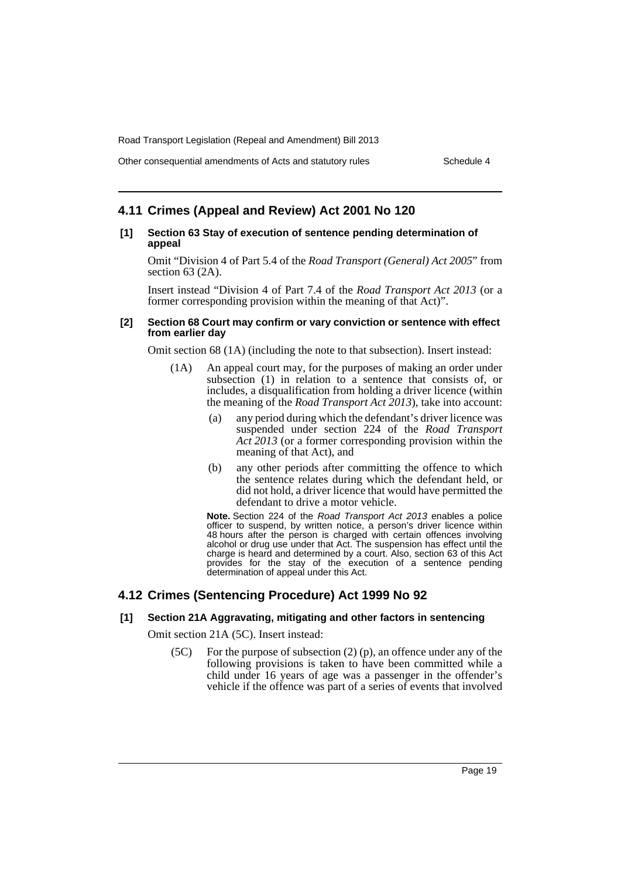Other consequential amendments of Acts and statutory rules Schedule 4

# **4.11 Crimes (Appeal and Review) Act 2001 No 120**

#### **[1] Section 63 Stay of execution of sentence pending determination of appeal**

Omit "Division 4 of Part 5.4 of the *Road Transport (General) Act 2005*" from section 63 (2A).

Insert instead "Division 4 of Part 7.4 of the *Road Transport Act 2013* (or a former corresponding provision within the meaning of that Act)".

#### **[2] Section 68 Court may confirm or vary conviction or sentence with effect from earlier day**

Omit section 68 (1A) (including the note to that subsection). Insert instead:

- (1A) An appeal court may, for the purposes of making an order under subsection (1) in relation to a sentence that consists of, or includes, a disqualification from holding a driver licence (within the meaning of the *Road Transport Act 2013*), take into account:
	- (a) any period during which the defendant's driver licence was suspended under section 224 of the *Road Transport Act 2013* (or a former corresponding provision within the meaning of that Act), and
	- (b) any other periods after committing the offence to which the sentence relates during which the defendant held, or did not hold, a driver licence that would have permitted the defendant to drive a motor vehicle.

**Note.** Section 224 of the *Road Transport Act 2013* enables a police officer to suspend, by written notice, a person's driver licence within 48 hours after the person is charged with certain offences involving alcohol or drug use under that Act. The suspension has effect until the charge is heard and determined by a court. Also, section 63 of this Act provides for the stay of the execution of a sentence pending determination of appeal under this Act.

# **4.12 Crimes (Sentencing Procedure) Act 1999 No 92**

# **[1] Section 21A Aggravating, mitigating and other factors in sentencing**

Omit section 21A (5C). Insert instead:

(5C) For the purpose of subsection (2) (p), an offence under any of the following provisions is taken to have been committed while a child under 16 years of age was a passenger in the offender's vehicle if the offence was part of a series of events that involved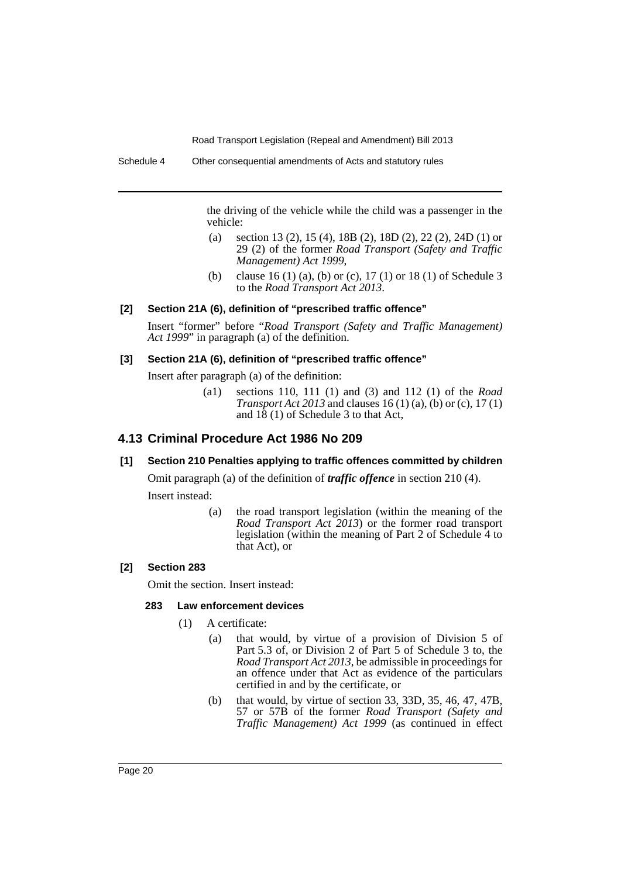the driving of the vehicle while the child was a passenger in the vehicle:

- (a) section 13 (2), 15 (4), 18B (2), 18D (2), 22 (2), 24D (1) or 29 (2) of the former *Road Transport (Safety and Traffic Management) Act 1999*,
- (b) clause 16 (1) (a), (b) or (c), 17 (1) or 18 (1) of Schedule 3 to the *Road Transport Act 2013*.

#### **[2] Section 21A (6), definition of "prescribed traffic offence"**

Insert "former" before "*Road Transport (Safety and Traffic Management) Act 1999*" in paragraph (a) of the definition.

#### **[3] Section 21A (6), definition of "prescribed traffic offence"**

Insert after paragraph (a) of the definition:

(a1) sections 110, 111 (1) and (3) and 112 (1) of the *Road Transport Act 2013* and clauses 16 (1) (a), (b) or (c), 17 (1) and 18 (1) of Schedule 3 to that Act,

# **4.13 Criminal Procedure Act 1986 No 209**

# **[1] Section 210 Penalties applying to traffic offences committed by children**

Omit paragraph (a) of the definition of *traffic offence* in section 210 (4).

Insert instead:

(a) the road transport legislation (within the meaning of the *Road Transport Act 2013*) or the former road transport legislation (within the meaning of Part 2 of Schedule 4 to that Act), or

# **[2] Section 283**

Omit the section. Insert instead:

#### **283 Law enforcement devices**

- (1) A certificate:
	- (a) that would, by virtue of a provision of Division 5 of Part 5.3 of, or Division 2 of Part 5 of Schedule 3 to, the *Road Transport Act 2013*, be admissible in proceedings for an offence under that Act as evidence of the particulars certified in and by the certificate, or
	- (b) that would, by virtue of section 33, 33D, 35, 46, 47, 47B, 57 or 57B of the former *Road Transport (Safety and Traffic Management) Act 1999* (as continued in effect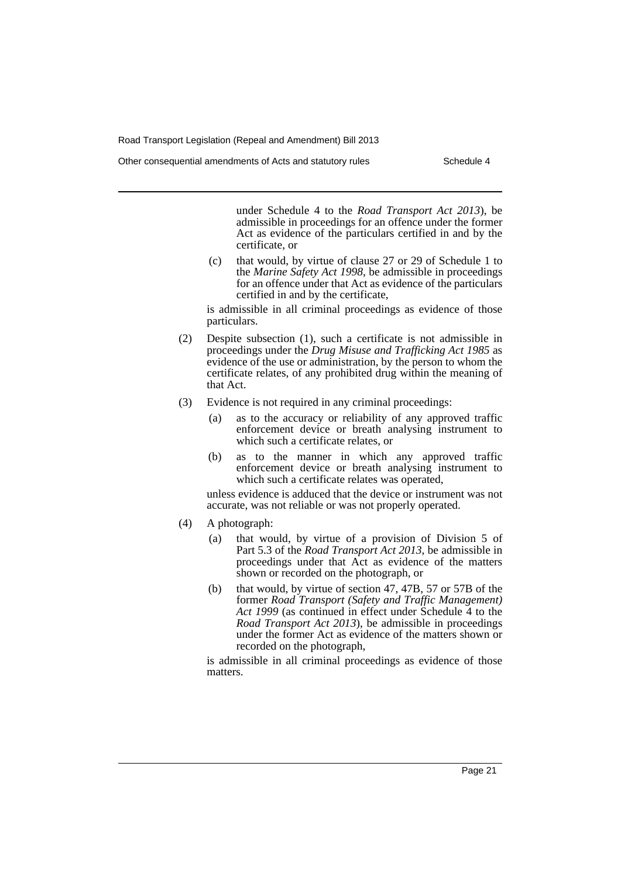under Schedule 4 to the *Road Transport Act 2013*), be admissible in proceedings for an offence under the former Act as evidence of the particulars certified in and by the certificate, or

(c) that would, by virtue of clause 27 or 29 of Schedule 1 to the *Marine Safety Act 1998*, be admissible in proceedings for an offence under that Act as evidence of the particulars certified in and by the certificate,

is admissible in all criminal proceedings as evidence of those particulars.

- (2) Despite subsection (1), such a certificate is not admissible in proceedings under the *Drug Misuse and Trafficking Act 1985* as evidence of the use or administration, by the person to whom the certificate relates, of any prohibited drug within the meaning of that Act.
- (3) Evidence is not required in any criminal proceedings:
	- (a) as to the accuracy or reliability of any approved traffic enforcement device or breath analysing instrument to which such a certificate relates, or
	- (b) as to the manner in which any approved traffic enforcement device or breath analysing instrument to which such a certificate relates was operated,

unless evidence is adduced that the device or instrument was not accurate, was not reliable or was not properly operated.

- (4) A photograph:
	- (a) that would, by virtue of a provision of Division 5 of Part 5.3 of the *Road Transport Act 2013*, be admissible in proceedings under that Act as evidence of the matters shown or recorded on the photograph, or
	- (b) that would, by virtue of section 47, 47B, 57 or 57B of the former *Road Transport (Safety and Traffic Management)* Act 1999 (as continued in effect under Schedule 4 to the *Road Transport Act 2013*), be admissible in proceedings under the former Act as evidence of the matters shown or recorded on the photograph,

is admissible in all criminal proceedings as evidence of those matters.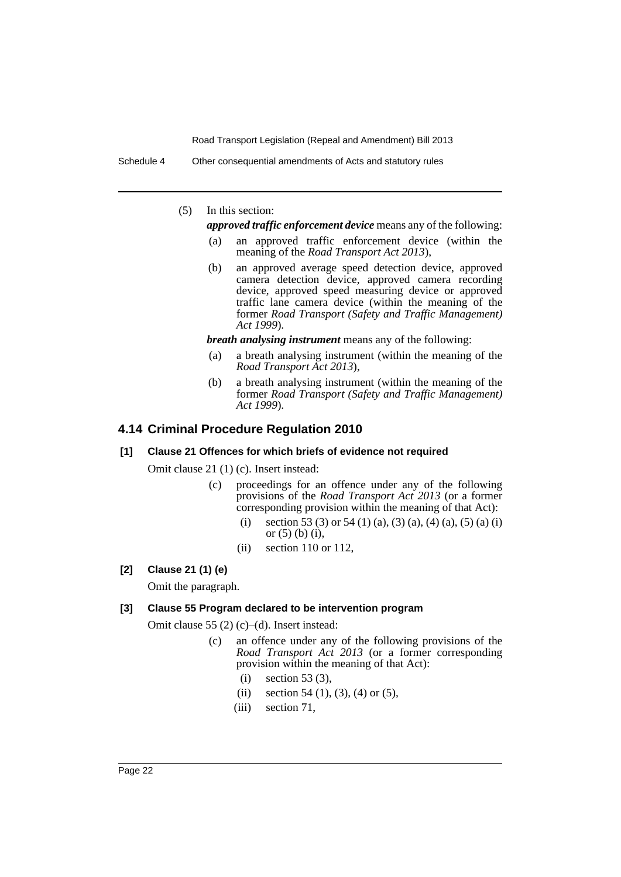Schedule 4 Other consequential amendments of Acts and statutory rules

(5) In this section:

*approved traffic enforcement device* means any of the following:

- (a) an approved traffic enforcement device (within the meaning of the *Road Transport Act 2013*),
- (b) an approved average speed detection device, approved camera detection device, approved camera recording device, approved speed measuring device or approved traffic lane camera device (within the meaning of the former *Road Transport (Safety and Traffic Management) Act 1999*).

*breath analysing instrument* means any of the following:

- (a) a breath analysing instrument (within the meaning of the *Road Transport Act 2013*),
- (b) a breath analysing instrument (within the meaning of the former *Road Transport (Safety and Traffic Management) Act 1999*).

# **4.14 Criminal Procedure Regulation 2010**

## **[1] Clause 21 Offences for which briefs of evidence not required**

Omit clause 21 (1) (c). Insert instead:

- (c) proceedings for an offence under any of the following provisions of the *Road Transport Act 2013* (or a former corresponding provision within the meaning of that Act):
	- (i) section 53 (3) or 54 (1) (a), (3) (a), (4) (a), (5) (a) (i) or (5) (b) (i),
	- $(ii)$  section 110 or 112,

#### **[2] Clause 21 (1) (e)**

Omit the paragraph.

#### **[3] Clause 55 Program declared to be intervention program**

Omit clause 55 (2) (c)–(d). Insert instead:

- (c) an offence under any of the following provisions of the *Road Transport Act 2013* (or a former corresponding provision within the meaning of that Act):
	- (i) section 53 (3),
	- (ii) section 54 (1), (3), (4) or (5),
	- (iii) section 71,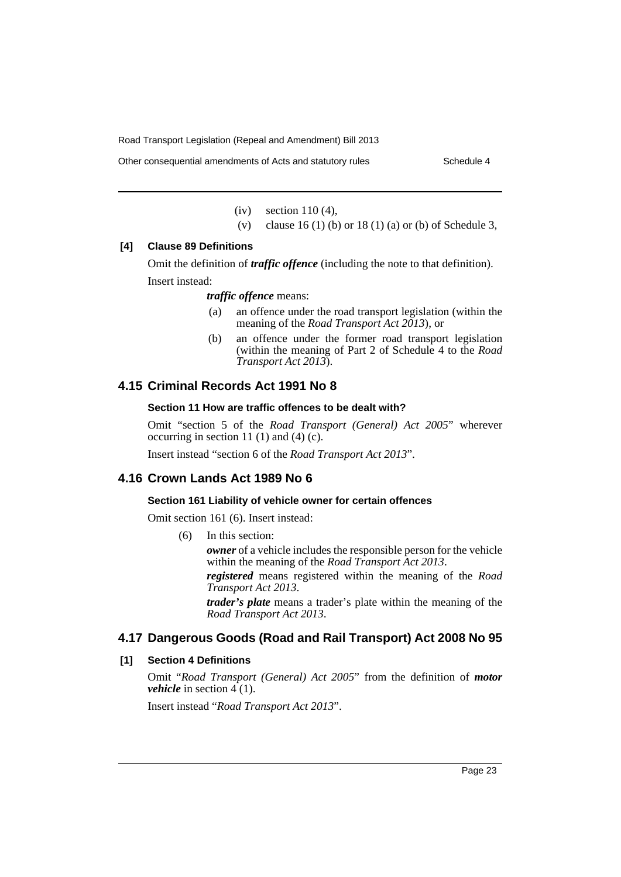Other consequential amendments of Acts and statutory rules Schedule 4

(iv) section 110 (4),

(v) clause 16 (1) (b) or 18 (1) (a) or (b) of Schedule 3,

# **[4] Clause 89 Definitions**

Omit the definition of *traffic offence* (including the note to that definition). Insert instead:

*traffic offence* means:

- (a) an offence under the road transport legislation (within the meaning of the *Road Transport Act 2013*), or
- (b) an offence under the former road transport legislation (within the meaning of Part 2 of Schedule 4 to the *Road Transport Act 2013*).

# **4.15 Criminal Records Act 1991 No 8**

#### **Section 11 How are traffic offences to be dealt with?**

Omit "section 5 of the *Road Transport (General) Act 2005*" wherever occurring in section 11 $(1)$  and  $(4)$  $(c)$ .

Insert instead "section 6 of the *Road Transport Act 2013*".

# **4.16 Crown Lands Act 1989 No 6**

## **Section 161 Liability of vehicle owner for certain offences**

Omit section 161 (6). Insert instead:

(6) In this section:

*owner* of a vehicle includes the responsible person for the vehicle within the meaning of the *Road Transport Act 2013*.

*registered* means registered within the meaning of the *Road Transport Act 2013*.

*trader's plate* means a trader's plate within the meaning of the *Road Transport Act 2013*.

# **4.17 Dangerous Goods (Road and Rail Transport) Act 2008 No 95**

#### **[1] Section 4 Definitions**

Omit "*Road Transport (General) Act 2005*" from the definition of *motor vehicle* in section  $4(1)$ .

Insert instead "*Road Transport Act 2013*".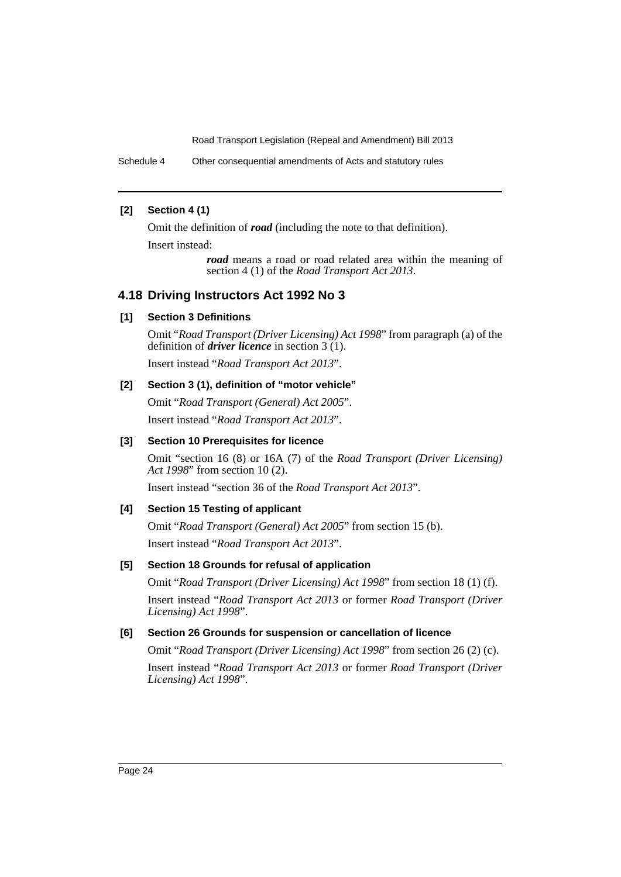Schedule 4 Other consequential amendments of Acts and statutory rules

# **[2] Section 4 (1)**

Omit the definition of *road* (including the note to that definition).

Insert instead:

*road* means a road or road related area within the meaning of section 4 (1) of the *Road Transport Act 2013*.

# **4.18 Driving Instructors Act 1992 No 3**

# **[1] Section 3 Definitions**

Omit "*Road Transport (Driver Licensing) Act 1998*" from paragraph (a) of the definition of *driver licence* in section 3 (1).

Insert instead "*Road Transport Act 2013*".

# **[2] Section 3 (1), definition of "motor vehicle"**

Omit "*Road Transport (General) Act 2005*". Insert instead "*Road Transport Act 2013*".

# **[3] Section 10 Prerequisites for licence**

Omit "section 16 (8) or 16A (7) of the *Road Transport (Driver Licensing) Act 1998*" from section 10 (2).

Insert instead "section 36 of the *Road Transport Act 2013*".

# **[4] Section 15 Testing of applicant**

Omit "*Road Transport (General) Act 2005*" from section 15 (b). Insert instead "*Road Transport Act 2013*".

# **[5] Section 18 Grounds for refusal of application**

Omit "*Road Transport (Driver Licensing) Act 1998*" from section 18 (1) (f). Insert instead "*Road Transport Act 2013* or former *Road Transport (Driver Licensing) Act 1998*".

# **[6] Section 26 Grounds for suspension or cancellation of licence**

Omit "*Road Transport (Driver Licensing) Act 1998*" from section 26 (2) (c).

Insert instead "*Road Transport Act 2013* or former *Road Transport (Driver Licensing) Act 1998*".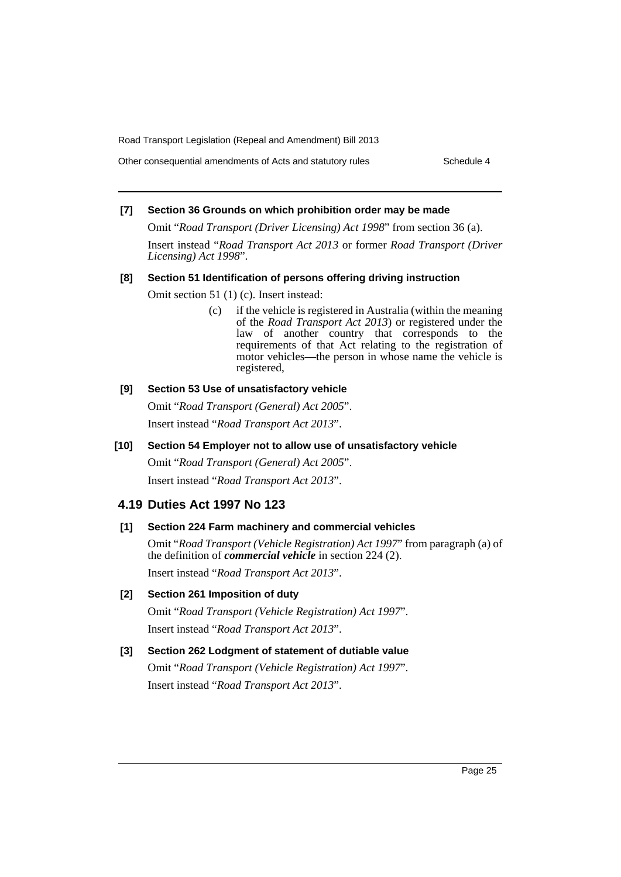Other consequential amendments of Acts and statutory rules Schedule 4

# **[7] Section 36 Grounds on which prohibition order may be made**

Omit "*Road Transport (Driver Licensing) Act 1998*" from section 36 (a).

Insert instead "*Road Transport Act 2013* or former *Road Transport (Driver Licensing) Act 1998*".

#### **[8] Section 51 Identification of persons offering driving instruction**

Omit section 51 (1) (c). Insert instead:

(c) if the vehicle is registered in Australia (within the meaning of the *Road Transport Act 2013*) or registered under the law of another country that corresponds to the requirements of that Act relating to the registration of motor vehicles—the person in whose name the vehicle is registered,

#### **[9] Section 53 Use of unsatisfactory vehicle**

Omit "*Road Transport (General) Act 2005*". Insert instead "*Road Transport Act 2013*".

#### **[10] Section 54 Employer not to allow use of unsatisfactory vehicle**

Omit "*Road Transport (General) Act 2005*". Insert instead "*Road Transport Act 2013*".

# **4.19 Duties Act 1997 No 123**

#### **[1] Section 224 Farm machinery and commercial vehicles**

Omit "*Road Transport (Vehicle Registration) Act 1997*" from paragraph (a) of the definition of *commercial vehicle* in section 224 (2). Insert instead "*Road Transport Act 2013*".

#### **[2] Section 261 Imposition of duty**

Omit "*Road Transport (Vehicle Registration) Act 1997*". Insert instead "*Road Transport Act 2013*".

# **[3] Section 262 Lodgment of statement of dutiable value** Omit "*Road Transport (Vehicle Registration) Act 1997*". Insert instead "*Road Transport Act 2013*".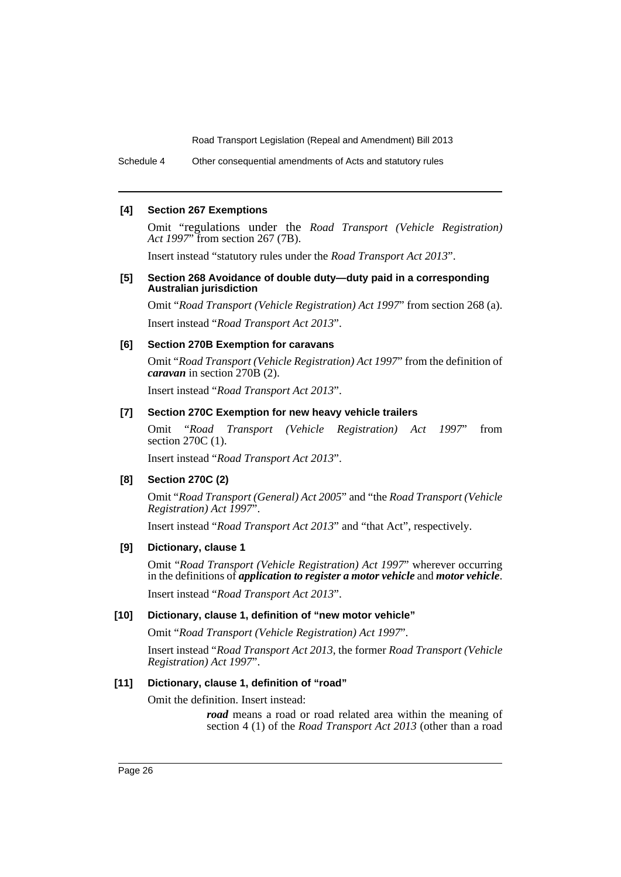Schedule 4 Other consequential amendments of Acts and statutory rules

#### **[4] Section 267 Exemptions**

Omit "[regulations under the](/xref/inforce/?xref=Type%3Dact AND Year%3D1997 AND no%3D119&nohits=y) *Road Transport (Vehicle Registration) Act 1997*" from section 267 (7B).

Insert instead "statutory rules under the *Road Transport Act 2013*".

#### **[5] Section 268 Avoidance of double duty—duty paid in a corresponding Australian jurisdiction**

Omit "*Road Transport (Vehicle Registration) Act 1997*" from section 268 (a). Insert instead "*Road Transport Act 2013*".

#### **[6] Section 270B Exemption for caravans**

Omit "*Road Transport (Vehicle Registration) Act 1997*" from the definition of *caravan* in section 270B (2).

Insert instead "*Road Transport Act 2013*".

### **[7] Section 270C Exemption for new heavy vehicle trailers**

Omit "*Road Transport (Vehicle Registration) Act 1997*" from section 270C (1).

Insert instead "*Road Transport Act 2013*".

#### **[8] Section 270C (2)**

Omit "*Road Transport (General) Act 2005*" and "the *Road Transport (Vehicle Registration) Act 1997*".

Insert instead "*Road Transport Act 2013*" and "that Act", respectively.

#### **[9] Dictionary, clause 1**

Omit "*Road Transport (Vehicle Registration) Act 1997*" wherever occurring in the definitions of *application to register a motor vehicle* and *motor vehicle*. Insert instead "*Road Transport Act 2013*".

#### **[10] Dictionary, clause 1, definition of "new motor vehicle"**

Omit "*Road Transport (Vehicle Registration) Act 1997*".

Insert instead "*Road Transport Act 2013*, the former *Road Transport (Vehicle Registration) Act 1997*".

#### **[11] Dictionary, clause 1, definition of "road"**

Omit the definition. Insert instead:

*road* means a road or road related area within the meaning of section 4 (1) of the *Road Transport Act 2013* (other than a road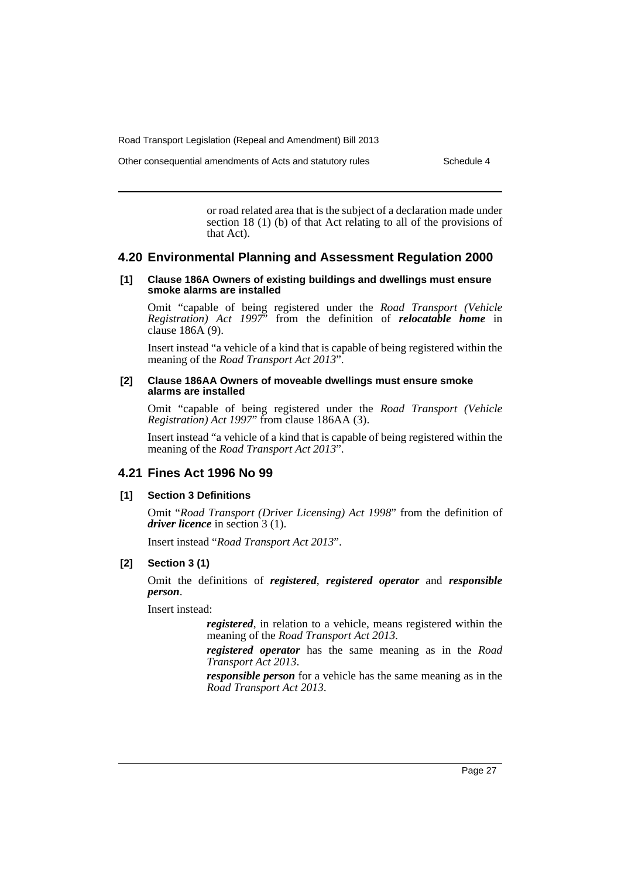Other consequential amendments of Acts and statutory rules Schedule 4

or road related area that is the subject of a declaration made under section 18 (1) (b) of that Act relating to all of the provisions of that Act).

#### **4.20 Environmental Planning and Assessment Regulation 2000**

#### **[1] Clause 186A Owners of existing buildings and dwellings must ensure smoke alarms are installed**

Omit "capable of being registered under the *Road Transport (Vehicle Registration) Act 1997*" from the definition of *relocatable home* in clause 186A (9).

Insert instead "a vehicle of a kind that is capable of being registered within the meaning of the *Road Transport Act 2013*".

#### **[2] Clause 186AA Owners of moveable dwellings must ensure smoke alarms are installed**

Omit "capable of being registered under the *Road Transport (Vehicle Registration) Act 1997*" from clause 186AA (3).

Insert instead "a vehicle of a kind that is capable of being registered within the meaning of the *Road Transport Act 2013*".

# **4.21 Fines Act 1996 No 99**

# **[1] Section 3 Definitions**

Omit "*Road Transport (Driver Licensing) Act 1998*" from the definition of *driver licence* in section 3 (1).

Insert instead "*Road Transport Act 2013*".

#### **[2] Section 3 (1)**

Omit the definitions of *registered*, *registered operator* and *responsible person*.

Insert instead:

*registered*, in relation to a vehicle, means registered within the meaning of the *Road Transport Act 2013*.

*registered operator* has the same meaning as in the *Road Transport Act 2013*.

*responsible person* for a vehicle has the same meaning as in the *Road Transport Act 2013*.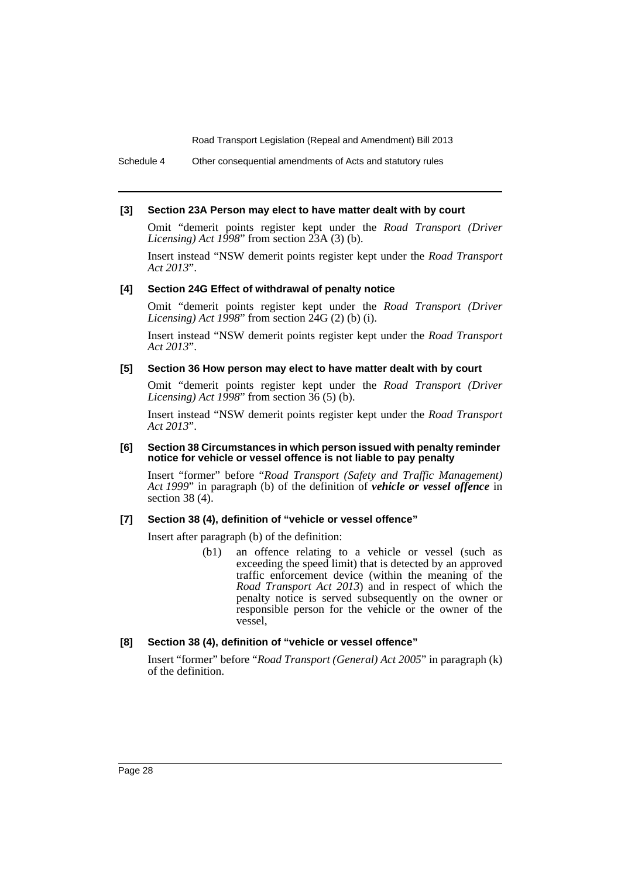Schedule 4 Other consequential amendments of Acts and statutory rules

#### **[3] Section 23A Person may elect to have matter dealt with by court**

Omit "demerit points register kept under the *Road Transport (Driver Licensing) Act 1998*" from section 23A (3) (b).

Insert instead "NSW demerit points register kept under the *Road Transport Act 2013*".

#### **[4] Section 24G Effect of withdrawal of penalty notice**

Omit "demerit points register kept under the *Road Transport (Driver Licensing) Act 1998*" from section 24G (2) (b) (i).

Insert instead "NSW demerit points register kept under the *Road Transport Act 2013*".

#### **[5] Section 36 How person may elect to have matter dealt with by court**

Omit "demerit points register kept under the *Road Transport (Driver Licensing) Act 1998*" from section 36 (5) (b).

Insert instead "NSW demerit points register kept under the *Road Transport Act 2013*".

#### **[6] Section 38 Circumstances in which person issued with penalty reminder notice for vehicle or vessel offence is not liable to pay penalty**

Insert "former" before "*Road Transport (Safety and Traffic Management) Act 1999*" in paragraph (b) of the definition of *vehicle or vessel offence* in section 38 $(4)$ .

# **[7] Section 38 (4), definition of "vehicle or vessel offence"**

Insert after paragraph (b) of the definition:

(b1) an offence relating to a vehicle or vessel (such as exceeding the speed limit) that is detected by an approved traffic enforcement device (within the meaning of the *Road Transport Act 2013*) and in respect of which the penalty notice is served subsequently on the owner or responsible person for the vehicle or the owner of the vessel,

# **[8] Section 38 (4), definition of "vehicle or vessel offence"**

Insert "former" before "*Road Transport (General) Act 2005*" in paragraph (k) of the definition.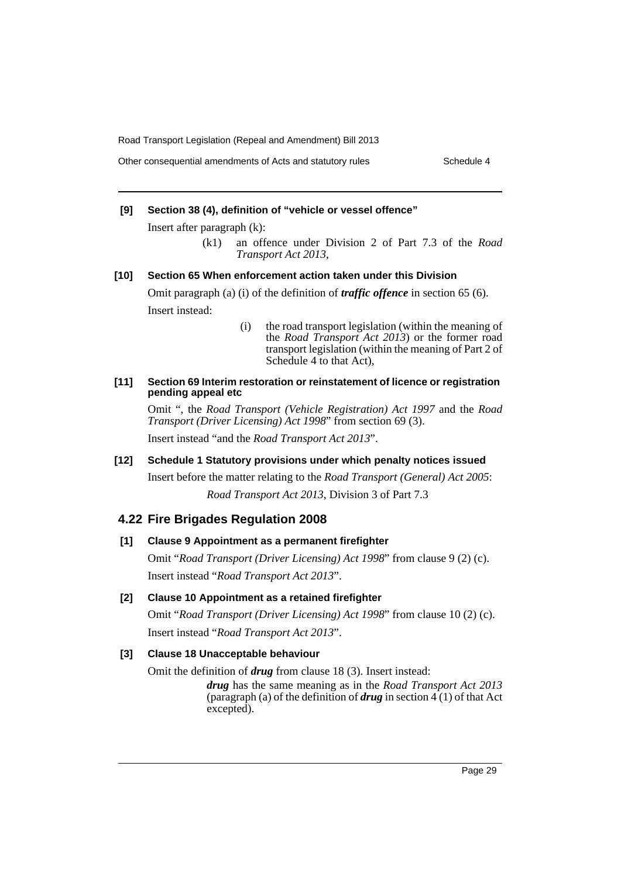# **[9] Section 38 (4), definition of "vehicle or vessel offence"**

Insert after paragraph (k):

(k1) an offence under Division 2 of Part 7.3 of the *Road Transport Act 2013*,

#### **[10] Section 65 When enforcement action taken under this Division**

Omit paragraph (a) (i) of the definition of *traffic offence* in section 65 (6). Insert instead:

> (i) the road transport legislation (within the meaning of the *Road Transport Act 2013*) or the former road transport legislation (within the meaning of Part 2 of Schedule 4 to that Act),

#### **[11] Section 69 Interim restoration or reinstatement of licence or registration pending appeal etc**

Omit ", the *Road Transport (Vehicle Registration) Act 1997* and the *Road Transport (Driver Licensing) Act 1998*" from section 69 (3).

Insert instead "and the *Road Transport Act 2013*".

#### **[12] Schedule 1 Statutory provisions under which penalty notices issued**

Insert before the matter relating to the *Road Transport (General) Act 2005*:

*Road Transport Act 2013*, Division 3 of Part 7.3

# **4.22 Fire Brigades Regulation 2008**

# **[1] Clause 9 Appointment as a permanent firefighter**

Omit "*Road Transport (Driver Licensing) Act 1998*" from clause 9 (2) (c). Insert instead "*Road Transport Act 2013*".

# **[2] Clause 10 Appointment as a retained firefighter**

Omit "*Road Transport (Driver Licensing) Act 1998*" from clause 10 (2) (c). Insert instead "*Road Transport Act 2013*".

#### **[3] Clause 18 Unacceptable behaviour**

Omit the definition of *drug* from clause 18 (3). Insert instead:

*drug* has the same meaning as in the *Road Transport Act 2013* (paragraph (a) of the definition of *drug* in section  $\frac{4(1)}{1}$  of that Act excepted).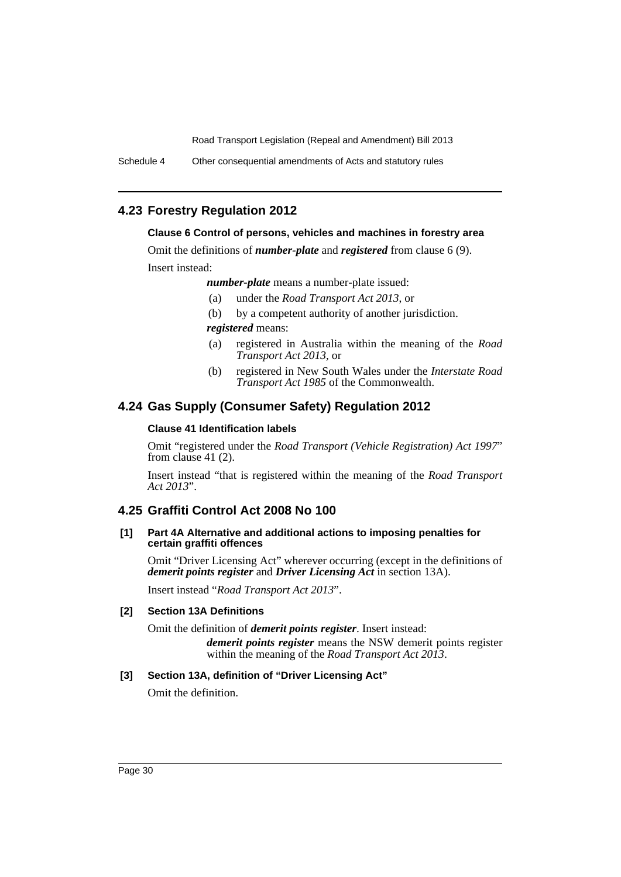Schedule 4 Other consequential amendments of Acts and statutory rules

# **4.23 Forestry Regulation 2012**

### **Clause 6 Control of persons, vehicles and machines in forestry area**

Omit the definitions of *number-plate* and *registered* from clause 6 (9).

Insert instead:

*number-plate* means a number-plate issued:

- (a) under the *Road Transport Act 2013*, or
- (b) by a competent authority of another jurisdiction.

*registered* means:

- (a) registered in Australia within the meaning of the *Road Transport Act 2013*, or
- (b) registered in New South Wales under the *Interstate Road Transport Act 1985* of the Commonwealth.

# **4.24 Gas Supply (Consumer Safety) Regulation 2012**

#### **Clause 41 Identification labels**

Omit "registered under the *Road Transport (Vehicle Registration) Act 1997*" from clause 41 (2).

Insert instead "that is registered within the meaning of the *Road Transport Act 2013*".

# **4.25 Graffiti Control Act 2008 No 100**

#### **[1] Part 4A Alternative and additional actions to imposing penalties for certain graffiti offences**

Omit "Driver Licensing Act" wherever occurring (except in the definitions of *demerit points register* and *Driver Licensing Act* in section 13A).

Insert instead "*Road Transport Act 2013*".

# **[2] Section 13A Definitions**

Omit the definition of *demerit points register*. Insert instead:

*demerit points register* means the NSW demerit points register within the meaning of the *Road Transport Act 2013*.

# **[3] Section 13A, definition of "Driver Licensing Act"**

Omit the definition.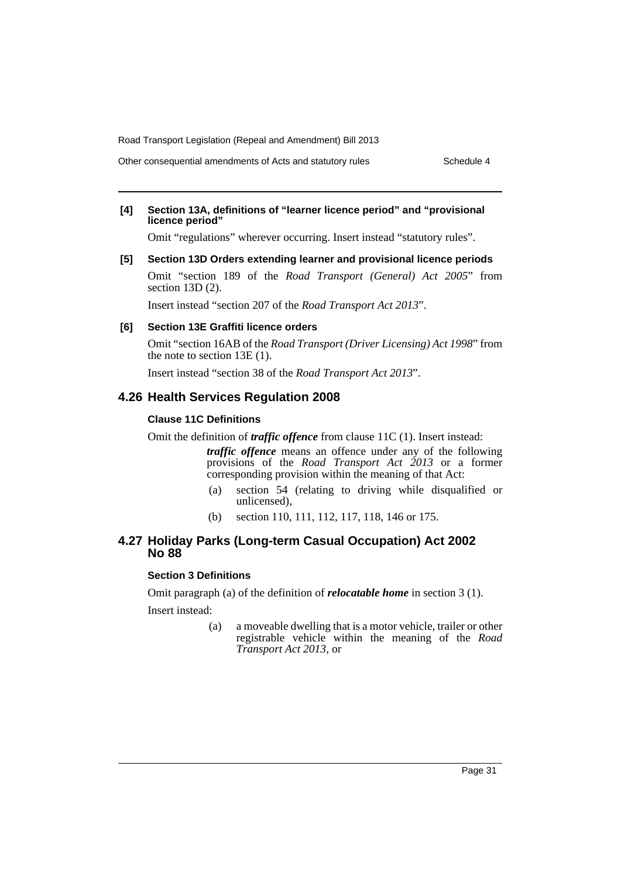Other consequential amendments of Acts and statutory rules Schedule 4

#### **[4] Section 13A, definitions of "learner licence period" and "provisional licence period"**

Omit "regulations" wherever occurring. Insert instead "statutory rules".

**[5] Section 13D Orders extending learner and provisional licence periods**

Omit "section 189 of the *Road Transport (General) Act 2005*" from section 13D  $(2)$ .

Insert instead "section 207 of the *Road Transport Act 2013*".

#### **[6] Section 13E Graffiti licence orders**

Omit "section 16AB of the *Road Transport (Driver Licensing) Act 1998*" from the note to section 13E (1).

Insert instead "section 38 of the *Road Transport Act 2013*".

#### **4.26 Health Services Regulation 2008**

#### **Clause 11C Definitions**

Omit the definition of *traffic offence* from clause 11C (1). Insert instead:

*traffic offence* means an offence under any of the following provisions of the *Road Transport Act 2013* or a former corresponding provision within the meaning of that Act:

- (a) section 54 (relating to driving while disqualified or unlicensed),
- (b) section 110, 111, 112, 117, 118, 146 or 175.

# **4.27 Holiday Parks (Long-term Casual Occupation) Act 2002 No 88**

# **Section 3 Definitions**

Omit paragraph (a) of the definition of *relocatable home* in section 3 (1). Insert instead:

> (a) a moveable dwelling that is a motor vehicle, trailer or other registrable vehicle within the meaning of the *Road Transport Act 2013*, or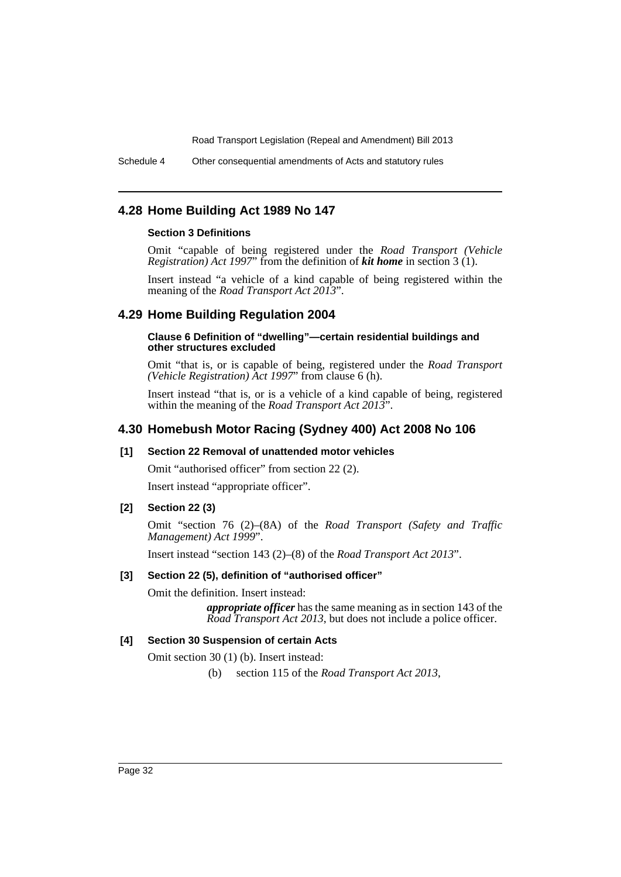Schedule 4 Other consequential amendments of Acts and statutory rules

# **4.28 Home Building Act 1989 No 147**

## **Section 3 Definitions**

Omit "capable of being registered under the *Road Transport (Vehicle Registration) Act 1997*" from the definition of *kit home* in section 3 (1).

Insert instead "a vehicle of a kind capable of being registered within the meaning of the *Road Transport Act 2013*".

# **4.29 Home Building Regulation 2004**

#### **Clause 6 Definition of "dwelling"—certain residential buildings and other structures excluded**

Omit "that is, or is capable of being, registered under the *Road Transport (Vehicle Registration) Act 1997*" from clause 6 (h).

Insert instead "that is, or is a vehicle of a kind capable of being, registered within the meaning of the *Road Transport Act 2013*".

# **4.30 Homebush Motor Racing (Sydney 400) Act 2008 No 106**

# **[1] Section 22 Removal of unattended motor vehicles**

Omit "authorised officer" from section 22 (2).

Insert instead "appropriate officer".

#### **[2] Section 22 (3)**

Omit "section 76 (2)–(8A) of the *Road Transport (Safety and Traffic Management) Act 1999*".

Insert instead "section 143 (2)–(8) of the *Road Transport Act 2013*".

#### **[3] Section 22 (5), definition of "authorised officer"**

Omit the definition. Insert instead:

*appropriate officer* has the same meaning as in section 143 of the *Road Transport Act 2013*, but does not include a police officer.

#### **[4] Section 30 Suspension of certain Acts**

Omit section 30 (1) (b). Insert instead:

(b) section 115 of the *Road Transport Act 2013*,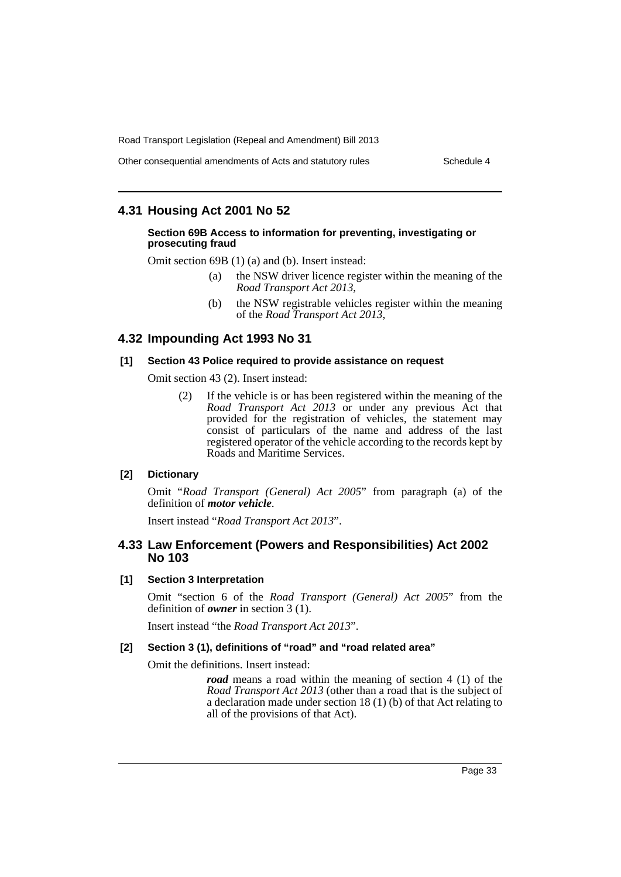Other consequential amendments of Acts and statutory rules Schedule 4

# **4.31 Housing Act 2001 No 52**

#### **Section 69B Access to information for preventing, investigating or prosecuting fraud**

Omit section 69B (1) (a) and (b). Insert instead:

- (a) the NSW driver licence register within the meaning of the *Road Transport Act 2013*,
- (b) the NSW registrable vehicles register within the meaning of the *Road Transport Act 2013*,

# **4.32 Impounding Act 1993 No 31**

#### **[1] Section 43 Police required to provide assistance on request**

Omit section 43 (2). Insert instead:

(2) If the vehicle is or has been registered within the meaning of the *Road Transport Act 2013* or under any previous Act that provided for the registration of vehicles, the statement may consist of particulars of the name and address of the last registered operator of the vehicle according to the records kept by Roads and Maritime Services.

# **[2] Dictionary**

Omit "*Road Transport (General) Act 2005*" from paragraph (a) of the definition of *motor vehicle*.

Insert instead "*Road Transport Act 2013*".

# **4.33 Law Enforcement (Powers and Responsibilities) Act 2002 No 103**

#### **[1] Section 3 Interpretation**

Omit "section 6 of the *Road Transport (General) Act 2005*" from the definition of *owner* in section 3 (1).

Insert instead "the *Road Transport Act 2013*".

# **[2] Section 3 (1), definitions of "road" and "road related area"**

Omit the definitions. Insert instead:

*road* means a road within the meaning of section 4 (1) of the *Road Transport Act 2013* (other than a road that is the subject of a declaration made under section 18 (1) (b) of that Act relating to all of the provisions of that Act).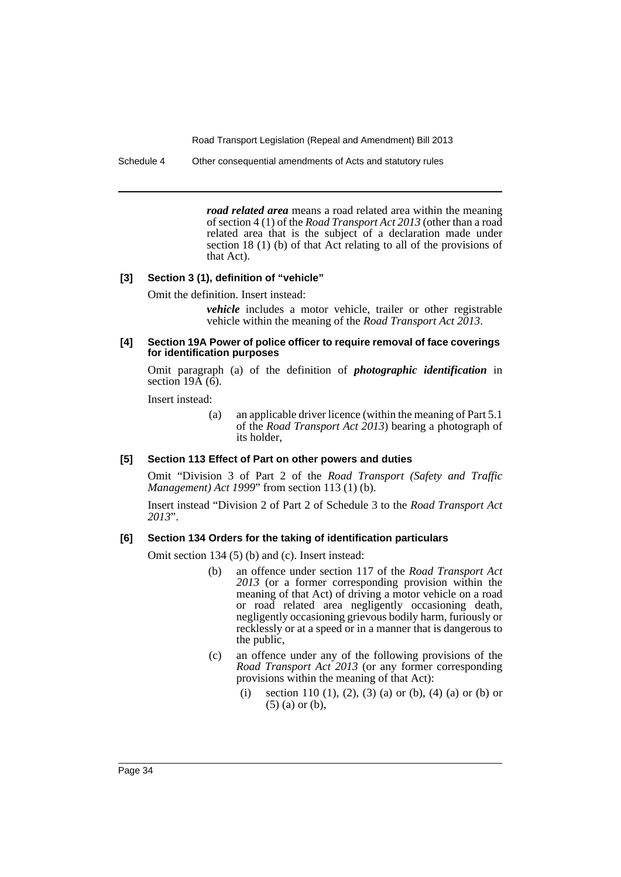Schedule 4 Other consequential amendments of Acts and statutory rules

*road related area* means a road related area within the meaning of section 4 (1) of the *Road Transport Act 2013* (other than a road related area that is the subject of a declaration made under section 18 (1) (b) of that Act relating to all of the provisions of that Act).

#### **[3] Section 3 (1), definition of "vehicle"**

Omit the definition. Insert instead:

*vehicle* includes a motor vehicle, trailer or other registrable vehicle within the meaning of the *Road Transport Act 2013*.

#### **[4] Section 19A Power of police officer to require removal of face coverings for identification purposes**

Omit paragraph (a) of the definition of *photographic identification* in section  $19\overline{A}$  (6).

Insert instead:

(a) an applicable driver licence (within the meaning of Part 5.1 of the *Road Transport Act 2013*) bearing a photograph of its holder,

#### **[5] Section 113 Effect of Part on other powers and duties**

Omit "Division 3 of Part 2 of the *Road Transport (Safety and Traffic Management) Act 1999*" from section 113 (1) (b).

Insert instead "Division 2 of Part 2 of Schedule 3 to the *Road Transport Act 2013*".

#### **[6] Section 134 Orders for the taking of identification particulars**

Omit section 134 (5) (b) and (c). Insert instead:

- (b) an offence under section 117 of the *Road Transport Act 2013* (or a former corresponding provision within the meaning of that Act) of driving a motor vehicle on a road or road related area negligently occasioning death, negligently occasioning grievous bodily harm, furiously or recklessly or at a speed or in a manner that is dangerous to the public,
- (c) an offence under any of the following provisions of the *Road Transport Act 2013* (or any former corresponding provisions within the meaning of that Act):
	- (i) section 110 (1), (2), (3) (a) or (b), (4) (a) or (b) or (5) (a) or (b),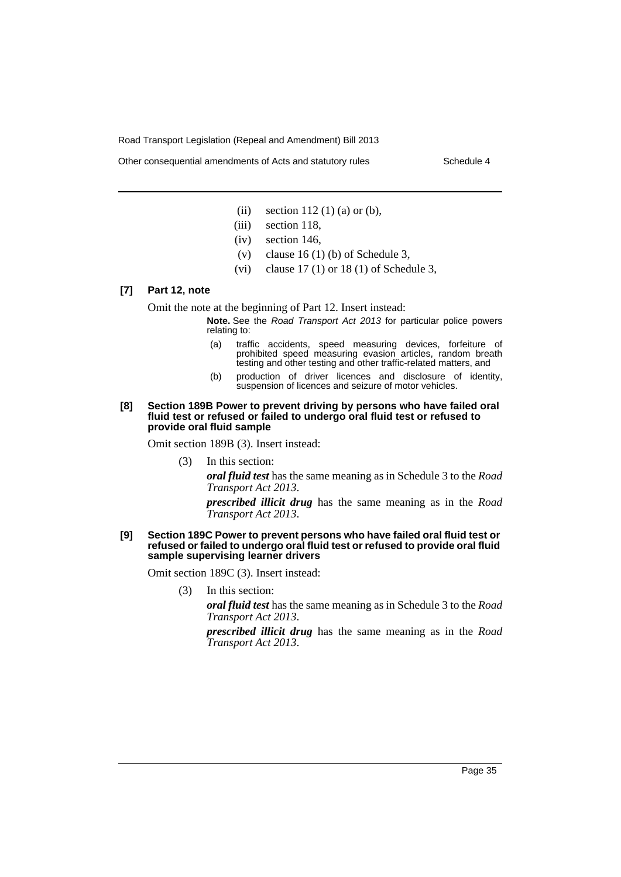Other consequential amendments of Acts and statutory rules Schedule 4

- (ii) section  $112(1)$  (a) or (b),
- (iii) section 118,
- (iv) section 146,
- (v) clause  $16 (1) (b)$  of Schedule 3,
- (vi) clause  $17(1)$  or  $18(1)$  of Schedule 3,

# **[7] Part 12, note**

Omit the note at the beginning of Part 12. Insert instead:

- **Note.** See the *Road Transport Act 2013* for particular police powers relating to:
	- (a) traffic accidents, speed measuring devices, forfeiture of prohibited speed measuring evasion articles, random breath testing and other testing and other traffic-related matters, and
	- (b) production of driver licences and disclosure of identity, suspension of licences and seizure of motor vehicles.

#### **[8] Section 189B Power to prevent driving by persons who have failed oral fluid test or refused or failed to undergo oral fluid test or refused to provide oral fluid sample**

Omit section 189B (3). Insert instead:

(3) In this section:

*oral fluid test* has the same meaning as in Schedule 3 to the *Road Transport Act 2013*.

*prescribed illicit drug* has the same meaning as in the *Road Transport Act 2013*.

#### **[9] Section 189C Power to prevent persons who have failed oral fluid test or refused or failed to undergo oral fluid test or refused to provide oral fluid sample supervising learner drivers**

Omit section 189C (3). Insert instead:

(3) In this section:

*oral fluid test* has the same meaning as in Schedule 3 to the *Road Transport Act 2013*.

*prescribed illicit drug* has the same meaning as in the *Road Transport Act 2013*.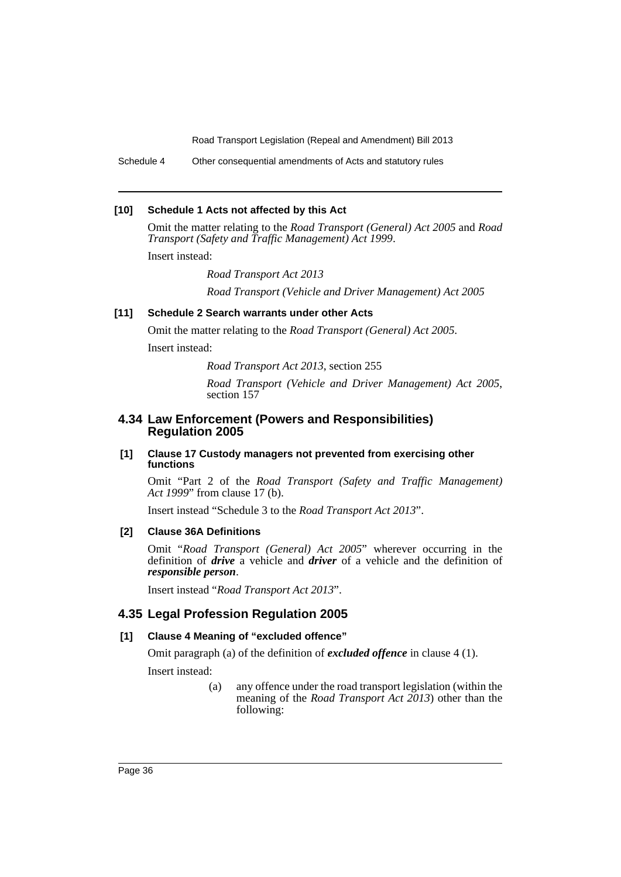Schedule 4 Other consequential amendments of Acts and statutory rules

### **[10] Schedule 1 Acts not affected by this Act**

Omit the matter relating to the *Road Transport (General) Act 2005* and *Road Transport (Safety and Traffic Management) Act 1999*.

Insert instead:

*Road Transport Act 2013*

*Road Transport (Vehicle and Driver Management) Act 2005*

# **[11] Schedule 2 Search warrants under other Acts**

Omit the matter relating to the *Road Transport (General) Act 2005*.

Insert instead:

*Road Transport Act 2013*, section 255

*Road Transport (Vehicle and Driver Management) Act 2005*, section 157

# **4.34 Law Enforcement (Powers and Responsibilities) Regulation 2005**

#### **[1] Clause 17 Custody managers not prevented from exercising other functions**

Omit "Part 2 of the *Road Transport (Safety and Traffic Management) Act 1999*" from clause 17 (b).

Insert instead "Schedule 3 to the *Road Transport Act 2013*".

### **[2] Clause 36A Definitions**

Omit "*Road Transport (General) Act 2005*" wherever occurring in the definition of *drive* a vehicle and *driver* of a vehicle and the definition of *responsible person*.

Insert instead "*Road Transport Act 2013*".

# **4.35 Legal Profession Regulation 2005**

### **[1] Clause 4 Meaning of "excluded offence"**

Omit paragraph (a) of the definition of *excluded offence* in clause 4 (1).

Insert instead:

(a) any offence under the road transport legislation (within the meaning of the *Road Transport Act 2013*) other than the following: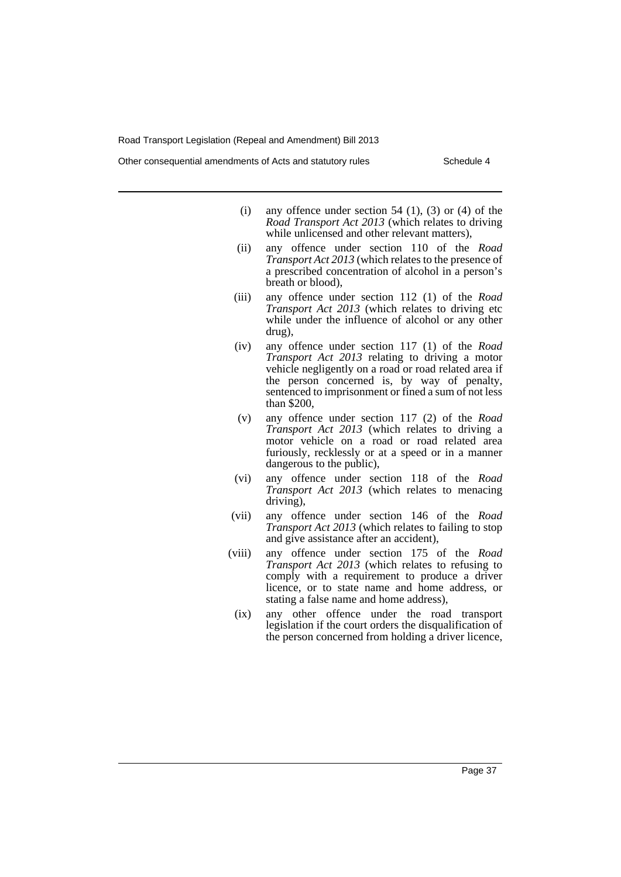- (i) any offence under section 54  $(1)$ ,  $(3)$  or  $(4)$  of the *Road Transport Act 2013* (which relates to driving while unlicensed and other relevant matters),
- (ii) any offence under section 110 of the *Road Transport Act 2013* (which relates to the presence of a prescribed concentration of alcohol in a person's breath or blood),
- (iii) any offence under section 112 (1) of the *Road Transport Act 2013* (which relates to driving etc while under the influence of alcohol or any other drug),
- (iv) any offence under section 117 (1) of the *Road Transport Act 2013* relating to driving a motor vehicle negligently on a road or road related area if the person concerned is, by way of penalty, sentenced to imprisonment or fined a sum of not less than \$200,
- (v) any offence under section 117 (2) of the *Road Transport Act 2013* (which relates to driving a motor vehicle on a road or road related area furiously, recklessly or at a speed or in a manner dangerous to the public),
- (vi) any offence under section 118 of the *Road Transport Act 2013* (which relates to menacing driving),
- (vii) any offence under section 146 of the *Road Transport Act 2013* (which relates to failing to stop and give assistance after an accident),
- (viii) any offence under section 175 of the *Road Transport Act 2013* (which relates to refusing to comply with a requirement to produce a driver licence, or to state name and home address, or stating a false name and home address),
	- (ix) any other offence under the road transport legislation if the court orders the disqualification of the person concerned from holding a driver licence,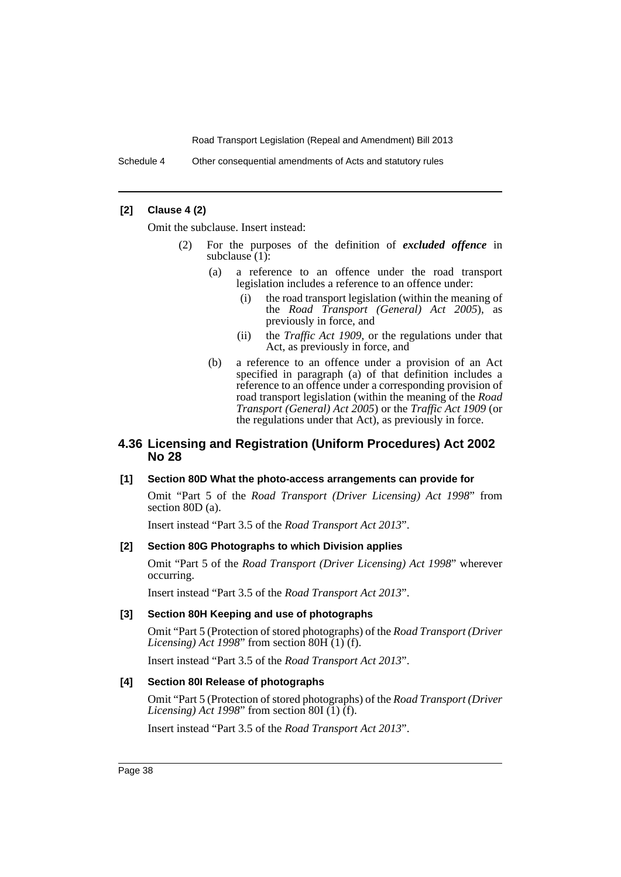Schedule 4 Other consequential amendments of Acts and statutory rules

### **[2] Clause 4 (2)**

Omit the subclause. Insert instead:

- (2) For the purposes of the definition of *excluded offence* in subclause  $(1)$ :
	- (a) a reference to an offence under the road transport legislation includes a reference to an offence under:
		- (i) the road transport legislation (within the meaning of the *Road Transport (General) Act 2005*), as previously in force, and
		- (ii) the *Traffic Act 1909*, or the regulations under that Act, as previously in force, and
	- (b) a reference to an offence under a provision of an Act specified in paragraph (a) of that definition includes a reference to an offence under a corresponding provision of road transport legislation (within the meaning of the *Road Transport (General) Act 2005*) or the *Traffic Act 1909* (or the regulations under that Act), as previously in force.

# **4.36 Licensing and Registration (Uniform Procedures) Act 2002 No 28**

### **[1] Section 80D What the photo-access arrangements can provide for**

Omit "Part 5 of the *Road Transport (Driver Licensing) Act 1998*" from section 80D (a).

Insert instead "Part 3.5 of the *Road Transport Act 2013*".

### **[2] Section 80G Photographs to which Division applies**

Omit "Part 5 of the *Road Transport (Driver Licensing) Act 1998*" wherever occurring.

Insert instead "Part 3.5 of the *Road Transport Act 2013*".

### **[3] Section 80H Keeping and use of photographs**

Omit "Part 5 (Protection of stored photographs) of the *Road Transport (Driver Licensing*) Act 1998" from section  $80H(1)(f)$ .

Insert instead "Part 3.5 of the *Road Transport Act 2013*".

### **[4] Section 80I Release of photographs**

Omit "Part 5 (Protection of stored photographs) of the *Road Transport (Driver Licensing*) Act 1998" from section 80I  $(1)$   $(f)$ .

Insert instead "Part 3.5 of the *Road Transport Act 2013*".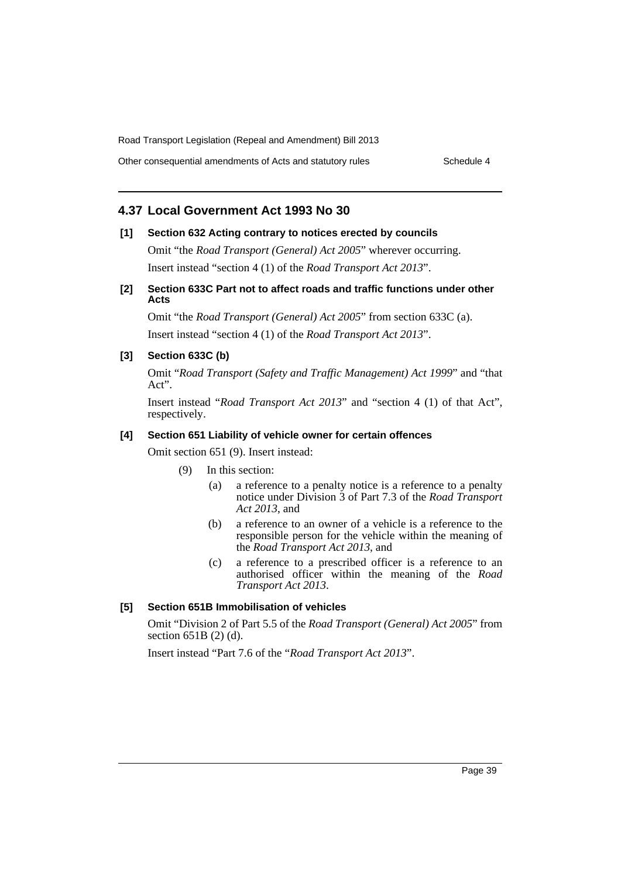Other consequential amendments of Acts and statutory rules Schedule 4

# **4.37 Local Government Act 1993 No 30**

### **[1] Section 632 Acting contrary to notices erected by councils**

Omit "the *Road Transport (General) Act 2005*" wherever occurring. Insert instead "section 4 (1) of the *Road Transport Act 2013*".

### **[2] Section 633C Part not to affect roads and traffic functions under other Acts**

Omit "the *Road Transport (General) Act 2005*" from section 633C (a). Insert instead "section 4 (1) of the *Road Transport Act 2013*".

### **[3] Section 633C (b)**

Omit "*Road Transport (Safety and Traffic Management) Act 1999*" and "that Act".

Insert instead "*Road Transport Act 2013*" and "section 4 (1) of that Act", respectively.

# **[4] Section 651 Liability of vehicle owner for certain offences**

Omit section 651 (9). Insert instead:

- (9) In this section:
	- (a) a reference to a penalty notice is a reference to a penalty notice under Division 3 of Part 7.3 of the *Road Transport Act 2013*, and
	- (b) a reference to an owner of a vehicle is a reference to the responsible person for the vehicle within the meaning of the *Road Transport Act 2013*, and
	- (c) a reference to a prescribed officer is a reference to an authorised officer within the meaning of the *Road Transport Act 2013*.

#### **[5] Section 651B Immobilisation of vehicles**

Omit "Division 2 of Part 5.5 of the *Road Transport (General) Act 2005*" from section 651B (2) (d).

Insert instead "Part 7.6 of the "*Road Transport Act 2013*".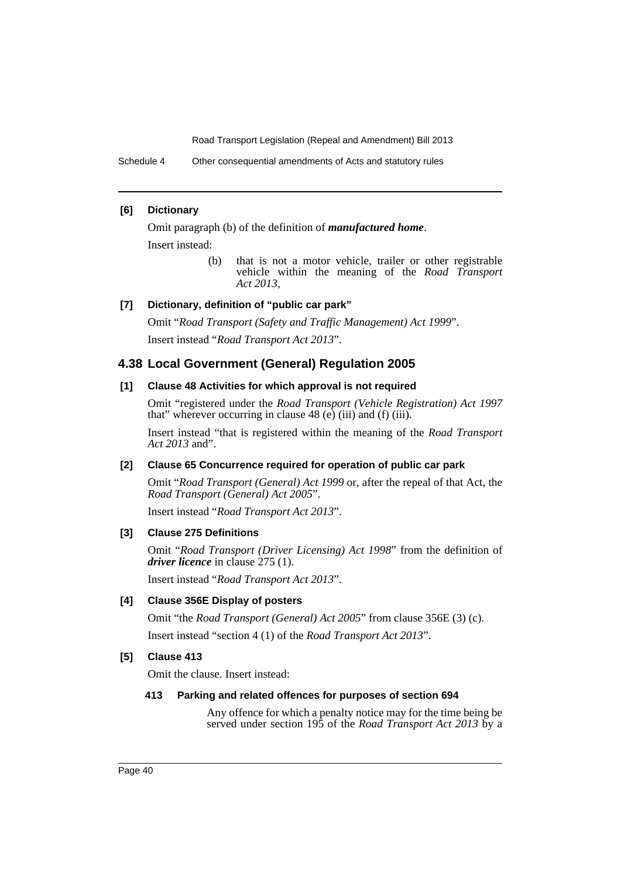Schedule 4 Other consequential amendments of Acts and statutory rules

### **[6] Dictionary**

Omit paragraph (b) of the definition of *manufactured home*. Insert instead:

> (b) that is not a motor vehicle, trailer or other registrable vehicle within the meaning of the *Road Transport Act 2013*,

# **[7] Dictionary, definition of "public car park"**

Omit "*Road Transport (Safety and Traffic Management) Act 1999*". Insert instead "*Road Transport Act 2013*".

### **4.38 Local Government (General) Regulation 2005**

#### **[1] Clause 48 Activities for which approval is not required**

Omit "registered under the *Road Transport (Vehicle Registration) Act 1997* that" wherever occurring in clause 48 (e) (iii) and (f) (iii).

Insert instead "that is registered within the meaning of the *Road Transport Act 2013* and".

### **[2] Clause 65 Concurrence required for operation of public car park**

Omit "*Road Transport (General) Act 1999* or, after the repeal of that Act, the *Road Transport (General) Act 2005*".

Insert instead "*Road Transport Act 2013*".

### **[3] Clause 275 Definitions**

Omit "*Road Transport (Driver Licensing) Act 1998*" from the definition of *driver licence* in clause 275 (1).

Insert instead "*Road Transport Act 2013*".

# **[4] Clause 356E Display of posters**

Omit "the *Road Transport (General) Act 2005*" from clause 356E (3) (c).

Insert instead "section 4 (1) of the *Road Transport Act 2013*".

### **[5] Clause 413**

Omit the clause. Insert instead:

#### **413 Parking and related offences for purposes of section 694**

Any offence for which a penalty notice may for the time being be served under section 195 of the *Road Transport Act 2013* by a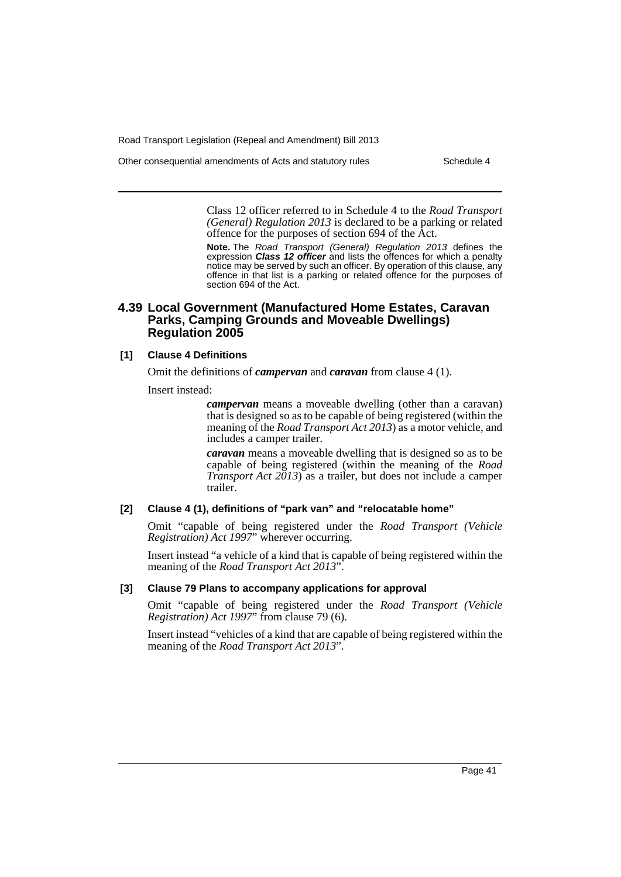Other consequential amendments of Acts and statutory rules Schedule 4

Class 12 officer referred to in Schedule 4 to the *Road Transport (General) Regulation 2013* is declared to be a parking or related offence for the purposes of section 694 of the Act.

**Note.** The *Road Transport (General) Regulation 2013* defines the expression *Class 12 officer* and lists the offences for which a penalty notice may be served by such an officer. By operation of this clause, any offence in that list is a parking or related offence for the purposes of section 694 of the Act.

# **4.39 Local Government (Manufactured Home Estates, Caravan Parks, Camping Grounds and Moveable Dwellings) Regulation 2005**

### **[1] Clause 4 Definitions**

Omit the definitions of *campervan* and *caravan* from clause 4 (1).

Insert instead:

*campervan* means a moveable dwelling (other than a caravan) that is designed so as to be capable of being registered (within the meaning of the *Road Transport Act 2013*) as a motor vehicle, and includes a camper trailer.

*caravan* means a moveable dwelling that is designed so as to be capable of being registered (within the meaning of the *Road Transport Act 2013*) as a trailer, but does not include a camper trailer.

### **[2] Clause 4 (1), definitions of "park van" and "relocatable home"**

Omit "capable of being registered under the *Road Transport (Vehicle Registration) Act 1997*" wherever occurring.

Insert instead "a vehicle of a kind that is capable of being registered within the meaning of the *Road Transport Act 2013*".

### **[3] Clause 79 Plans to accompany applications for approval**

Omit "capable of being registered under the *Road Transport (Vehicle Registration) Act 1997*" from clause 79 (6).

Insert instead "vehicles of a kind that are capable of being registered within the meaning of the *Road Transport Act 2013*".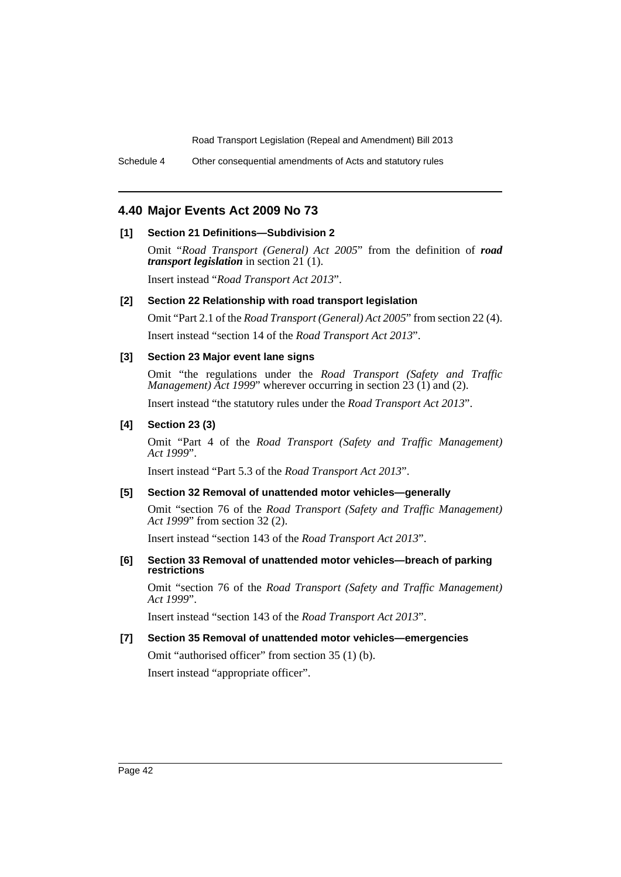Schedule 4 Other consequential amendments of Acts and statutory rules

# **4.40 Major Events Act 2009 No 73**

# **[1] Section 21 Definitions—Subdivision 2**

Omit "*Road Transport (General) Act 2005*" from the definition of *road transport legislation* in section 21 (1).

Insert instead "*Road Transport Act 2013*".

### **[2] Section 22 Relationship with road transport legislation**

Omit "Part 2.1 of the *Road Transport (General) Act 2005*" from section 22 (4). Insert instead "section 14 of the *Road Transport Act 2013*".

### **[3] Section 23 Major event lane signs**

Omit "the regulations under the *Road Transport (Safety and Traffic Management) Act 1999*" wherever occurring in section 23 (1) and (2).

Insert instead "the statutory rules under the *Road Transport Act 2013*".

### **[4] Section 23 (3)**

Omit "Part 4 of the *Road Transport (Safety and Traffic Management) Act 1999*".

Insert instead "Part 5.3 of the *Road Transport Act 2013*".

### **[5] Section 32 Removal of unattended motor vehicles—generally**

Omit "section 76 of the *Road Transport (Safety and Traffic Management) Act 1999*" from section 32 (2).

Insert instead "section 143 of the *Road Transport Act 2013*".

### **[6] Section 33 Removal of unattended motor vehicles—breach of parking restrictions**

Omit "section 76 of the *Road Transport (Safety and Traffic Management) Act 1999*".

Insert instead "section 143 of the *Road Transport Act 2013*".

# **[7] Section 35 Removal of unattended motor vehicles—emergencies**

Omit "authorised officer" from section 35 (1) (b). Insert instead "appropriate officer".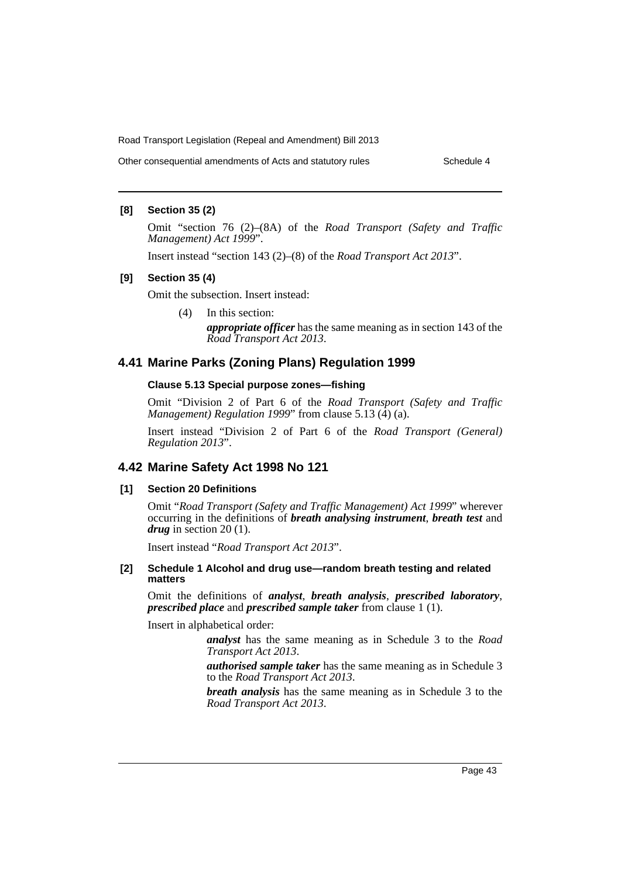Other consequential amendments of Acts and statutory rules Schedule 4

### **[8] Section 35 (2)**

Omit "section 76 (2)–(8A) of the *Road Transport (Safety and Traffic Management) Act 1999*".

Insert instead "section 143 (2)–(8) of the *Road Transport Act 2013*".

#### **[9] Section 35 (4)**

Omit the subsection. Insert instead:

(4) In this section:

*appropriate officer* has the same meaning as in section 143 of the *Road Transport Act 2013*.

# **4.41 Marine Parks (Zoning Plans) Regulation 1999**

#### **Clause 5.13 Special purpose zones—fishing**

Omit "Division 2 of Part 6 of the *Road Transport (Safety and Traffic Management) Regulation 1999*" from clause 5.13 (4) (a).

Insert instead "Division 2 of Part 6 of the *Road Transport (General) Regulation 2013*".

# **4.42 Marine Safety Act 1998 No 121**

### **[1] Section 20 Definitions**

Omit "*Road Transport (Safety and Traffic Management) Act 1999*" wherever occurring in the definitions of *breath analysing instrument*, *breath test* and *drug* in section 20 (1).

Insert instead "*Road Transport Act 2013*".

#### **[2] Schedule 1 Alcohol and drug use—random breath testing and related matters**

Omit the definitions of *analyst*, *breath analysis*, *prescribed laboratory*, *prescribed place* and *prescribed sample taker* from clause 1 (1).

Insert in alphabetical order:

*analyst* has the same meaning as in Schedule 3 to the *Road Transport Act 2013*.

*authorised sample taker* has the same meaning as in Schedule 3 to the *Road Transport Act 2013*.

*breath analysis* has the same meaning as in Schedule 3 to the *Road Transport Act 2013*.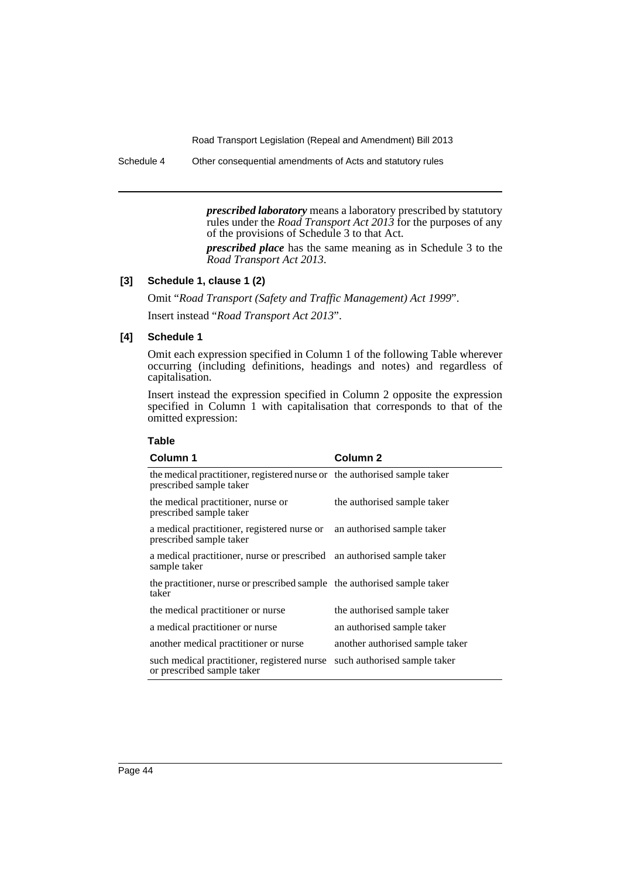Schedule 4 Other consequential amendments of Acts and statutory rules

*prescribed laboratory* means a laboratory prescribed by statutory rules under the *Road Transport Act 2013* for the purposes of any of the provisions of Schedule 3 to that Act.

*prescribed place* has the same meaning as in Schedule 3 to the *Road Transport Act 2013*.

# **[3] Schedule 1, clause 1 (2)**

Omit "*Road Transport (Safety and Traffic Management) Act 1999*". Insert instead "*Road Transport Act 2013*".

# **[4] Schedule 1**

Omit each expression specified in Column 1 of the following Table wherever occurring (including definitions, headings and notes) and regardless of capitalisation.

Insert instead the expression specified in Column 2 opposite the expression specified in Column 1 with capitalisation that corresponds to that of the omitted expression:

| Column 1                                                                                               | <b>Column 2</b>                 |
|--------------------------------------------------------------------------------------------------------|---------------------------------|
| the medical practitioner, registered nurse or the authorised sample taker<br>prescribed sample taker   |                                 |
| the medical practitioner, nurse or<br>prescribed sample taker                                          | the authorised sample taker     |
| a medical practitioner, registered nurse or an authorised sample taker<br>prescribed sample taker      |                                 |
| a medical practitioner, nurse or prescribed an authorised sample taker<br>sample taker                 |                                 |
| the practitioner, nurse or prescribed sample the authorised sample taker<br>taker                      |                                 |
| the medical practitioner or nurse                                                                      | the authorised sample taker     |
| a medical practitioner or nurse                                                                        | an authorised sample taker      |
| another medical practitioner or nurse                                                                  | another authorised sample taker |
| such medical practitioner, registered nurse such authorised sample taker<br>or prescribed sample taker |                                 |

#### **Table**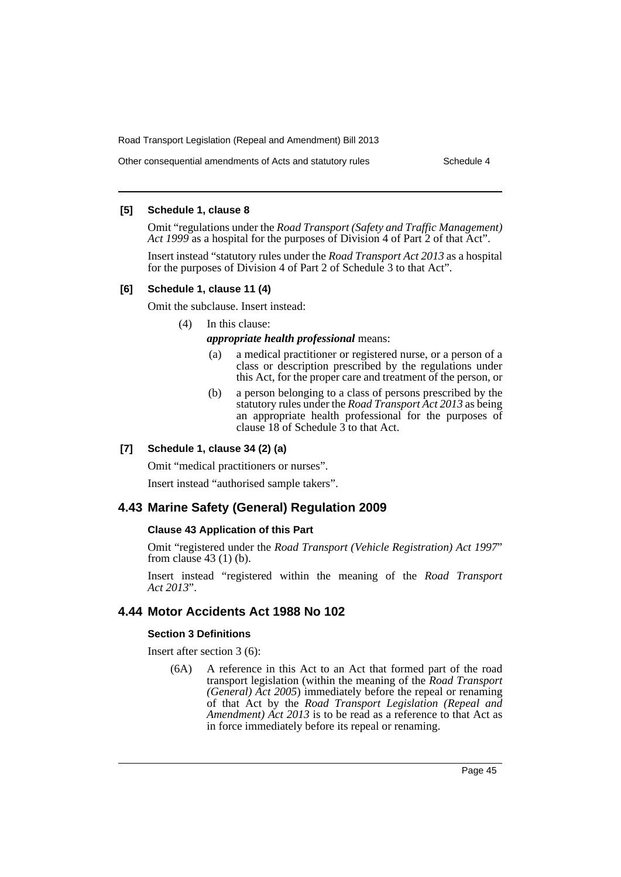Other consequential amendments of Acts and statutory rules Schedule 4

### **[5] Schedule 1, clause 8**

Omit "regulations under the *Road Transport (Safety and Traffic Management) Act 1999* as a hospital for the purposes of Division 4 of Part 2 of that Act".

Insert instead "statutory rules under the *Road Transport Act 2013* as a hospital for the purposes of Division 4 of Part 2 of Schedule 3 to that Act".

### **[6] Schedule 1, clause 11 (4)**

Omit the subclause. Insert instead:

### (4) In this clause:

*appropriate health professional* means:

- (a) a medical practitioner or registered nurse, or a person of a class or description prescribed by the regulations under this Act, for the proper care and treatment of the person, or
- (b) a person belonging to a class of persons prescribed by the statutory rules under the *Road Transport Act 2013* as being an appropriate health professional for the purposes of clause 18 of Schedule 3 to that Act.

### **[7] Schedule 1, clause 34 (2) (a)**

Omit "medical practitioners or nurses".

Insert instead "authorised sample takers".

# **4.43 Marine Safety (General) Regulation 2009**

# **Clause 43 Application of this Part**

Omit "registered under the *Road Transport (Vehicle Registration) Act 1997*" from clause 43 (1) (b).

Insert instead "registered within the meaning of the *Road Transport Act 2013*".

# **4.44 Motor Accidents Act 1988 No 102**

#### **Section 3 Definitions**

Insert after section 3 (6):

(6A) A reference in this Act to an Act that formed part of the road transport legislation (within the meaning of the *Road Transport (General) Act 2005*) immediately before the repeal or renaming of that Act by the *Road Transport Legislation (Repeal and Amendment) Act 2013* is to be read as a reference to that Act as in force immediately before its repeal or renaming.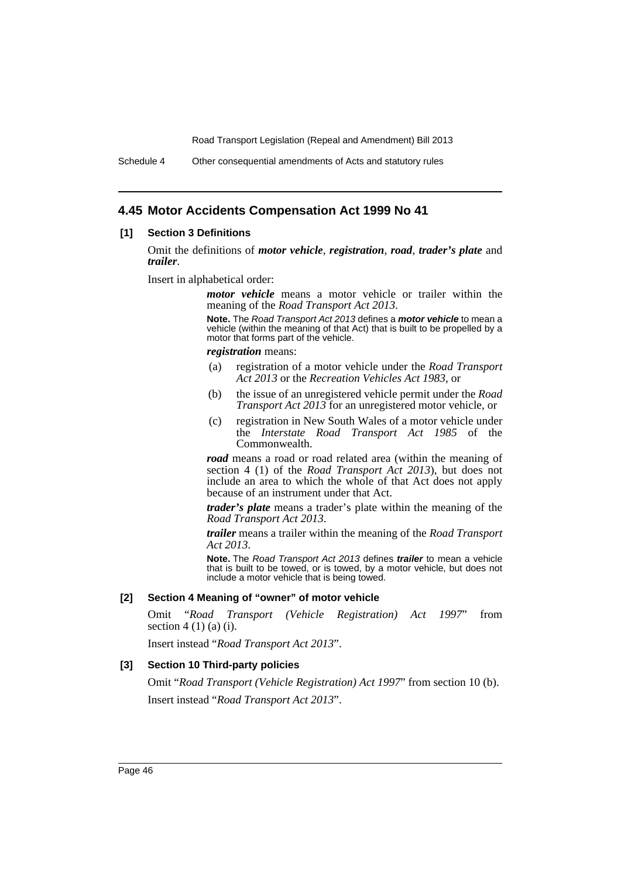Schedule 4 Other consequential amendments of Acts and statutory rules

# **4.45 Motor Accidents Compensation Act 1999 No 41**

#### **[1] Section 3 Definitions**

Omit the definitions of *motor vehicle*, *registration*, *road*, *trader's plate* and *trailer*.

Insert in alphabetical order:

*motor vehicle* means a motor vehicle or trailer within the meaning of the *Road Transport Act 2013*.

**Note.** The *Road Transport Act 2013* defines a *motor vehicle* to mean a vehicle (within the meaning of that Act) that is built to be propelled by a motor that forms part of the vehicle.

*registration* means:

- (a) registration of a motor vehicle under the *Road Transport Act 2013* or the *Recreation Vehicles Act 1983*, or
- (b) the issue of an unregistered vehicle permit under the *Road Transport Act 2013* for an unregistered motor vehicle, or
- (c) registration in New South Wales of a motor vehicle under the *Interstate Road Transport Act 1985* of the Commonwealth.

*road* means a road or road related area (within the meaning of section 4 (1) of the *Road Transport Act 2013*), but does not include an area to which the whole of that Act does not apply because of an instrument under that Act.

*trader's plate* means a trader's plate within the meaning of the *Road Transport Act 2013*.

*trailer* means a trailer within the meaning of the *Road Transport Act 2013*.

**Note.** The *Road Transport Act 2013* defines *trailer* to mean a vehicle that is built to be towed, or is towed, by a motor vehicle, but does not include a motor vehicle that is being towed.

### **[2] Section 4 Meaning of "owner" of motor vehicle**

Omit "*Road Transport (Vehicle Registration) Act 1997*" from section  $4(1)(a)(i)$ .

Insert instead "*Road Transport Act 2013*".

### **[3] Section 10 Third-party policies**

Omit "*Road Transport (Vehicle Registration) Act 1997*" from section 10 (b). Insert instead "*Road Transport Act 2013*".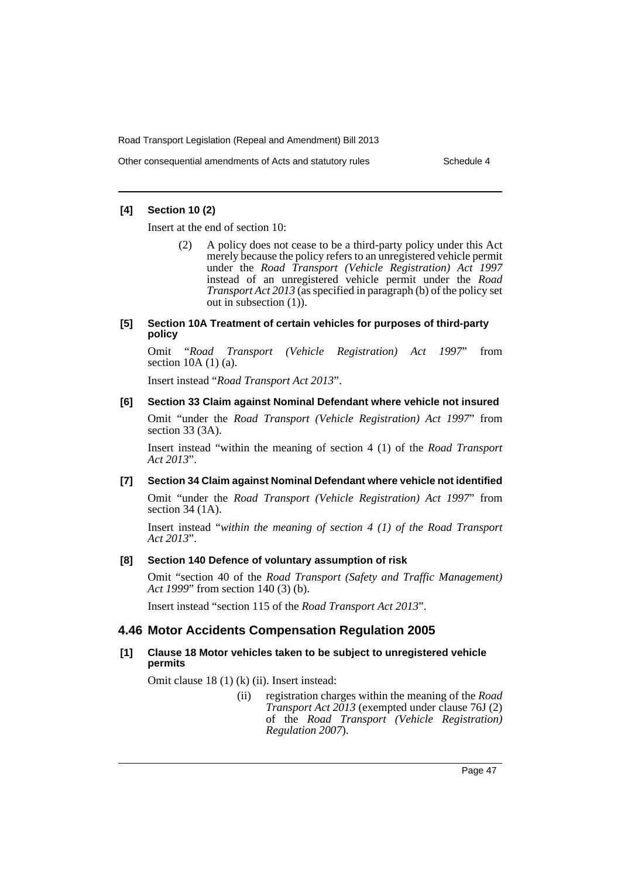Other consequential amendments of Acts and statutory rules Schedule 4

### **[4] Section 10 (2)**

Insert at the end of section 10:

(2) A policy does not cease to be a third-party policy under this Act merely because the policy refers to an unregistered vehicle permit under the *Road Transport (Vehicle Registration) Act 1997* instead of an unregistered vehicle permit under the *Road Transport Act 2013* (as specified in paragraph (b) of the policy set out in subsection (1)).

#### **[5] Section 10A Treatment of certain vehicles for purposes of third-party policy**

Omit "*Road Transport (Vehicle Registration) Act 1997*" from section 10A (1) (a).

Insert instead "*Road Transport Act 2013*".

### **[6] Section 33 Claim against Nominal Defendant where vehicle not insured**

Omit "under the *Road Transport (Vehicle Registration) Act 1997*" from section 33 (3A).

Insert instead "within the meaning of section 4 (1) of the *Road Transport Act 2013*".

### **[7] Section 34 Claim against Nominal Defendant where vehicle not identified**

Omit "under the *Road Transport (Vehicle Registration) Act 1997*" from section 34 (1A).

Insert instead "*within the meaning of section 4 (1) of the Road Transport Act 2013*".

### **[8] Section 140 Defence of voluntary assumption of risk**

Omit "section 40 of the *Road Transport (Safety and Traffic Management) Act 1999*" from section 140 (3) (b).

Insert instead "section 115 of the *Road Transport Act 2013*".

# **4.46 Motor Accidents Compensation Regulation 2005**

### **[1] Clause 18 Motor vehicles taken to be subject to unregistered vehicle permits**

Omit clause 18 (1) (k) (ii). Insert instead:

(ii) registration charges within the meaning of the *Road Transport Act 2013* (exempted under clause 76J (2) of the *Road Transport (Vehicle Registration) Regulation 2007*).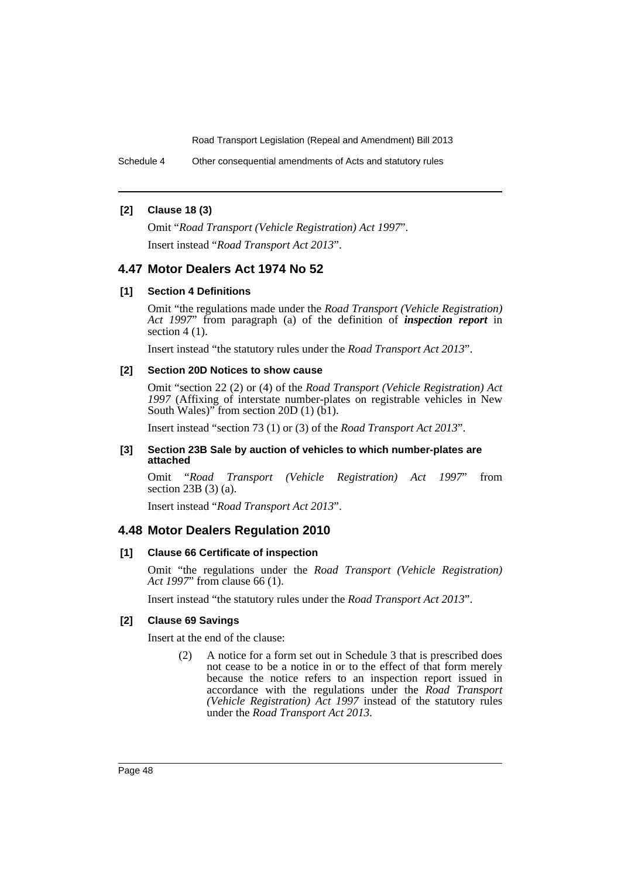Schedule 4 Other consequential amendments of Acts and statutory rules

### **[2] Clause 18 (3)**

Omit "*Road Transport (Vehicle Registration) Act 1997*". Insert instead "*Road Transport Act 2013*".

# **4.47 Motor Dealers Act 1974 No 52**

### **[1] Section 4 Definitions**

Omit "the regulations made under the *Road Transport (Vehicle Registration) Act 1997*" from paragraph (a) of the definition of *inspection report* in section 4 (1).

Insert instead "the statutory rules under the *Road Transport Act 2013*".

### **[2] Section 20D Notices to show cause**

Omit "section 22 (2) or (4) of the *Road Transport (Vehicle Registration) Act 1997* (Affixing of interstate number-plates on registrable vehicles in New South Wales)" from section 20D  $(1)$  (b1).

Insert instead "section 73 (1) or (3) of the *Road Transport Act 2013*".

#### **[3] Section 23B Sale by auction of vehicles to which number-plates are attached**

Omit "*Road Transport (Vehicle Registration) Act 1997*" from section 23B (3) (a).

Insert instead "*Road Transport Act 2013*".

### **4.48 Motor Dealers Regulation 2010**

#### **[1] Clause 66 Certificate of inspection**

Omit "the regulations under the *Road Transport (Vehicle Registration) Act 1997*" from clause 66 (1).

Insert instead "the statutory rules under the *Road Transport Act 2013*".

### **[2] Clause 69 Savings**

Insert at the end of the clause:

(2) A notice for a form set out in Schedule 3 that is prescribed does not cease to be a notice in or to the effect of that form merely because the notice refers to an inspection report issued in accordance with the regulations under the *Road Transport (Vehicle Registration) Act 1997* instead of the statutory rules under the *Road Transport Act 2013*.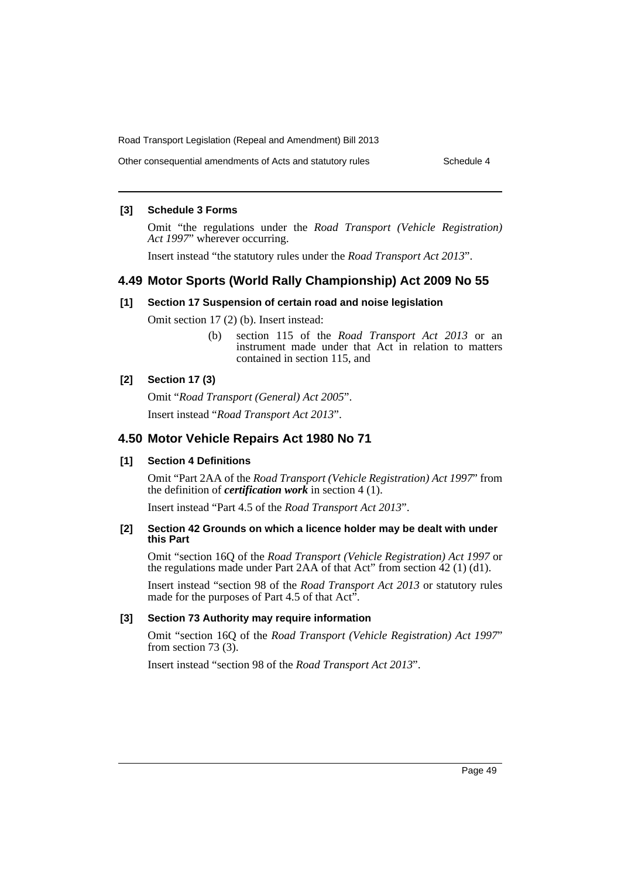Other consequential amendments of Acts and statutory rules Schedule 4

### **[3] Schedule 3 Forms**

Omit "the regulations under the *Road Transport (Vehicle Registration) Act 1997*" wherever occurring.

Insert instead "the statutory rules under the *Road Transport Act 2013*".

# **4.49 Motor Sports (World Rally Championship) Act 2009 No 55**

### **[1] Section 17 Suspension of certain road and noise legislation**

Omit section 17 (2) (b). Insert instead:

(b) section 115 of the *Road Transport Act 2013* or an instrument made under that Act in relation to matters contained in section 115, and

#### **[2] Section 17 (3)**

Omit "*Road Transport (General) Act 2005*". Insert instead "*Road Transport Act 2013*".

# **4.50 Motor Vehicle Repairs Act 1980 No 71**

### **[1] Section 4 Definitions**

Omit "Part 2AA of the *Road Transport (Vehicle Registration) Act 1997*" from the definition of *certification work* in section 4 (1).

Insert instead "Part 4.5 of the *Road Transport Act 2013*".

### **[2] Section 42 Grounds on which a licence holder may be dealt with under this Part**

Omit "section 16Q of the *Road Transport (Vehicle Registration) Act 1997* or the regulations made under Part 2AA of that Act" from section 42 (1) (d1).

Insert instead "section 98 of the *Road Transport Act 2013* or statutory rules made for the purposes of Part 4.5 of that Act".

### **[3] Section 73 Authority may require information**

Omit "section 16Q of the *Road Transport (Vehicle Registration) Act 1997*" from section 73 (3).

Insert instead "section 98 of the *Road Transport Act 2013*".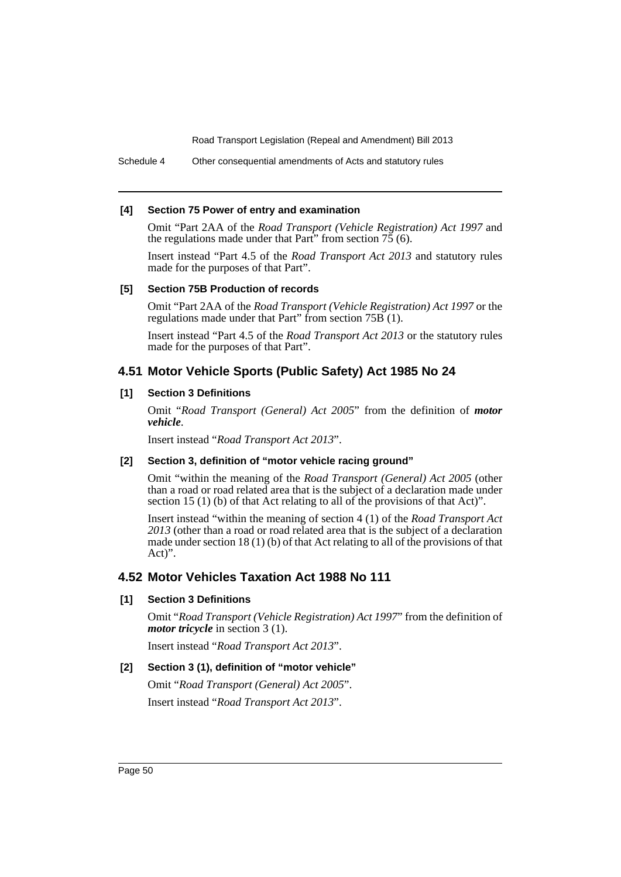Schedule 4 Other consequential amendments of Acts and statutory rules

### **[4] Section 75 Power of entry and examination**

Omit "Part 2AA of the *Road Transport (Vehicle Registration) Act 1997* and the regulations made under that Part" from section  $75(6)$ .

Insert instead "Part 4.5 of the *Road Transport Act 2013* and statutory rules made for the purposes of that Part".

### **[5] Section 75B Production of records**

Omit "Part 2AA of the *Road Transport (Vehicle Registration) Act 1997* or the regulations made under that Part" from section 75B (1).

Insert instead "Part 4.5 of the *Road Transport Act 2013* or the statutory rules made for the purposes of that Part".

# **4.51 Motor Vehicle Sports (Public Safety) Act 1985 No 24**

# **[1] Section 3 Definitions**

Omit "*Road Transport (General) Act 2005*" from the definition of *motor vehicle*.

Insert instead "*Road Transport Act 2013*".

### **[2] Section 3, definition of "motor vehicle racing ground"**

Omit "within the meaning of the *Road Transport (General) Act 2005* (other than a road or road related area that is the subject of a declaration made under section 15 (1) (b) of that Act relating to all of the provisions of that Act)".

Insert instead "within the meaning of section 4 (1) of the *Road Transport Act 2013* (other than a road or road related area that is the subject of a declaration made under section 18 (1) (b) of that Act relating to all of the provisions of that Act)".

# **4.52 Motor Vehicles Taxation Act 1988 No 111**

# **[1] Section 3 Definitions**

Omit "*Road Transport (Vehicle Registration) Act 1997*" from the definition of *motor tricycle* in section 3 (1).

Insert instead "*Road Transport Act 2013*".

# **[2] Section 3 (1), definition of "motor vehicle"**

Omit "*Road Transport (General) Act 2005*". Insert instead "*Road Transport Act 2013*".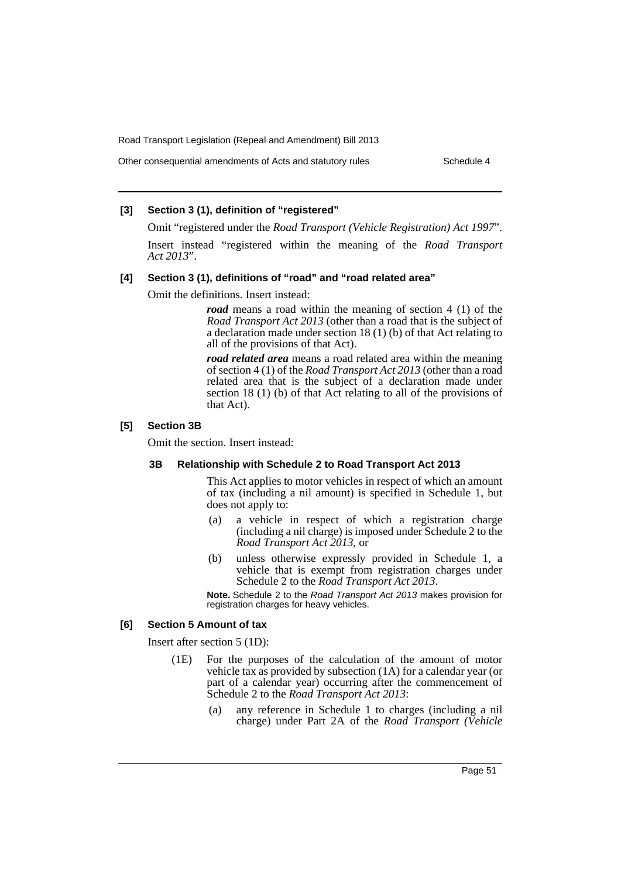Other consequential amendments of Acts and statutory rules Schedule 4

### **[3] Section 3 (1), definition of "registered"**

Omit "registered under the *Road Transport (Vehicle Registration) Act 1997*".

Insert instead "registered within the meaning of the *Road Transport Act 2013*".

#### **[4] Section 3 (1), definitions of "road" and "road related area"**

Omit the definitions. Insert instead:

*road* means a road within the meaning of section 4 (1) of the *Road Transport Act 2013* (other than a road that is the subject of a declaration made under section 18 (1) (b) of that Act relating to all of the provisions of that Act).

*road related area* means a road related area within the meaning of section 4 (1) of the *Road Transport Act 2013* (other than a road related area that is the subject of a declaration made under section 18 (1) (b) of that Act relating to all of the provisions of that Act).

### **[5] Section 3B**

Omit the section. Insert instead:

#### **3B Relationship with Schedule 2 to Road Transport Act 2013**

This Act applies to motor vehicles in respect of which an amount of tax (including a nil amount) is specified in Schedule 1, but does not apply to:

- (a) a vehicle in respect of which a registration charge (including a nil charge) is imposed under Schedule 2 to the *Road Transport Act 2013*, or
- (b) unless otherwise expressly provided in Schedule 1, a vehicle that is exempt from registration charges under Schedule 2 to the *Road Transport Act 2013*.

**Note.** Schedule 2 to the *Road Transport Act 2013* makes provision for registration charges for heavy vehicles.

#### **[6] Section 5 Amount of tax**

Insert after section 5 (1D):

- (1E) For the purposes of the calculation of the amount of motor vehicle tax as provided by subsection (1A) for a calendar year (or part of a calendar year) occurring after the commencement of Schedule 2 to the *Road Transport Act 2013*:
	- (a) any reference in Schedule 1 to charges (including a nil charge) under Part 2A of the *Road Transport (Vehicle*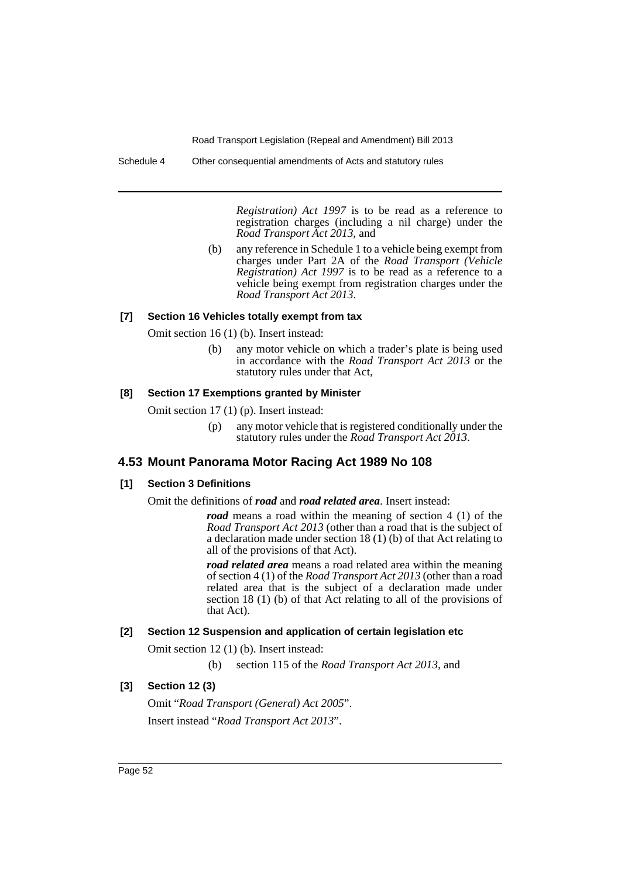Schedule 4 Other consequential amendments of Acts and statutory rules

*Registration) Act 1997* is to be read as a reference to registration charges (including a nil charge) under the *Road Transport Act 2013*, and

(b) any reference in Schedule 1 to a vehicle being exempt from charges under Part 2A of the *Road Transport (Vehicle Registration) Act 1997* is to be read as a reference to a vehicle being exempt from registration charges under the *Road Transport Act 2013*.

### **[7] Section 16 Vehicles totally exempt from tax**

Omit section 16 (1) (b). Insert instead:

(b) any motor vehicle on which a trader's plate is being used in accordance with the *Road Transport Act 2013* or the statutory rules under that Act,

#### **[8] Section 17 Exemptions granted by Minister**

Omit section 17 (1) (p). Insert instead:

(p) any motor vehicle that is registered conditionally under the statutory rules under the *Road Transport Act 2013*.

# **4.53 Mount Panorama Motor Racing Act 1989 No 108**

### **[1] Section 3 Definitions**

Omit the definitions of *road* and *road related area*. Insert instead:

*road* means a road within the meaning of section 4 (1) of the *Road Transport Act 2013* (other than a road that is the subject of a declaration made under section 18 (1) (b) of that Act relating to all of the provisions of that Act).

*road related area* means a road related area within the meaning of section 4 (1) of the *Road Transport Act 2013* (other than a road related area that is the subject of a declaration made under section 18 (1) (b) of that Act relating to all of the provisions of that Act).

### **[2] Section 12 Suspension and application of certain legislation etc**

Omit section 12 (1) (b). Insert instead:

(b) section 115 of the *Road Transport Act 2013*, and

### **[3] Section 12 (3)**

Omit "*Road Transport (General) Act 2005*". Insert instead "*Road Transport Act 2013*".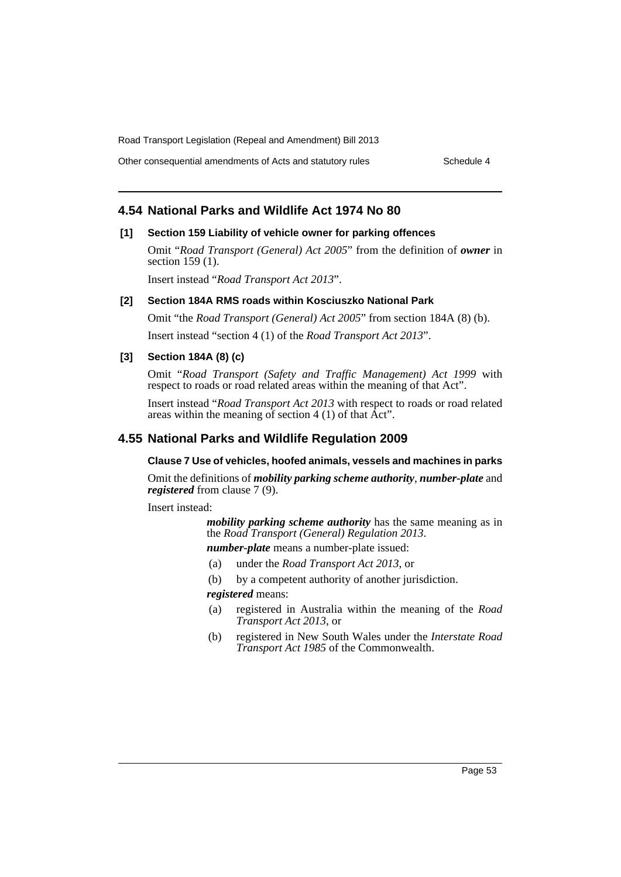Other consequential amendments of Acts and statutory rules Schedule 4

# **4.54 National Parks and Wildlife Act 1974 No 80**

### **[1] Section 159 Liability of vehicle owner for parking offences**

Omit "*Road Transport (General) Act 2005*" from the definition of *owner* in section 159 (1).

Insert instead "*Road Transport Act 2013*".

#### **[2] Section 184A RMS roads within Kosciuszko National Park**

Omit "the *Road Transport (General) Act 2005*" from section 184A (8) (b).

Insert instead "section 4 (1) of the *Road Transport Act 2013*".

### **[3] Section 184A (8) (c)**

Omit "*Road Transport (Safety and Traffic Management) Act 1999* with respect to roads or road related areas within the meaning of that Act".

Insert instead "*Road Transport Act 2013* with respect to roads or road related areas within the meaning of section  $4(1)$  of that  $\overline{A}ct$ ".

# **4.55 National Parks and Wildlife Regulation 2009**

## **Clause 7 Use of vehicles, hoofed animals, vessels and machines in parks**

Omit the definitions of *mobility parking scheme authority*, *number-plate* and *registered* from clause 7 (9).

Insert instead:

*mobility parking scheme authority* has the same meaning as in the *Road Transport (General) Regulation 2013*.

*number-plate* means a number-plate issued:

(a) under the *Road Transport Act 2013*, or

(b) by a competent authority of another jurisdiction. *registered* means:

- (a) registered in Australia within the meaning of the *Road Transport Act 2013*, or
- (b) registered in New South Wales under the *Interstate Road Transport Act 1985* of the Commonwealth.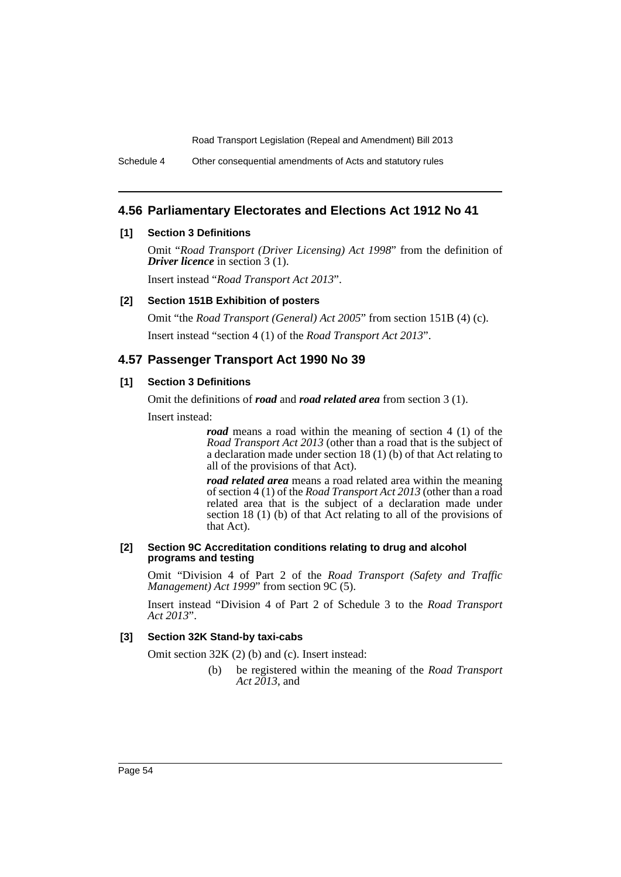Schedule 4 Other consequential amendments of Acts and statutory rules

# **4.56 Parliamentary Electorates and Elections Act 1912 No 41**

### **[1] Section 3 Definitions**

Omit "*Road Transport (Driver Licensing) Act 1998*" from the definition of *Driver licence* in section 3 (1).

Insert instead "*Road Transport Act 2013*".

### **[2] Section 151B Exhibition of posters**

Omit "the *Road Transport (General) Act 2005*" from section 151B (4) (c). Insert instead "section 4 (1) of the *Road Transport Act 2013*".

# **4.57 Passenger Transport Act 1990 No 39**

# **[1] Section 3 Definitions**

Omit the definitions of *road* and *road related area* from section 3 (1).

Insert instead:

*road* means a road within the meaning of section 4 (1) of the *Road Transport Act 2013* (other than a road that is the subject of a declaration made under section 18 (1) (b) of that Act relating to all of the provisions of that Act).

*road related area* means a road related area within the meaning of section 4 (1) of the *Road Transport Act 2013* (other than a road related area that is the subject of a declaration made under section 18 (1) (b) of that Act relating to all of the provisions of that Act).

### **[2] Section 9C Accreditation conditions relating to drug and alcohol programs and testing**

Omit "Division 4 of Part 2 of the *Road Transport (Safety and Traffic Management) Act 1999*" from section 9C (5).

Insert instead "Division 4 of Part 2 of Schedule 3 to the *Road Transport Act 2013*".

### **[3] Section 32K Stand-by taxi-cabs**

Omit section 32K (2) (b) and (c). Insert instead:

(b) be registered within the meaning of the *Road Transport Act 2013*, and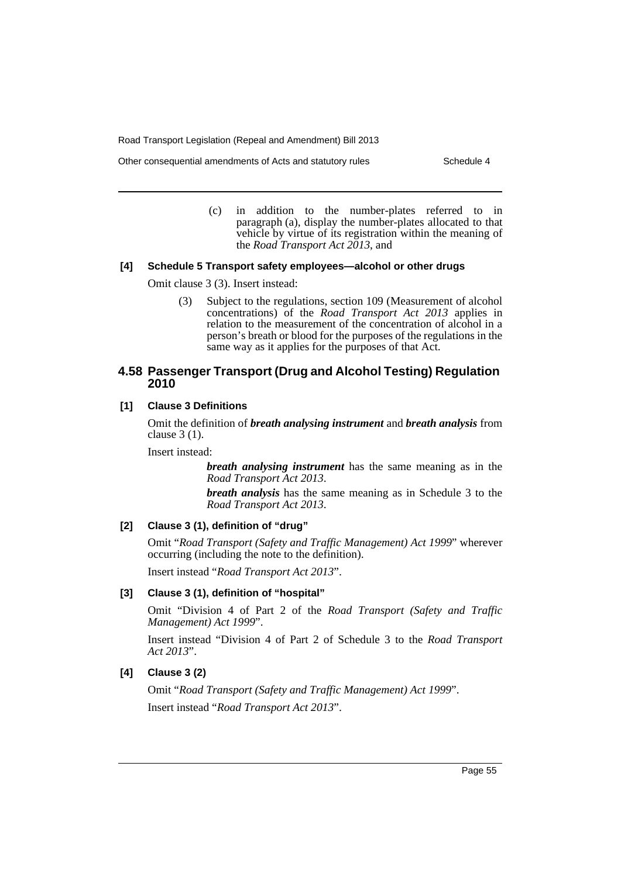Other consequential amendments of Acts and statutory rules Schedule 4

(c) in addition to the number-plates referred to in paragraph (a), display the number-plates allocated to that vehicle by virtue of its registration within the meaning of the *Road Transport Act 2013*, and

### **[4] Schedule 5 Transport safety employees—alcohol or other drugs**

Omit clause 3 (3). Insert instead:

(3) Subject to the regulations, section 109 (Measurement of alcohol concentrations) of the *Road Transport Act 2013* applies in relation to the measurement of the concentration of alcohol in a person's breath or blood for the purposes of the regulations in the same way as it applies for the purposes of that Act.

# **4.58 Passenger Transport (Drug and Alcohol Testing) Regulation 2010**

# **[1] Clause 3 Definitions**

Omit the definition of *breath analysing instrument* and *breath analysis* from clause 3 (1).

Insert instead:

*breath analysing instrument* has the same meaning as in the *Road Transport Act 2013*.

*breath analysis* has the same meaning as in Schedule 3 to the *Road Transport Act 2013*.

### **[2] Clause 3 (1), definition of "drug"**

Omit "*Road Transport (Safety and Traffic Management) Act 1999*" wherever occurring (including the note to the definition).

Insert instead "*Road Transport Act 2013*".

### **[3] Clause 3 (1), definition of "hospital"**

Omit "Division 4 of Part 2 of the *Road Transport (Safety and Traffic Management) Act 1999*".

Insert instead "Division 4 of Part 2 of Schedule 3 to the *Road Transport Act 2013*".

## **[4] Clause 3 (2)**

Omit "*Road Transport (Safety and Traffic Management) Act 1999*". Insert instead "*Road Transport Act 2013*".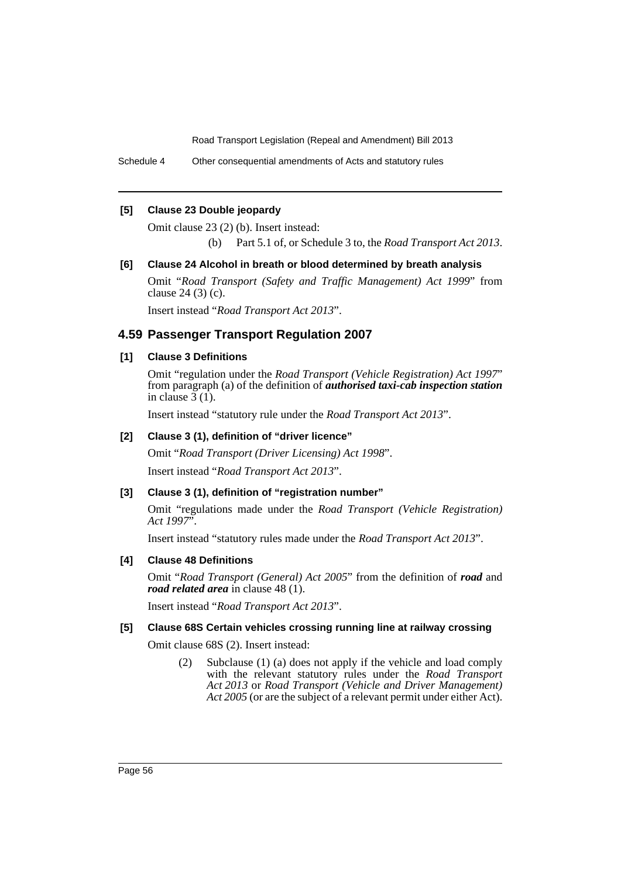Schedule 4 Other consequential amendments of Acts and statutory rules

### **[5] Clause 23 Double jeopardy**

Omit clause 23 (2) (b). Insert instead:

(b) Part 5.1 of, or Schedule 3 to, the *Road Transport Act 2013*.

### **[6] Clause 24 Alcohol in breath or blood determined by breath analysis**

Omit "*Road Transport (Safety and Traffic Management) Act 1999*" from clause 24 (3) (c).

Insert instead "*Road Transport Act 2013*".

# **4.59 Passenger Transport Regulation 2007**

# **[1] Clause 3 Definitions**

Omit "regulation under the *Road Transport (Vehicle Registration) Act 1997*" from paragraph (a) of the definition of *authorised taxi-cab inspection station* in clause  $3(1)$ .

Insert instead "statutory rule under the *Road Transport Act 2013*".

### **[2] Clause 3 (1), definition of "driver licence"**

Omit "*Road Transport (Driver Licensing) Act 1998*".

Insert instead "*Road Transport Act 2013*".

### **[3] Clause 3 (1), definition of "registration number"**

Omit "regulations made under the *Road Transport (Vehicle Registration) Act 1997*".

Insert instead "statutory rules made under the *Road Transport Act 2013*".

### **[4] Clause 48 Definitions**

Omit "*Road Transport (General) Act 2005*" from the definition of *road* and *road related area* in clause 48 (1).

Insert instead "*Road Transport Act 2013*".

### **[5] Clause 68S Certain vehicles crossing running line at railway crossing**

Omit clause 68S (2). Insert instead:

(2) Subclause (1) (a) does not apply if the vehicle and load comply with the relevant statutory rules under the *Road Transport Act 2013* or *Road Transport (Vehicle and Driver Management) Act 2005* (or are the subject of a relevant permit under either Act).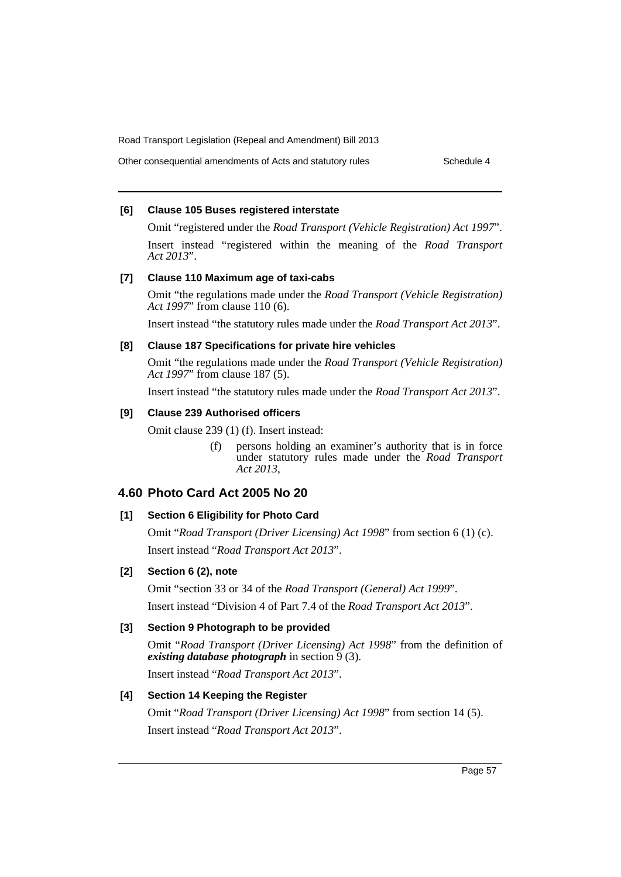Other consequential amendments of Acts and statutory rules Schedule 4

### **[6] Clause 105 Buses registered interstate**

Omit "registered under the *Road Transport (Vehicle Registration) Act 1997*". Insert instead "registered within the meaning of the *Road Transport Act 2013*".

### **[7] Clause 110 Maximum age of taxi-cabs**

Omit "the regulations made under the *Road Transport (Vehicle Registration) Act 1997*" from clause 110 (6).

Insert instead "the statutory rules made under the *Road Transport Act 2013*".

### **[8] Clause 187 Specifications for private hire vehicles**

Omit "the regulations made under the *Road Transport (Vehicle Registration) Act 1997*" from clause 187 (5).

Insert instead "the statutory rules made under the *Road Transport Act 2013*".

#### **[9] Clause 239 Authorised officers**

Omit clause 239 (1) (f). Insert instead:

(f) persons holding an examiner's authority that is in force under statutory rules made under the *Road Transport Act 2013*,

# **4.60 Photo Card Act 2005 No 20**

### **[1] Section 6 Eligibility for Photo Card**

Omit "*Road Transport (Driver Licensing) Act 1998*" from section 6 (1) (c). Insert instead "*Road Transport Act 2013*".

### **[2] Section 6 (2), note**

Omit "section 33 or 34 of the *Road Transport (General) Act 1999*". Insert instead "Division 4 of Part 7.4 of the *Road Transport Act 2013*".

### **[3] Section 9 Photograph to be provided**

Omit "*Road Transport (Driver Licensing) Act 1998*" from the definition of *existing database photograph* in section 9 (3).

Insert instead "*Road Transport Act 2013*".

### **[4] Section 14 Keeping the Register**

Omit "*Road Transport (Driver Licensing) Act 1998*" from section 14 (5). Insert instead "*Road Transport Act 2013*".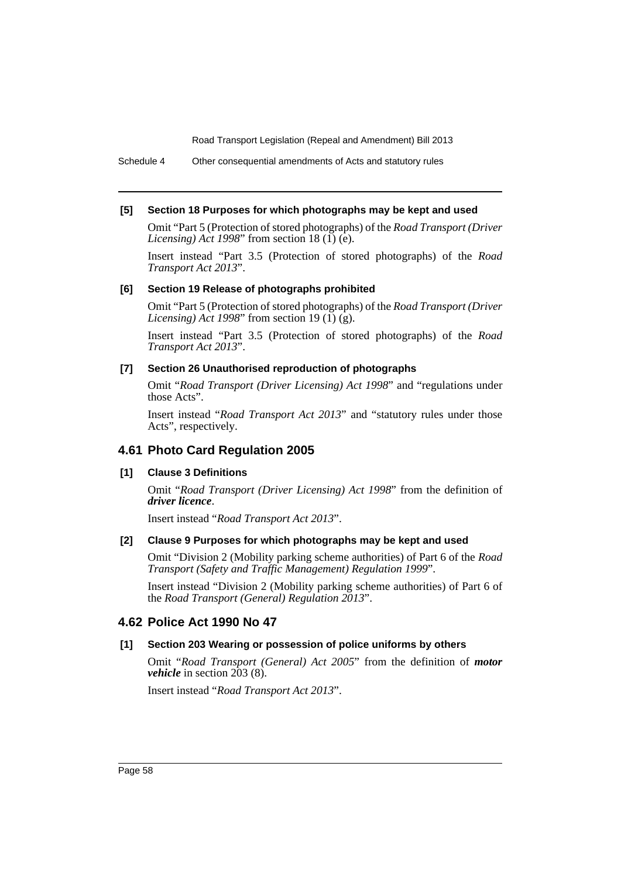Schedule 4 Other consequential amendments of Acts and statutory rules

### **[5] Section 18 Purposes for which photographs may be kept and used**

Omit "Part 5 (Protection of stored photographs) of the *Road Transport (Driver Licensing*) *Act 1998*" from section 18 (1) (e).

Insert instead "Part 3.5 (Protection of stored photographs) of the *Road Transport Act 2013*".

### **[6] Section 19 Release of photographs prohibited**

Omit "Part 5 (Protection of stored photographs) of the *Road Transport (Driver Licensing*) *Act 1998*" from section 19 (1)  $(\tilde{g})$ .

Insert instead "Part 3.5 (Protection of stored photographs) of the *Road Transport Act 2013*".

### **[7] Section 26 Unauthorised reproduction of photographs**

Omit "*Road Transport (Driver Licensing) Act 1998*" and "regulations under those Acts".

Insert instead "*Road Transport Act 2013*" and "statutory rules under those Acts", respectively.

# **4.61 Photo Card Regulation 2005**

### **[1] Clause 3 Definitions**

Omit "*Road Transport (Driver Licensing) Act 1998*" from the definition of *driver licence*.

Insert instead "*Road Transport Act 2013*".

# **[2] Clause 9 Purposes for which photographs may be kept and used**

Omit "Division 2 (Mobility parking scheme authorities) of Part 6 of the *Road Transport (Safety and Traffic Management) Regulation 1999*".

Insert instead "Division 2 (Mobility parking scheme authorities) of Part 6 of the *Road Transport (General) Regulation 2013*".

# **4.62 Police Act 1990 No 47**

# **[1] Section 203 Wearing or possession of police uniforms by others**

Omit "*Road Transport (General) Act 2005*" from the definition of *motor vehicle* in section 203 (8).

Insert instead "*Road Transport Act 2013*".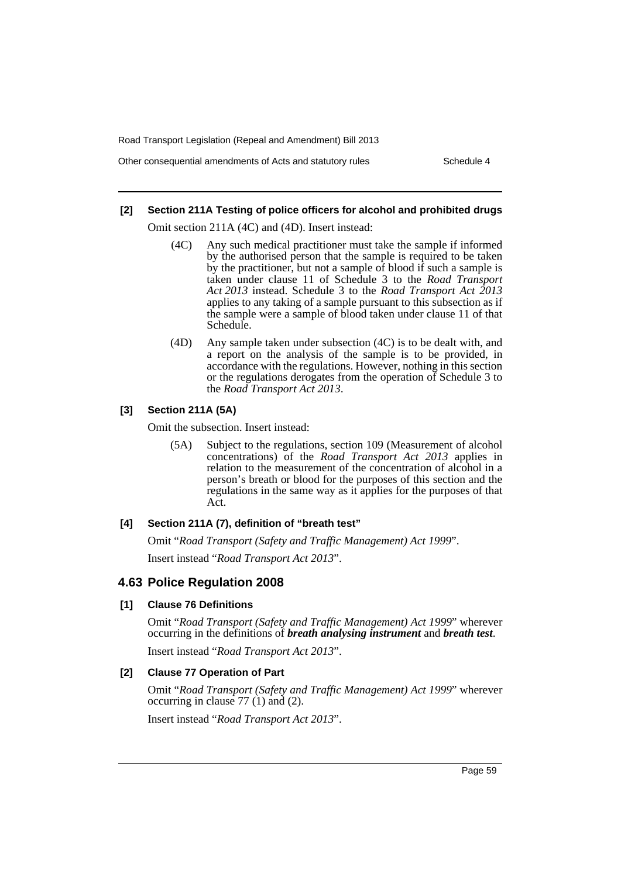Other consequential amendments of Acts and statutory rules Schedule 4

### **[2] Section 211A Testing of police officers for alcohol and prohibited drugs**

Omit section 211A (4C) and (4D). Insert instead:

- (4C) Any such medical practitioner must take the sample if informed by the authorised person that the sample is required to be taken by the practitioner, but not a sample of blood if such a sample is taken under clause 11 of Schedule 3 to the *Road Transport Act 2013* instead. Schedule 3 to the *Road Transport Act 2013* applies to any taking of a sample pursuant to this subsection as if the sample were a sample of blood taken under clause 11 of that Schedule.
- (4D) Any sample taken under subsection (4C) is to be dealt with, and a report on the analysis of the sample is to be provided, in accordance with the regulations. However, nothing in this section or the regulations derogates from the operation of Schedule 3 to the *Road Transport Act 2013*.

# **[3] Section 211A (5A)**

Omit the subsection. Insert instead:

(5A) Subject to the regulations, section 109 (Measurement of alcohol concentrations) of the *Road Transport Act 2013* applies in relation to the measurement of the concentration of alcohol in a person's breath or blood for the purposes of this section and the regulations in the same way as it applies for the purposes of that Act.

### **[4] Section 211A (7), definition of "breath test"**

Omit "*Road Transport (Safety and Traffic Management) Act 1999*". Insert instead "*Road Transport Act 2013*".

# **4.63 Police Regulation 2008**

### **[1] Clause 76 Definitions**

Omit "*Road Transport (Safety and Traffic Management) Act 1999*" wherever occurring in the definitions of *breath analysing instrument* and *breath test*.

Insert instead "*Road Transport Act 2013*".

### **[2] Clause 77 Operation of Part**

Omit "*Road Transport (Safety and Traffic Management) Act 1999*" wherever occurring in clause 77 (1) and (2).

Insert instead "*Road Transport Act 2013*".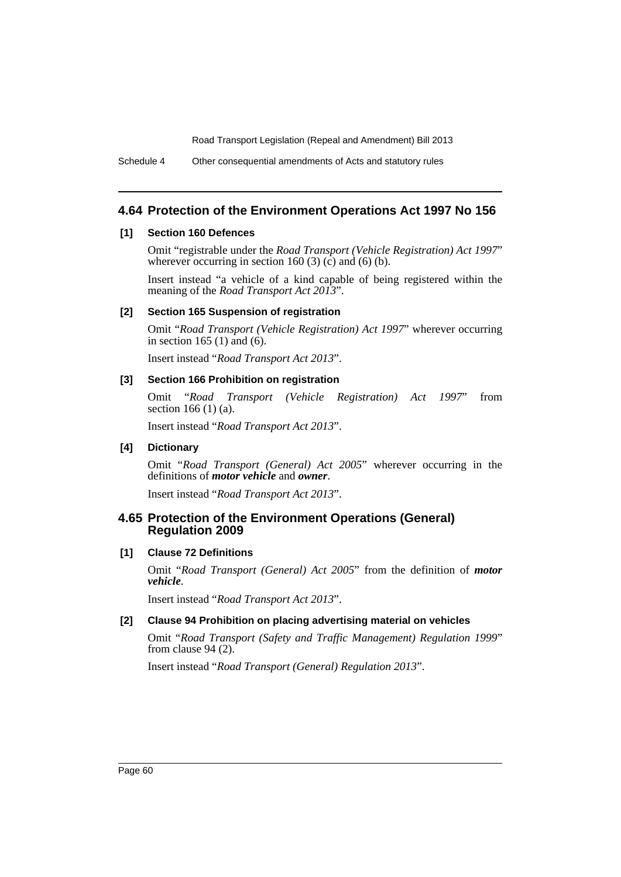Schedule 4 Other consequential amendments of Acts and statutory rules

# **4.64 Protection of the Environment Operations Act 1997 No 156**

### **[1] Section 160 Defences**

Omit "registrable under the *Road Transport (Vehicle Registration) Act 1997*" wherever occurring in section 160 (3) (c) and (6) (b).

Insert instead "a vehicle of a kind capable of being registered within the meaning of the *Road Transport Act 2013*".

### **[2] Section 165 Suspension of registration**

Omit "*Road Transport (Vehicle Registration) Act 1997*" wherever occurring in section 165 (1) and (6).

Insert instead "*Road Transport Act 2013*".

### **[3] Section 166 Prohibition on registration**

Omit "*Road Transport (Vehicle Registration) Act 1997*" from section 166 (1) (a).

Insert instead "*Road Transport Act 2013*".

# **[4] Dictionary**

Omit "*Road Transport (General) Act 2005*" wherever occurring in the definitions of *motor vehicle* and *owner*.

Insert instead "*Road Transport Act 2013*".

# **4.65 Protection of the Environment Operations (General) Regulation 2009**

# **[1] Clause 72 Definitions**

Omit "*Road Transport (General) Act 2005*" from the definition of *motor vehicle*.

Insert instead "*Road Transport Act 2013*".

# **[2] Clause 94 Prohibition on placing advertising material on vehicles**

Omit "*Road Transport (Safety and Traffic Management) Regulation 1999*" from clause 94 (2).

Insert instead "*Road Transport (General) Regulation 2013*".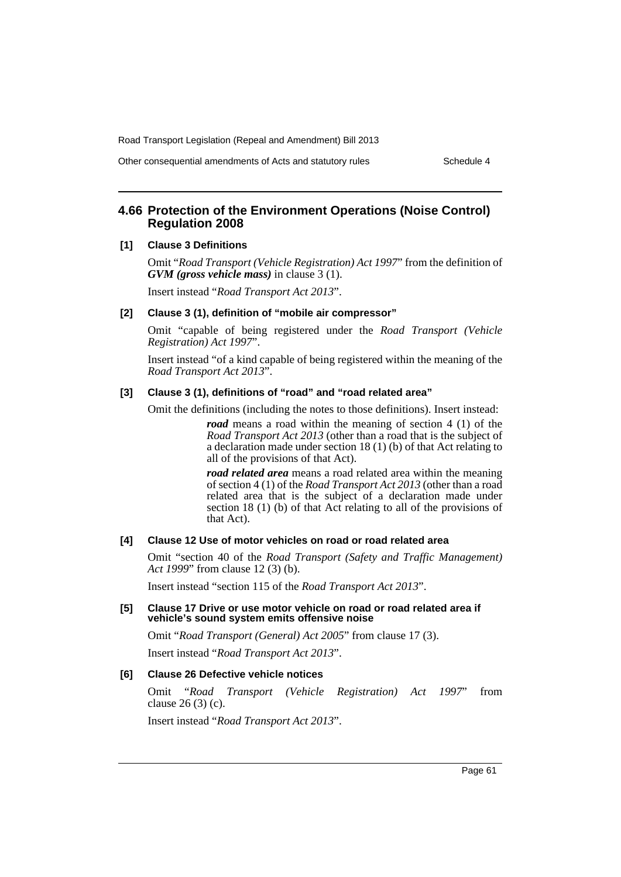Other consequential amendments of Acts and statutory rules Schedule 4

# **4.66 Protection of the Environment Operations (Noise Control) Regulation 2008**

#### **[1] Clause 3 Definitions**

Omit "*Road Transport (Vehicle Registration) Act 1997*" from the definition of *GVM (gross vehicle mass)* in clause 3 (1).

Insert instead "*Road Transport Act 2013*".

# **[2] Clause 3 (1), definition of "mobile air compressor"**

Omit "capable of being registered under the *Road Transport (Vehicle Registration) Act 1997*".

Insert instead "of a kind capable of being registered within the meaning of the *Road Transport Act 2013*".

# **[3] Clause 3 (1), definitions of "road" and "road related area"**

Omit the definitions (including the notes to those definitions). Insert instead:

*road* means a road within the meaning of section 4 (1) of the *Road Transport Act 2013* (other than a road that is the subject of a declaration made under section 18 (1) (b) of that Act relating to all of the provisions of that Act).

*road related area* means a road related area within the meaning of section 4 (1) of the *Road Transport Act 2013* (other than a road related area that is the subject of a declaration made under section 18 (1) (b) of that Act relating to all of the provisions of that Act).

## **[4] Clause 12 Use of motor vehicles on road or road related area**

Omit "section 40 of the *Road Transport (Safety and Traffic Management) Act 1999*" from clause 12 (3) (b).

Insert instead "section 115 of the *Road Transport Act 2013*".

#### **[5] Clause 17 Drive or use motor vehicle on road or road related area if vehicle's sound system emits offensive noise**

Omit "*Road Transport (General) Act 2005*" from clause 17 (3).

Insert instead "*Road Transport Act 2013*".

#### **[6] Clause 26 Defective vehicle notices**

Omit "*Road Transport (Vehicle Registration) Act 1997*" from clause 26 (3) (c).

Insert instead "*Road Transport Act 2013*".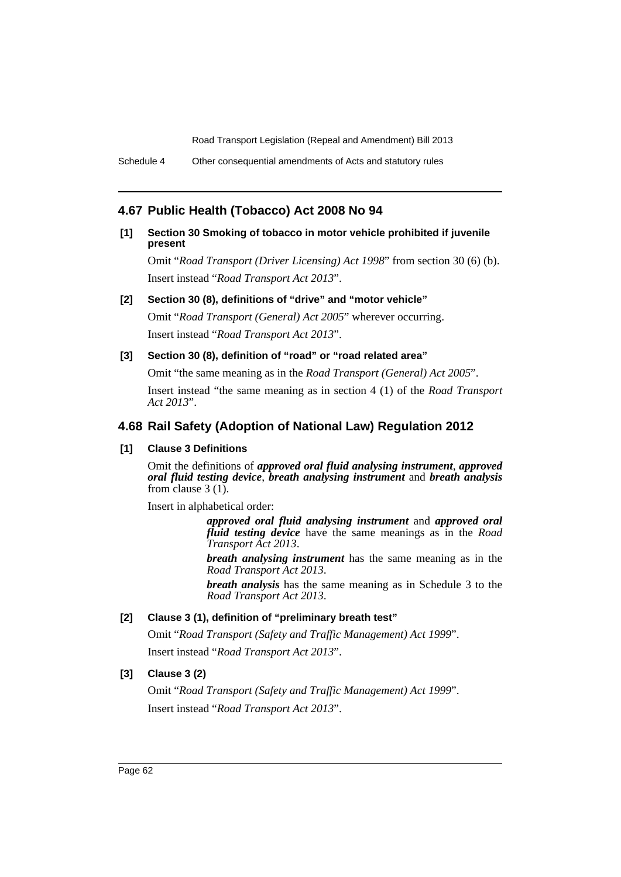Schedule 4 Other consequential amendments of Acts and statutory rules

# **4.67 Public Health (Tobacco) Act 2008 No 94**

# **[1] Section 30 Smoking of tobacco in motor vehicle prohibited if juvenile present**

Omit "*Road Transport (Driver Licensing) Act 1998*" from section 30 (6) (b). Insert instead "*Road Transport Act 2013*".

### **[2] Section 30 (8), definitions of "drive" and "motor vehicle"**

Omit "*Road Transport (General) Act 2005*" wherever occurring. Insert instead "*Road Transport Act 2013*".

### **[3] Section 30 (8), definition of "road" or "road related area"**

Omit "the same meaning as in the *Road Transport (General) Act 2005*".

Insert instead "the same meaning as in section 4 (1) of the *Road Transport Act 2013*".

# **4.68 Rail Safety (Adoption of National Law) Regulation 2012**

# **[1] Clause 3 Definitions**

Omit the definitions of *approved oral fluid analysing instrument*, *approved oral fluid testing device*, *breath analysing instrument* and *breath analysis* from clause 3 (1).

Insert in alphabetical order:

*approved oral fluid analysing instrument* and *approved oral fluid testing device* have the same meanings as in the *Road Transport Act 2013*.

*breath analysing instrument* has the same meaning as in the *Road Transport Act 2013*.

*breath analysis* has the same meaning as in Schedule 3 to the *Road Transport Act 2013*.

# **[2] Clause 3 (1), definition of "preliminary breath test"**

Omit "*Road Transport (Safety and Traffic Management) Act 1999*". Insert instead "*Road Transport Act 2013*".

# **[3] Clause 3 (2)**

Omit "*Road Transport (Safety and Traffic Management) Act 1999*". Insert instead "*Road Transport Act 2013*".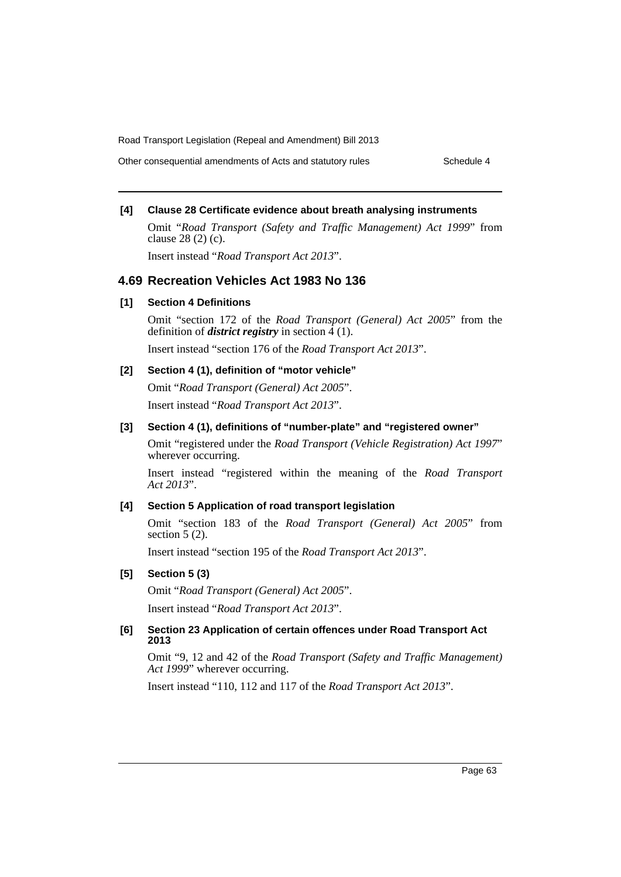Other consequential amendments of Acts and statutory rules Schedule 4

# **[4] Clause 28 Certificate evidence about breath analysing instruments**

Omit "*Road Transport (Safety and Traffic Management) Act 1999*" from clause 28 (2) (c).

Insert instead "*Road Transport Act 2013*".

# **4.69 Recreation Vehicles Act 1983 No 136**

# **[1] Section 4 Definitions**

Omit "section 172 of the *Road Transport (General) Act 2005*" from the definition of *district registry* in section  $\overline{4}$  (1).

Insert instead "section 176 of the *Road Transport Act 2013*".

# **[2] Section 4 (1), definition of "motor vehicle"**

Omit "*Road Transport (General) Act 2005*". Insert instead "*Road Transport Act 2013*".

# **[3] Section 4 (1), definitions of "number-plate" and "registered owner"**

Omit "registered under the *Road Transport (Vehicle Registration) Act 1997*" wherever occurring.

Insert instead "registered within the meaning of the *Road Transport Act 2013*".

# **[4] Section 5 Application of road transport legislation**

Omit "section 183 of the *Road Transport (General) Act 2005*" from section 5  $(2)$ .

Insert instead "section 195 of the *Road Transport Act 2013*".

#### **[5] Section 5 (3)**

Omit "*Road Transport (General) Act 2005*".

Insert instead "*Road Transport Act 2013*".

### **[6] Section 23 Application of certain offences under Road Transport Act 2013**

Omit "9, 12 and 42 of the *Road Transport (Safety and Traffic Management) Act 1999*" wherever occurring.

Insert instead "110, 112 and 117 of the *Road Transport Act 2013*".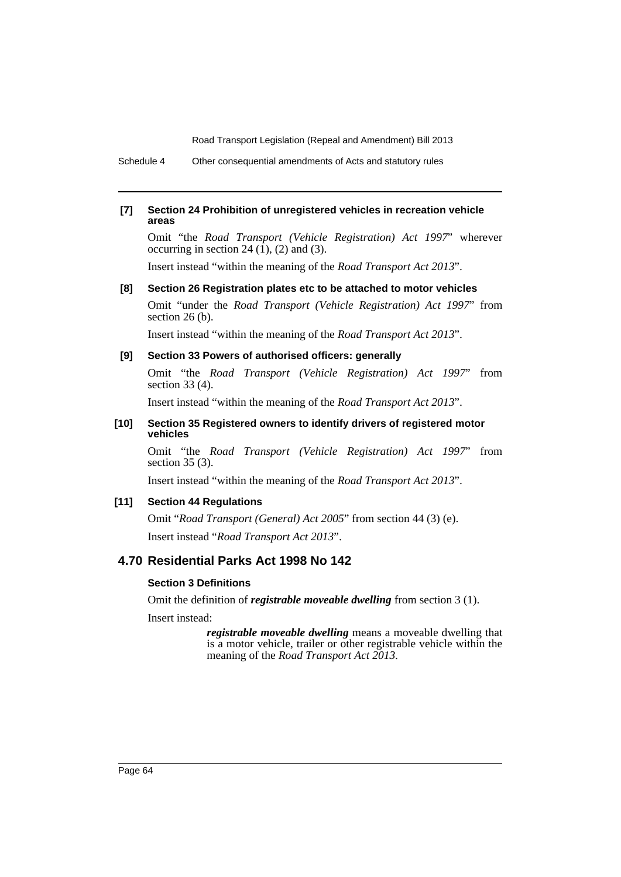Schedule 4 Other consequential amendments of Acts and statutory rules

### **[7] Section 24 Prohibition of unregistered vehicles in recreation vehicle areas**

Omit "the *Road Transport (Vehicle Registration) Act 1997*" wherever occurring in section 24  $(1)$ ,  $(2)$  and  $(3)$ .

Insert instead "within the meaning of the *Road Transport Act 2013*".

### **[8] Section 26 Registration plates etc to be attached to motor vehicles**

Omit "under the *Road Transport (Vehicle Registration) Act 1997*" from section 26 (b).

Insert instead "within the meaning of the *Road Transport Act 2013*".

### **[9] Section 33 Powers of authorised officers: generally**

Omit "the *Road Transport (Vehicle Registration) Act 1997*" from section 33 (4).

Insert instead "within the meaning of the *Road Transport Act 2013*".

### **[10] Section 35 Registered owners to identify drivers of registered motor vehicles**

Omit "the *Road Transport (Vehicle Registration) Act 1997*" from section 35 (3).

Insert instead "within the meaning of the *Road Transport Act 2013*".

### **[11] Section 44 Regulations**

Omit "*Road Transport (General) Act 2005*" from section 44 (3) (e). Insert instead "*Road Transport Act 2013*".

# **4.70 Residential Parks Act 1998 No 142**

### **Section 3 Definitions**

Omit the definition of *registrable moveable dwelling* from section 3 (1).

Insert instead:

*registrable moveable dwelling* means a moveable dwelling that is a motor vehicle, trailer or other registrable vehicle within the meaning of the *Road Transport Act 2013*.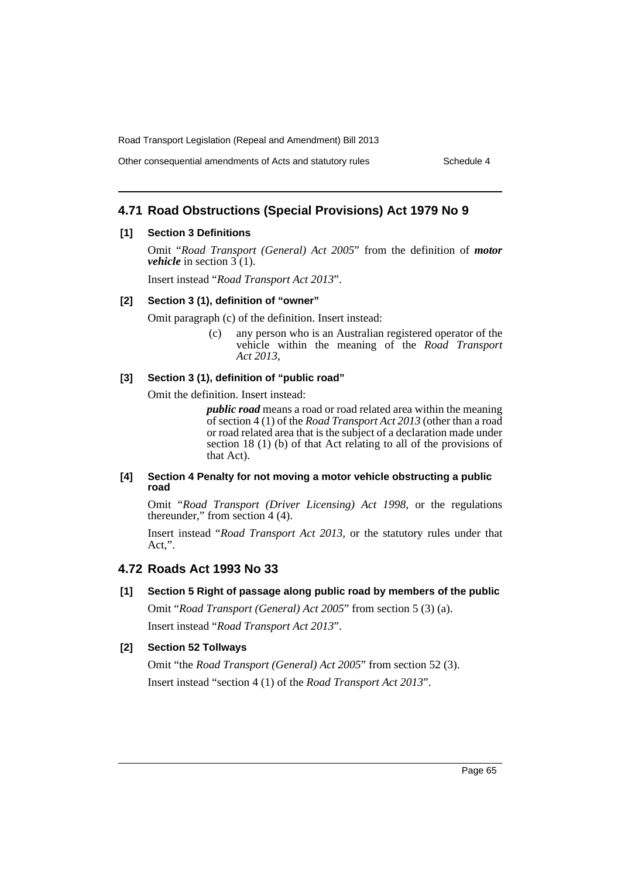Other consequential amendments of Acts and statutory rules Schedule 4

# **4.71 Road Obstructions (Special Provisions) Act 1979 No 9**

### **[1] Section 3 Definitions**

Omit "*Road Transport (General) Act 2005*" from the definition of *motor vehicle* in section  $3(1)$ .

Insert instead "*Road Transport Act 2013*".

#### **[2] Section 3 (1), definition of "owner"**

Omit paragraph (c) of the definition. Insert instead:

(c) any person who is an Australian registered operator of the vehicle within the meaning of the *Road Transport Act 2013*,

### **[3] Section 3 (1), definition of "public road"**

Omit the definition. Insert instead:

*public road* means a road or road related area within the meaning of section 4 (1) of the *Road Transport Act 2013* (other than a road or road related area that is the subject of a declaration made under section 18 (1) (b) of that Act relating to all of the provisions of that Act).

### **[4] Section 4 Penalty for not moving a motor vehicle obstructing a public road**

Omit "*Road Transport (Driver Licensing) Act 1998*, or the regulations thereunder," from section 4 (4).

Insert instead "*Road Transport Act 2013*, or the statutory rules under that Act,".

# **4.72 Roads Act 1993 No 33**

**[1] Section 5 Right of passage along public road by members of the public**

Omit "*Road Transport (General) Act 2005*" from section 5 (3) (a). Insert instead "*Road Transport Act 2013*".

# **[2] Section 52 Tollways**

Omit "the *Road Transport (General) Act 2005*" from section 52 (3). Insert instead "section 4 (1) of the *Road Transport Act 2013*".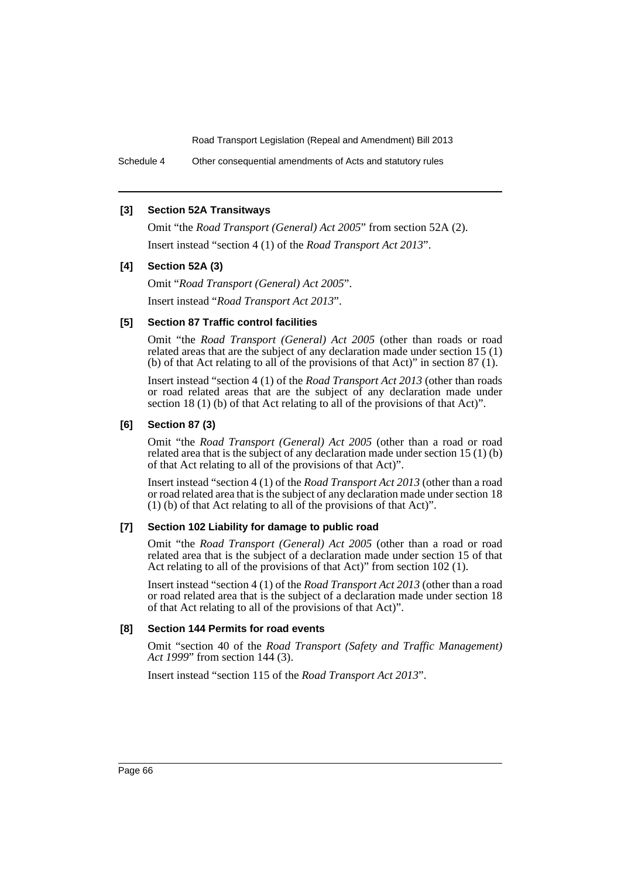Schedule 4 Other consequential amendments of Acts and statutory rules

### **[3] Section 52A Transitways**

Omit "the *Road Transport (General) Act 2005*" from section 52A (2). Insert instead "section 4 (1) of the *Road Transport Act 2013*".

### **[4] Section 52A (3)**

Omit "*Road Transport (General) Act 2005*". Insert instead "*Road Transport Act 2013*".

### **[5] Section 87 Traffic control facilities**

Omit "the *Road Transport (General) Act 2005* (other than roads or road related areas that are the subject of any declaration made under section 15 (1) (b) of that Act relating to all of the provisions of that Act)" in section 87 (1).

Insert instead "section 4 (1) of the *Road Transport Act 2013* (other than roads or road related areas that are the subject of any declaration made under section 18 (1) (b) of that Act relating to all of the provisions of that Act)".

### **[6] Section 87 (3)**

Omit "the *Road Transport (General) Act 2005* (other than a road or road related area that is the subject of any declaration made under section 15 (1) (b) of that Act relating to all of the provisions of that Act)".

Insert instead "section 4 (1) of the *Road Transport Act 2013* (other than a road or road related area that is the subject of any declaration made under section 18 (1) (b) of that Act relating to all of the provisions of that Act)".

#### **[7] Section 102 Liability for damage to public road**

Omit "the *Road Transport (General) Act 2005* (other than a road or road related area that is the subject of a declaration made under section 15 of that Act relating to all of the provisions of that Act)" from section 102 (1).

Insert instead "section 4 (1) of the *Road Transport Act 2013* (other than a road or road related area that is the subject of a declaration made under section 18 of that Act relating to all of the provisions of that Act)".

### **[8] Section 144 Permits for road events**

Omit "section 40 of the *Road Transport (Safety and Traffic Management) Act 1999*" from section 144 (3).

Insert instead "section 115 of the *Road Transport Act 2013*".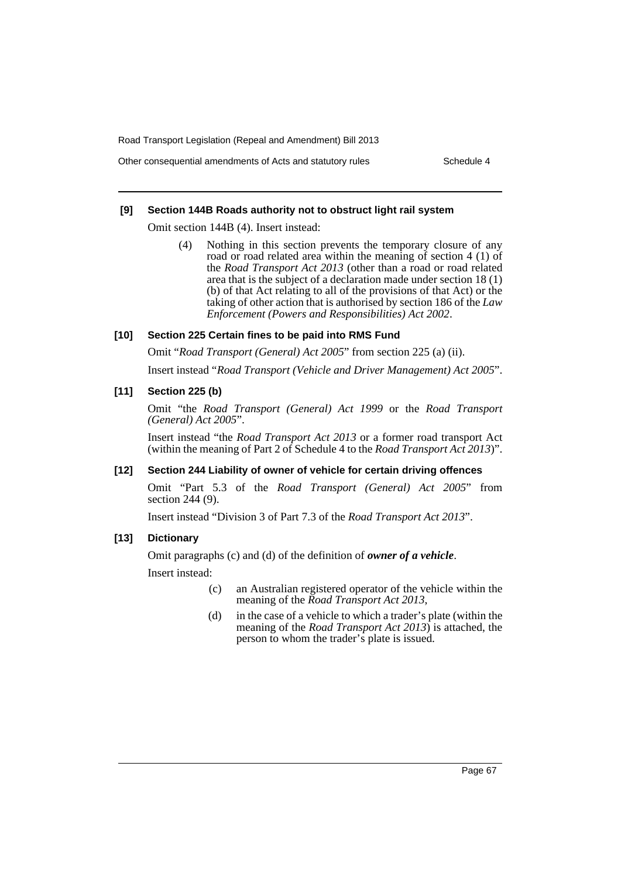Other consequential amendments of Acts and statutory rules Schedule 4

### **[9] Section 144B Roads authority not to obstruct light rail system**

Omit section 144B (4). Insert instead:

(4) Nothing in this section prevents the temporary closure of any road or road related area within the meaning of section 4 (1) of the *Road Transport Act 2013* (other than a road or road related area that is the subject of a declaration made under section 18 (1) (b) of that Act relating to all of the provisions of that Act) or the taking of other action that is authorised by section 186 of the *Law Enforcement (Powers and Responsibilities) Act 2002*.

### **[10] Section 225 Certain fines to be paid into RMS Fund**

Omit "*Road Transport (General) Act 2005*" from section 225 (a) (ii).

Insert instead "*Road Transport (Vehicle and Driver Management) Act 2005*".

### **[11] Section 225 (b)**

Omit "the *Road Transport (General) Act 1999* or the *Road Transport (General) Act 2005*".

Insert instead "the *Road Transport Act 2013* or a former road transport Act (within the meaning of Part 2 of Schedule 4 to the *Road Transport Act 2013*)".

#### **[12] Section 244 Liability of owner of vehicle for certain driving offences**

Omit "Part 5.3 of the *Road Transport (General) Act 2005*" from section 244 (9).

Insert instead "Division 3 of Part 7.3 of the *Road Transport Act 2013*".

### **[13] Dictionary**

Omit paragraphs (c) and (d) of the definition of *owner of a vehicle*.

Insert instead:

- (c) an Australian registered operator of the vehicle within the meaning of the *Road Transport Act 2013*,
- (d) in the case of a vehicle to which a trader's plate (within the meaning of the *Road Transport Act 2013*) is attached, the person to whom the trader's plate is issued.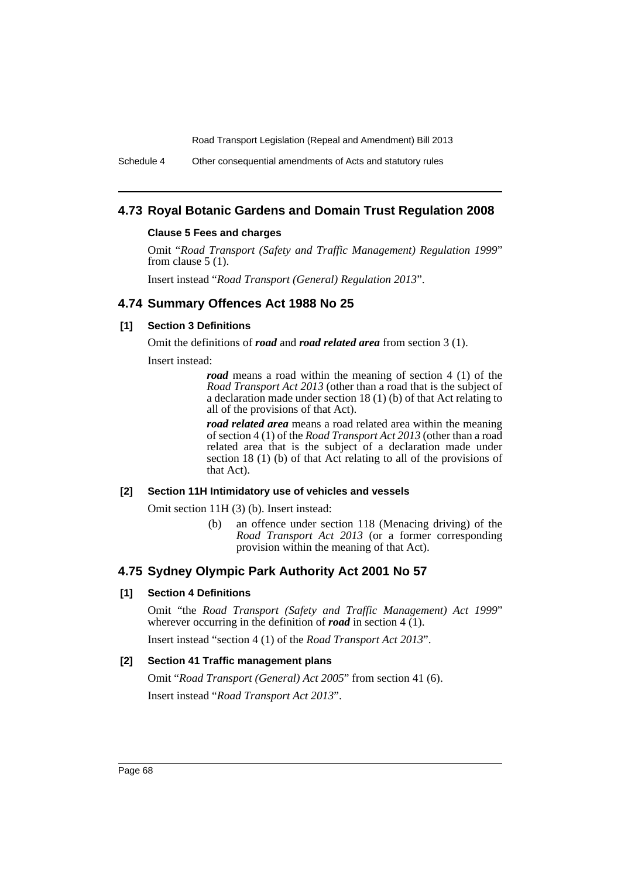Schedule 4 Other consequential amendments of Acts and statutory rules

# **4.73 Royal Botanic Gardens and Domain Trust Regulation 2008**

#### **Clause 5 Fees and charges**

Omit "*Road Transport (Safety and Traffic Management) Regulation 1999*" from clause 5 (1).

Insert instead "*Road Transport (General) Regulation 2013*".

# **4.74 Summary Offences Act 1988 No 25**

# **[1] Section 3 Definitions**

Omit the definitions of *road* and *road related area* from section 3 (1).

Insert instead:

*road* means a road within the meaning of section 4 (1) of the *Road Transport Act 2013* (other than a road that is the subject of a declaration made under section 18 (1) (b) of that Act relating to all of the provisions of that Act).

*road related area* means a road related area within the meaning of section 4 (1) of the *Road Transport Act 2013* (other than a road related area that is the subject of a declaration made under section 18 (1) (b) of that Act relating to all of the provisions of that Act).

#### **[2] Section 11H Intimidatory use of vehicles and vessels**

Omit section 11H (3) (b). Insert instead:

(b) an offence under section 118 (Menacing driving) of the *Road Transport Act 2013* (or a former corresponding provision within the meaning of that Act).

# **4.75 Sydney Olympic Park Authority Act 2001 No 57**

# **[1] Section 4 Definitions**

Omit "the *Road Transport (Safety and Traffic Management) Act 1999*" wherever occurring in the definition of *road* in section 4 (1).

Insert instead "section 4 (1) of the *Road Transport Act 2013*".

# **[2] Section 41 Traffic management plans**

Omit "*Road Transport (General) Act 2005*" from section 41 (6). Insert instead "*Road Transport Act 2013*".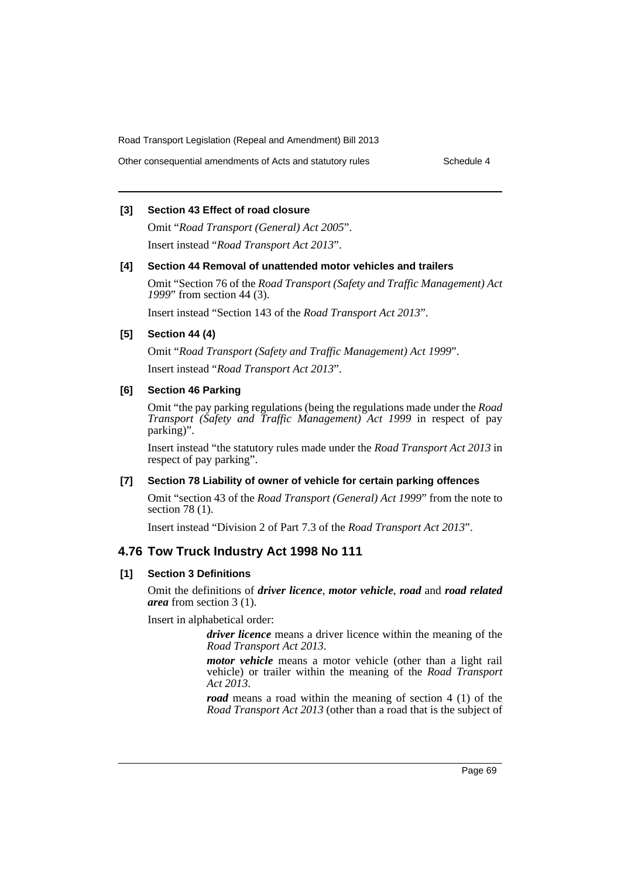Other consequential amendments of Acts and statutory rules Schedule 4

### **[3] Section 43 Effect of road closure**

Omit "*Road Transport (General) Act 2005*". Insert instead "*Road Transport Act 2013*".

### **[4] Section 44 Removal of unattended motor vehicles and trailers**

Omit "Section 76 of the *Road Transport (Safety and Traffic Management) Act 1999*" from section 44 (3).

Insert instead "Section 143 of the *Road Transport Act 2013*".

### **[5] Section 44 (4)**

Omit "*Road Transport (Safety and Traffic Management) Act 1999*". Insert instead "*Road Transport Act 2013*".

### **[6] Section 46 Parking**

Omit "the pay parking regulations (being the regulations made under the *Road Transport (Safety and Traffic Management) Act 1999* in respect of pay parking)".

Insert instead "the statutory rules made under the *Road Transport Act 2013* in respect of pay parking".

### **[7] Section 78 Liability of owner of vehicle for certain parking offences**

Omit "section 43 of the *Road Transport (General) Act 1999*" from the note to section 78 (1).

Insert instead "Division 2 of Part 7.3 of the *Road Transport Act 2013*".

# **4.76 Tow Truck Industry Act 1998 No 111**

### **[1] Section 3 Definitions**

Omit the definitions of *driver licence*, *motor vehicle*, *road* and *road related area* from section 3 (1).

Insert in alphabetical order:

*driver licence* means a driver licence within the meaning of the *Road Transport Act 2013*.

*motor vehicle* means a motor vehicle (other than a light rail vehicle) or trailer within the meaning of the *Road Transport Act 2013*.

*road* means a road within the meaning of section 4 (1) of the *Road Transport Act 2013* (other than a road that is the subject of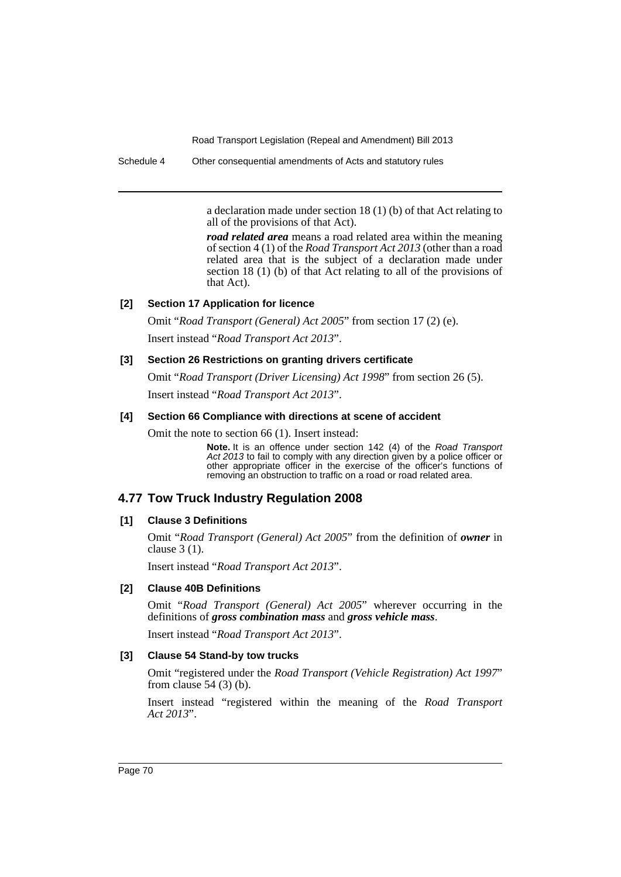Schedule 4 Other consequential amendments of Acts and statutory rules

a declaration made under section 18 (1) (b) of that Act relating to all of the provisions of that Act).

*road related area* means a road related area within the meaning of section 4 (1) of the *Road Transport Act 2013* (other than a road related area that is the subject of a declaration made under section 18 (1) (b) of that Act relating to all of the provisions of that Act).

### **[2] Section 17 Application for licence**

Omit "*Road Transport (General) Act 2005*" from section 17 (2) (e). Insert instead "*Road Transport Act 2013*".

# **[3] Section 26 Restrictions on granting drivers certificate**

Omit "*Road Transport (Driver Licensing) Act 1998*" from section 26 (5). Insert instead "*Road Transport Act 2013*".

### **[4] Section 66 Compliance with directions at scene of accident**

Omit the note to section 66 (1). Insert instead:

**Note.** It is an offence under section 142 (4) of the *Road Transport Act 2013* to fail to comply with any direction given by a police officer or other appropriate officer in the exercise of the officer's functions of removing an obstruction to traffic on a road or road related area.

# **4.77 Tow Truck Industry Regulation 2008**

# **[1] Clause 3 Definitions**

Omit "*Road Transport (General) Act 2005*" from the definition of *owner* in clause 3 (1).

Insert instead "*Road Transport Act 2013*".

# **[2] Clause 40B Definitions**

Omit "*Road Transport (General) Act 2005*" wherever occurring in the definitions of *gross combination mass* and *gross vehicle mass*.

Insert instead "*Road Transport Act 2013*".

### **[3] Clause 54 Stand-by tow trucks**

Omit "registered under the *Road Transport (Vehicle Registration) Act 1997*" from clause  $54$  (3) (b).

Insert instead "registered within the meaning of the *Road Transport Act 2013*".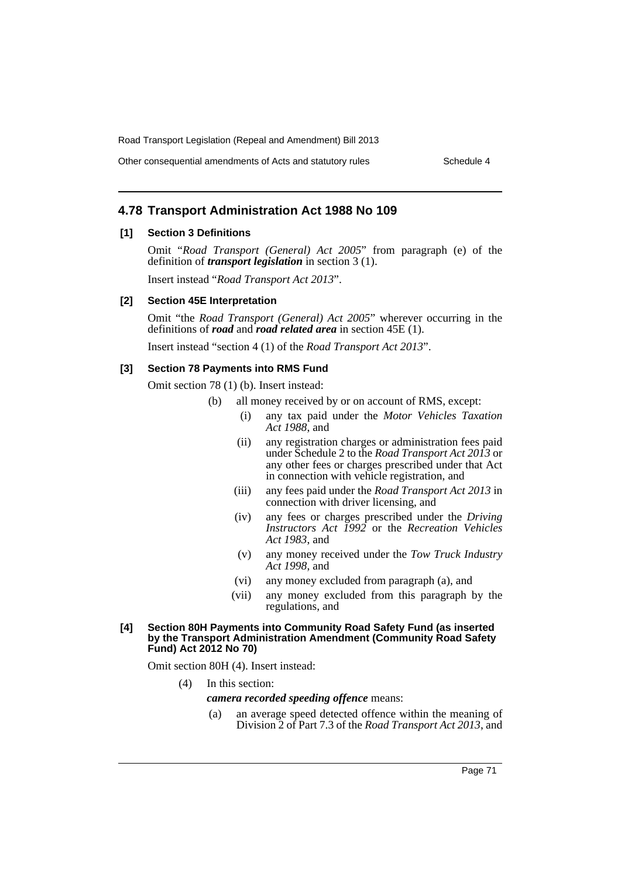Road Transport Legislation (Repeal and Amendment) Bill 2013

Other consequential amendments of Acts and statutory rules Schedule 4

# **4.78 Transport Administration Act 1988 No 109**

## **[1] Section 3 Definitions**

Omit "*Road Transport (General) Act 2005*" from paragraph (e) of the definition of *transport legislation* in section 3 (1).

Insert instead "*Road Transport Act 2013*".

### **[2] Section 45E Interpretation**

Omit "the *Road Transport (General) Act 2005*" wherever occurring in the definitions of *road* and *road related area* in section 45E (1).

Insert instead "section 4 (1) of the *Road Transport Act 2013*".

#### **[3] Section 78 Payments into RMS Fund**

Omit section 78 (1) (b). Insert instead:

- (b) all money received by or on account of RMS, except:
	- (i) any tax paid under the *Motor Vehicles Taxation Act 1988*, and
	- (ii) any registration charges or administration fees paid under Schedule 2 to the *Road Transport Act 2013* or any other fees or charges prescribed under that Act in connection with vehicle registration, and
	- (iii) any fees paid under the *Road Transport Act 2013* in connection with driver licensing, and
	- (iv) any fees or charges prescribed under the *Driving Instructors Act 1992* or the *Recreation Vehicles Act 1983*, and
	- (v) any money received under the *Tow Truck Industry Act 1998*, and
	- (vi) any money excluded from paragraph (a), and
	- (vii) any money excluded from this paragraph by the regulations, and

#### **[4] Section 80H Payments into Community Road Safety Fund (as inserted by the Transport Administration Amendment (Community Road Safety Fund) Act 2012 No 70)**

Omit section 80H (4). Insert instead:

(4) In this section:

#### *camera recorded speeding offence* means:

(a) an average speed detected offence within the meaning of Division 2 of Part 7.3 of the *Road Transport Act 2013*, and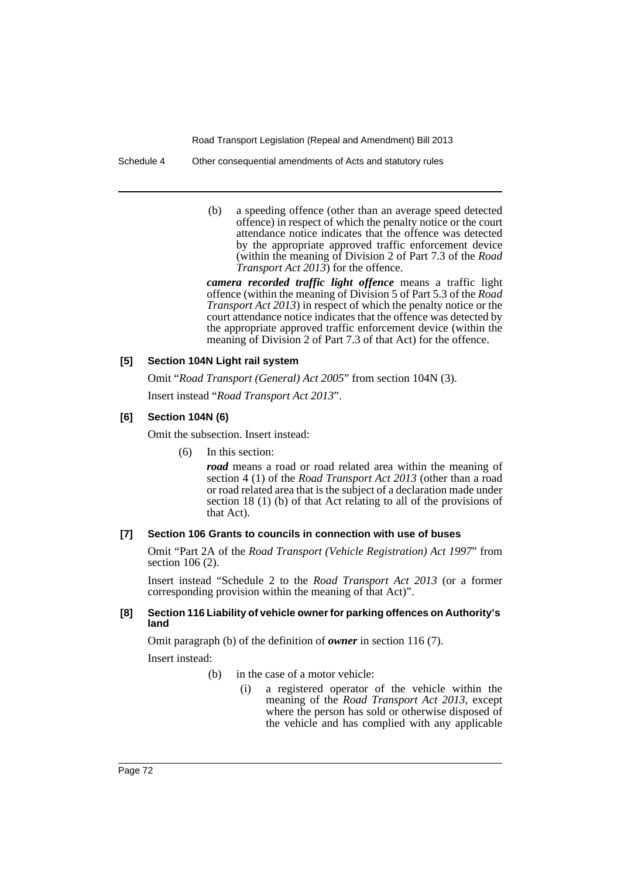Road Transport Legislation (Repeal and Amendment) Bill 2013

Schedule 4 Other consequential amendments of Acts and statutory rules

(b) a speeding offence (other than an average speed detected offence) in respect of which the penalty notice or the court attendance notice indicates that the offence was detected by the appropriate approved traffic enforcement device (within the meaning of Division 2 of Part 7.3 of the *Road Transport Act 2013*) for the offence.

*camera recorded traffic light offence* means a traffic light offence (within the meaning of Division 5 of Part 5.3 of the *Road Transport Act 2013*) in respect of which the penalty notice or the court attendance notice indicates that the offence was detected by the appropriate approved traffic enforcement device (within the meaning of Division 2 of Part 7.3 of that Act) for the offence.

## **[5] Section 104N Light rail system**

Omit "*Road Transport (General) Act 2005*" from section 104N (3).

Insert instead "*Road Transport Act 2013*".

#### **[6] Section 104N (6)**

Omit the subsection. Insert instead:

(6) In this section:

*road* means a road or road related area within the meaning of section 4 (1) of the *Road Transport Act 2013* (other than a road or road related area that is the subject of a declaration made under section 18 (1) (b) of that Act relating to all of the provisions of that Act).

## **[7] Section 106 Grants to councils in connection with use of buses**

Omit "Part 2A of the *Road Transport (Vehicle Registration) Act 1997*" from section 106 (2).

Insert instead "Schedule 2 to the *Road Transport Act 2013* (or a former corresponding provision within the meaning of that Act)".

#### **[8] Section 116 Liability of vehicle owner for parking offences on Authority's land**

Omit paragraph (b) of the definition of *owner* in section 116 (7).

Insert instead:

- (b) in the case of a motor vehicle:
	- (i) a registered operator of the vehicle within the meaning of the *Road Transport Act 2013*, except where the person has sold or otherwise disposed of the vehicle and has complied with any applicable